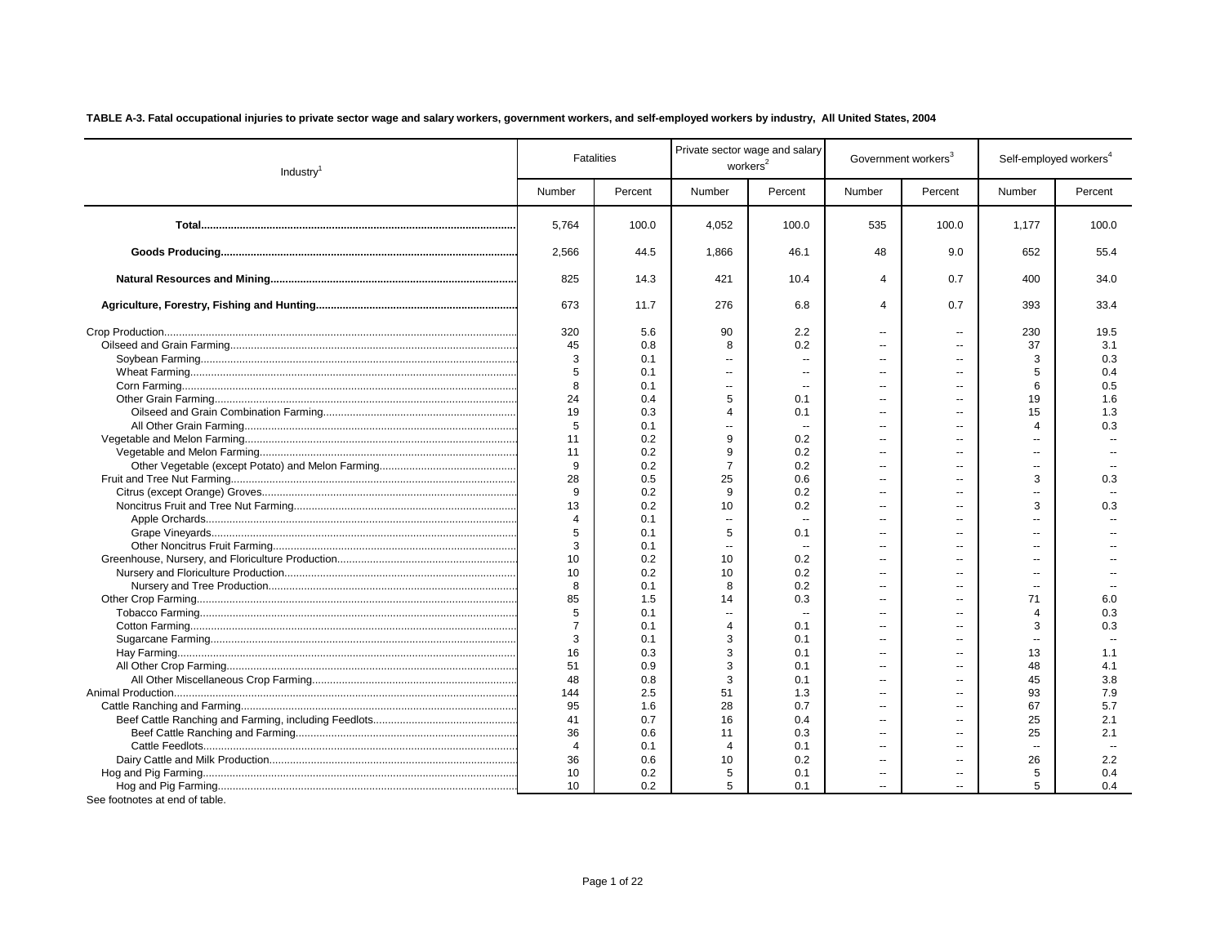| TABLE A-3. Fatal occupational injuries to private sector wage and salary workers, government workers, and self-employed workers by industry, All United States, 2004 |  |  |
|----------------------------------------------------------------------------------------------------------------------------------------------------------------------|--|--|
|                                                                                                                                                                      |  |  |

| Industry <sup>1</sup>          |                | <b>Fatalities</b> |                          | Private sector wage and salary<br>workers <sup>2</sup> |                          | Government workers <sup>3</sup> | Self-employed workers <sup>4</sup> |         |
|--------------------------------|----------------|-------------------|--------------------------|--------------------------------------------------------|--------------------------|---------------------------------|------------------------------------|---------|
|                                | Number         | Percent           | Number                   | Percent                                                | Number                   | Percent                         | Number                             | Percent |
|                                | 5,764          | 100.0             | 4,052                    | 100.0                                                  | 535                      | 100.0                           | 1,177                              | 100.0   |
|                                | 2,566          | 44.5              | 1,866                    | 46.1                                                   | 48                       | 9.0                             | 652                                | 55.4    |
|                                | 825            | 14.3              | 421                      | 10.4                                                   | $\overline{4}$           | 0.7                             | 400                                | 34.0    |
|                                | 673            | 11.7              | 276                      | 6.8                                                    | Δ                        | 0.7                             | 393                                | 33.4    |
|                                | 320            | 5.6               | 90                       | 2.2                                                    | $\overline{a}$           | $\overline{a}$                  | 230                                | 19.5    |
|                                | 45             | 0.8               | 8                        | 0.2                                                    |                          |                                 | 37                                 | 3.1     |
|                                | 3              | 0.1               | $\sim$                   |                                                        | $\overline{a}$           |                                 | 3                                  | 0.3     |
|                                | 5              | 0.1               | $\sim$                   |                                                        | $\overline{a}$           |                                 | 5                                  | 0.4     |
|                                | 8              | 0.1               | $\overline{\phantom{a}}$ |                                                        | $\overline{a}$           |                                 | 6                                  | 0.5     |
|                                | 24             | 0.4               | 5                        | 0.1                                                    | ä.                       |                                 | 19                                 | 1.6     |
|                                | 19             | 0.3               | $\overline{\mathcal{A}}$ | 0.1                                                    | $\overline{a}$           |                                 | 15                                 | 1.3     |
|                                | 5              | 0.1               | $\sim$                   |                                                        | $\overline{a}$           |                                 | $\overline{4}$                     | 0.3     |
|                                | 11             | 0.2               | 9                        | 0.2                                                    | $\overline{a}$           |                                 | $\overline{a}$                     |         |
|                                | 11             | 0.2               | 9                        | 0.2                                                    | $\overline{a}$           |                                 | $\overline{a}$                     |         |
|                                | 9              | 0.2               | $\overline{7}$           | 0.2                                                    | $\overline{a}$           |                                 | $\overline{a}$                     |         |
|                                | 28             | 0.5               | 25                       | 0.6                                                    | $\overline{a}$           |                                 | 3                                  | 0.3     |
|                                | 9              | 0.2               | 9                        | 0.2                                                    | $\overline{a}$           |                                 | $\overline{\phantom{a}}$           |         |
|                                | 13             | 0.2               | 10                       | 0.2                                                    | $\sim$                   | $\sim$                          | 3                                  | 0.3     |
|                                | $\overline{4}$ | 0.1               | $\sim$                   |                                                        | $\sim$                   |                                 | $\overline{a}$                     |         |
|                                | 5              | 0.1               | 5                        | 0.1                                                    | $\overline{a}$           | $\sim$                          | $\overline{a}$                     |         |
|                                | 3              | 0.1               | $\sim$                   |                                                        | $\overline{a}$           |                                 | $\overline{a}$                     |         |
|                                | 10             | 0.2               | 10                       | 0.2                                                    |                          |                                 |                                    |         |
|                                | 10             | 0.2               | 10                       | 0.2                                                    | ä.                       |                                 | $\overline{a}$                     |         |
|                                | 8              | 0.1               | 8                        | 0.2                                                    | ä.                       | ä.                              | $\overline{a}$                     |         |
|                                | 85             | 1.5               | 14                       | 0.3                                                    | Ξ.                       |                                 | 71                                 | 6.0     |
|                                | 5              | 0.1               | $\overline{\phantom{a}}$ | $\sim$                                                 | $\sim$                   | $\overline{\phantom{a}}$        | $\overline{4}$                     | 0.3     |
|                                | $\overline{7}$ | 0.1               | $\overline{4}$           | 0.1                                                    | $\sim$                   |                                 | 3                                  | 0.3     |
|                                | 3              | 0.1               | 3                        | 0.1                                                    | $\sim$                   |                                 | н.                                 |         |
|                                | 16             | 0.3               | 3                        | 0.1                                                    | $\sim$                   |                                 | 13                                 | 1.1     |
|                                | 51             | 0.9               | 3                        | 0.1                                                    | $\sim$                   | $\overline{a}$                  | 48                                 | 4.1     |
|                                | 48             | 0.8               | 3                        | 0.1                                                    | $\sim$                   |                                 | 45                                 | 3.8     |
|                                | 144            | 2.5               | 51                       | 1.3                                                    | $\sim$                   |                                 | 93                                 | 7.9     |
|                                | 95             | 1.6               | 28                       | 0.7                                                    | $\overline{a}$           |                                 | 67                                 | 5.7     |
|                                | 41             | 0.7               | 16                       | 0.4                                                    | $\sim$                   | --                              | 25                                 | 2.1     |
|                                | 36             | 0.6               | 11                       | 0.3                                                    | $\sim$                   |                                 | 25                                 | 2.1     |
|                                | $\overline{4}$ | 0.1               | $\overline{4}$           | 0.1                                                    | $\sim$                   |                                 | ÷.                                 |         |
|                                | 36             | 0.6               | 10                       | 0.2                                                    | $\overline{a}$           |                                 | 26                                 | 2.2     |
|                                | 10             | 0.2               | 5                        | 0.1                                                    | $\overline{\phantom{a}}$ | $\overline{a}$                  | 5                                  | 0.4     |
|                                | 10             | 0.2               | 5                        | 0.1                                                    |                          |                                 | 5                                  | 0.4     |
| See footnotes at end of table. |                |                   |                          |                                                        |                          |                                 |                                    |         |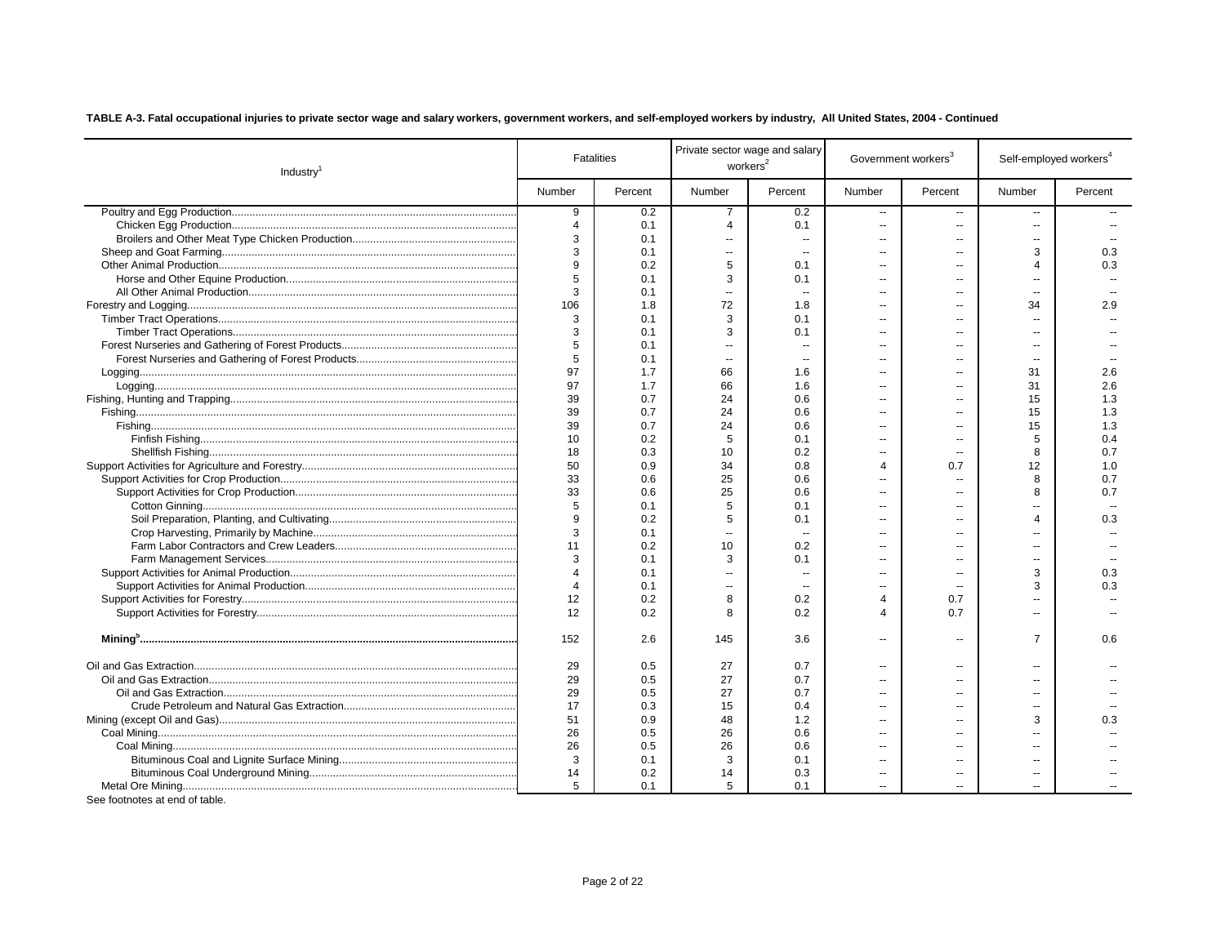| Number<br>Percent<br>Number<br>Percent<br>Number<br>Percent<br>Number<br>Percent<br>9<br>0.2<br>$\overline{7}$<br>0.2<br>--<br>$\sim$<br>$\sim$<br>$\overline{4}$<br>0.1<br>$\overline{4}$<br>0.1<br>$\overline{a}$<br>$\sim$<br>$\overline{a}$<br>3<br>0.1<br>$\overline{a}$<br>$\overline{a}$<br>$\sim$<br>$-$<br>3<br>3<br>0.1<br>0.3<br>$\mathbf{u}$<br>$\overline{a}$<br>$\overline{a}$<br>$\overline{a}$<br>5<br>0.2<br>0.3<br>0.1<br>4<br>$\overline{a}$<br>$\overline{a}$<br>5<br>3<br>0.1<br>0.1<br>$\sim$<br>$\overline{a}$<br>$\overline{a}$<br>3<br>0.1<br>$\sim$ $\sim$<br>$\sim$<br>$\sim$<br>106<br>72<br>1.8<br>34<br>2.9<br>1.8<br>$\overline{a}$<br>3<br>3<br>0.1<br>0.1<br>$\overline{a}$<br>3<br>3<br>0.1<br>0.1<br>Ξ.<br>$\overline{a}$<br>5<br>0.1<br>ц,<br>۵.<br>Ξ.<br>5<br>0.1<br>$\overline{\phantom{a}}$<br>۵.<br>$\mathbf{u}$<br>$\overline{a}$<br>--<br>97<br>1.7<br>66<br>31<br>2.6<br>1.6<br>$\overline{a}$<br>$\overline{a}$<br>97<br>1.7<br>66<br>31<br>2.6<br>1.6<br>$\overline{a}$<br>$=$<br>39<br>0.7<br>24<br>0.6<br>15<br>1.3<br>$\overline{a}$<br>$\overline{a}$<br>39<br>0.7<br>24<br>0.6<br>15<br>1.3<br>Ξ.<br>$\overline{a}$<br>39<br>0.7<br>24<br>0.6<br>15<br>1.3<br>Ξ.<br>$\overline{a}$<br>10<br>0.2<br>5<br>0.1<br>5<br>0.4<br>Ξ.<br>--<br>18<br>0.3<br>10<br>0.2<br>8<br>0.7<br>Ξ.<br>۰.<br>50<br>0.9<br>34<br>0.8<br>$\Delta$<br>0.7<br>12<br>1.0<br>33<br>0.6<br>25<br>0.6<br>8<br>0.7<br>$\overline{a}$<br>٠.<br>33<br>0.6<br>25<br>0.6<br>8<br>0.7<br>Ξ.<br>$\overline{a}$<br>5<br>5<br>0.1<br>0.1<br>Ξ.<br>9<br>0.2<br>5<br>0.1<br>0.3<br>4<br>Ξ.<br>--<br>3<br>0.1<br>$\mathbf{u}$<br>$\overline{\phantom{a}}$<br>Ξ.<br>$\overline{a}$<br>$\overline{a}$<br>11<br>0.2<br>10<br>0.2<br>$\overline{a}$<br>$\overline{a}$<br>$\overline{a}$<br>3<br>0.1<br>3<br>0.1<br>Ξ.<br>$\overline{a}$<br>$\overline{a}$<br>$\overline{4}$<br>3<br>0.1<br>0.3<br>$\overline{\phantom{a}}$<br>Ξ.<br>--<br>$\overline{4}$<br>0.1<br>3<br>0.3<br>$\ddot{\phantom{a}}$<br>٠.<br>$\overline{\phantom{a}}$<br>12<br>8<br>0.2<br>$\overline{4}$<br>0.7<br>0.2<br>۰.<br>12<br>0.2<br>0.2<br>0.7<br>8<br>$\overline{4}$<br>--<br>152<br>2.6<br>$\overline{7}$<br>0.6<br>145<br>3.6<br>Ξ.<br>$\overline{\phantom{a}}$<br>29<br>0.5<br>27<br>0.7<br>Ξ.<br>$\overline{a}$<br>--<br>29<br>0.5<br>27<br>0.7<br>Ξ.<br>--<br>--<br>29<br>0.5<br>27<br>0.7<br>Ξ.<br>$\overline{a}$<br>--<br>17<br>0.3<br>15<br>0.4<br>$\overline{a}$<br>$\overline{a}$<br>$\overline{a}$<br>51<br>0.9<br>3<br>48<br>1.2<br>0.3<br>$\overline{a}$<br>26<br>0.5<br>26<br>0.6<br>$\overline{a}$<br>26<br>0.5<br>26<br>0.6<br>$\overline{a}$<br>3<br>3<br>0.1<br>0.1<br>$\overline{a}$<br>$\overline{a}$<br>--<br>14<br>0.2<br>0.3<br>14<br>Ξ.<br>$\overline{a}$<br>--<br>5<br>0.1<br>5<br>0.1<br>$\overline{a}$<br>$\overline{a}$<br>$\overline{a}$<br>Can fect patents at each of table | Industry <sup>1</sup> | <b>Fatalities</b> | workers <sup>2</sup> | Private sector wage and salary | Government workers <sup>3</sup> | Self-employed workers <sup>4</sup> |  |
|---------------------------------------------------------------------------------------------------------------------------------------------------------------------------------------------------------------------------------------------------------------------------------------------------------------------------------------------------------------------------------------------------------------------------------------------------------------------------------------------------------------------------------------------------------------------------------------------------------------------------------------------------------------------------------------------------------------------------------------------------------------------------------------------------------------------------------------------------------------------------------------------------------------------------------------------------------------------------------------------------------------------------------------------------------------------------------------------------------------------------------------------------------------------------------------------------------------------------------------------------------------------------------------------------------------------------------------------------------------------------------------------------------------------------------------------------------------------------------------------------------------------------------------------------------------------------------------------------------------------------------------------------------------------------------------------------------------------------------------------------------------------------------------------------------------------------------------------------------------------------------------------------------------------------------------------------------------------------------------------------------------------------------------------------------------------------------------------------------------------------------------------------------------------------------------------------------------------------------------------------------------------------------------------------------------------------------------------------------------------------------------------------------------------------------------------------------------------------------------------------------------------------------------------------------------------------------------------------------------------------------------------------------------------------------------------------------------------------------------------------------------------------------------------------------------------------------------------------------------------------------------------|-----------------------|-------------------|----------------------|--------------------------------|---------------------------------|------------------------------------|--|
|                                                                                                                                                                                                                                                                                                                                                                                                                                                                                                                                                                                                                                                                                                                                                                                                                                                                                                                                                                                                                                                                                                                                                                                                                                                                                                                                                                                                                                                                                                                                                                                                                                                                                                                                                                                                                                                                                                                                                                                                                                                                                                                                                                                                                                                                                                                                                                                                                                                                                                                                                                                                                                                                                                                                                                                                                                                                                             |                       |                   |                      |                                |                                 |                                    |  |
|                                                                                                                                                                                                                                                                                                                                                                                                                                                                                                                                                                                                                                                                                                                                                                                                                                                                                                                                                                                                                                                                                                                                                                                                                                                                                                                                                                                                                                                                                                                                                                                                                                                                                                                                                                                                                                                                                                                                                                                                                                                                                                                                                                                                                                                                                                                                                                                                                                                                                                                                                                                                                                                                                                                                                                                                                                                                                             |                       |                   |                      |                                |                                 |                                    |  |
|                                                                                                                                                                                                                                                                                                                                                                                                                                                                                                                                                                                                                                                                                                                                                                                                                                                                                                                                                                                                                                                                                                                                                                                                                                                                                                                                                                                                                                                                                                                                                                                                                                                                                                                                                                                                                                                                                                                                                                                                                                                                                                                                                                                                                                                                                                                                                                                                                                                                                                                                                                                                                                                                                                                                                                                                                                                                                             |                       |                   |                      |                                |                                 |                                    |  |
|                                                                                                                                                                                                                                                                                                                                                                                                                                                                                                                                                                                                                                                                                                                                                                                                                                                                                                                                                                                                                                                                                                                                                                                                                                                                                                                                                                                                                                                                                                                                                                                                                                                                                                                                                                                                                                                                                                                                                                                                                                                                                                                                                                                                                                                                                                                                                                                                                                                                                                                                                                                                                                                                                                                                                                                                                                                                                             |                       |                   |                      |                                |                                 |                                    |  |
|                                                                                                                                                                                                                                                                                                                                                                                                                                                                                                                                                                                                                                                                                                                                                                                                                                                                                                                                                                                                                                                                                                                                                                                                                                                                                                                                                                                                                                                                                                                                                                                                                                                                                                                                                                                                                                                                                                                                                                                                                                                                                                                                                                                                                                                                                                                                                                                                                                                                                                                                                                                                                                                                                                                                                                                                                                                                                             |                       |                   |                      |                                |                                 |                                    |  |
|                                                                                                                                                                                                                                                                                                                                                                                                                                                                                                                                                                                                                                                                                                                                                                                                                                                                                                                                                                                                                                                                                                                                                                                                                                                                                                                                                                                                                                                                                                                                                                                                                                                                                                                                                                                                                                                                                                                                                                                                                                                                                                                                                                                                                                                                                                                                                                                                                                                                                                                                                                                                                                                                                                                                                                                                                                                                                             |                       |                   |                      |                                |                                 |                                    |  |
|                                                                                                                                                                                                                                                                                                                                                                                                                                                                                                                                                                                                                                                                                                                                                                                                                                                                                                                                                                                                                                                                                                                                                                                                                                                                                                                                                                                                                                                                                                                                                                                                                                                                                                                                                                                                                                                                                                                                                                                                                                                                                                                                                                                                                                                                                                                                                                                                                                                                                                                                                                                                                                                                                                                                                                                                                                                                                             |                       |                   |                      |                                |                                 |                                    |  |
|                                                                                                                                                                                                                                                                                                                                                                                                                                                                                                                                                                                                                                                                                                                                                                                                                                                                                                                                                                                                                                                                                                                                                                                                                                                                                                                                                                                                                                                                                                                                                                                                                                                                                                                                                                                                                                                                                                                                                                                                                                                                                                                                                                                                                                                                                                                                                                                                                                                                                                                                                                                                                                                                                                                                                                                                                                                                                             |                       |                   |                      |                                |                                 |                                    |  |
|                                                                                                                                                                                                                                                                                                                                                                                                                                                                                                                                                                                                                                                                                                                                                                                                                                                                                                                                                                                                                                                                                                                                                                                                                                                                                                                                                                                                                                                                                                                                                                                                                                                                                                                                                                                                                                                                                                                                                                                                                                                                                                                                                                                                                                                                                                                                                                                                                                                                                                                                                                                                                                                                                                                                                                                                                                                                                             |                       |                   |                      |                                |                                 |                                    |  |
|                                                                                                                                                                                                                                                                                                                                                                                                                                                                                                                                                                                                                                                                                                                                                                                                                                                                                                                                                                                                                                                                                                                                                                                                                                                                                                                                                                                                                                                                                                                                                                                                                                                                                                                                                                                                                                                                                                                                                                                                                                                                                                                                                                                                                                                                                                                                                                                                                                                                                                                                                                                                                                                                                                                                                                                                                                                                                             |                       |                   |                      |                                |                                 |                                    |  |
|                                                                                                                                                                                                                                                                                                                                                                                                                                                                                                                                                                                                                                                                                                                                                                                                                                                                                                                                                                                                                                                                                                                                                                                                                                                                                                                                                                                                                                                                                                                                                                                                                                                                                                                                                                                                                                                                                                                                                                                                                                                                                                                                                                                                                                                                                                                                                                                                                                                                                                                                                                                                                                                                                                                                                                                                                                                                                             |                       |                   |                      |                                |                                 |                                    |  |
|                                                                                                                                                                                                                                                                                                                                                                                                                                                                                                                                                                                                                                                                                                                                                                                                                                                                                                                                                                                                                                                                                                                                                                                                                                                                                                                                                                                                                                                                                                                                                                                                                                                                                                                                                                                                                                                                                                                                                                                                                                                                                                                                                                                                                                                                                                                                                                                                                                                                                                                                                                                                                                                                                                                                                                                                                                                                                             |                       |                   |                      |                                |                                 |                                    |  |
|                                                                                                                                                                                                                                                                                                                                                                                                                                                                                                                                                                                                                                                                                                                                                                                                                                                                                                                                                                                                                                                                                                                                                                                                                                                                                                                                                                                                                                                                                                                                                                                                                                                                                                                                                                                                                                                                                                                                                                                                                                                                                                                                                                                                                                                                                                                                                                                                                                                                                                                                                                                                                                                                                                                                                                                                                                                                                             |                       |                   |                      |                                |                                 |                                    |  |
|                                                                                                                                                                                                                                                                                                                                                                                                                                                                                                                                                                                                                                                                                                                                                                                                                                                                                                                                                                                                                                                                                                                                                                                                                                                                                                                                                                                                                                                                                                                                                                                                                                                                                                                                                                                                                                                                                                                                                                                                                                                                                                                                                                                                                                                                                                                                                                                                                                                                                                                                                                                                                                                                                                                                                                                                                                                                                             |                       |                   |                      |                                |                                 |                                    |  |
|                                                                                                                                                                                                                                                                                                                                                                                                                                                                                                                                                                                                                                                                                                                                                                                                                                                                                                                                                                                                                                                                                                                                                                                                                                                                                                                                                                                                                                                                                                                                                                                                                                                                                                                                                                                                                                                                                                                                                                                                                                                                                                                                                                                                                                                                                                                                                                                                                                                                                                                                                                                                                                                                                                                                                                                                                                                                                             |                       |                   |                      |                                |                                 |                                    |  |
|                                                                                                                                                                                                                                                                                                                                                                                                                                                                                                                                                                                                                                                                                                                                                                                                                                                                                                                                                                                                                                                                                                                                                                                                                                                                                                                                                                                                                                                                                                                                                                                                                                                                                                                                                                                                                                                                                                                                                                                                                                                                                                                                                                                                                                                                                                                                                                                                                                                                                                                                                                                                                                                                                                                                                                                                                                                                                             |                       |                   |                      |                                |                                 |                                    |  |
|                                                                                                                                                                                                                                                                                                                                                                                                                                                                                                                                                                                                                                                                                                                                                                                                                                                                                                                                                                                                                                                                                                                                                                                                                                                                                                                                                                                                                                                                                                                                                                                                                                                                                                                                                                                                                                                                                                                                                                                                                                                                                                                                                                                                                                                                                                                                                                                                                                                                                                                                                                                                                                                                                                                                                                                                                                                                                             |                       |                   |                      |                                |                                 |                                    |  |
|                                                                                                                                                                                                                                                                                                                                                                                                                                                                                                                                                                                                                                                                                                                                                                                                                                                                                                                                                                                                                                                                                                                                                                                                                                                                                                                                                                                                                                                                                                                                                                                                                                                                                                                                                                                                                                                                                                                                                                                                                                                                                                                                                                                                                                                                                                                                                                                                                                                                                                                                                                                                                                                                                                                                                                                                                                                                                             |                       |                   |                      |                                |                                 |                                    |  |
|                                                                                                                                                                                                                                                                                                                                                                                                                                                                                                                                                                                                                                                                                                                                                                                                                                                                                                                                                                                                                                                                                                                                                                                                                                                                                                                                                                                                                                                                                                                                                                                                                                                                                                                                                                                                                                                                                                                                                                                                                                                                                                                                                                                                                                                                                                                                                                                                                                                                                                                                                                                                                                                                                                                                                                                                                                                                                             |                       |                   |                      |                                |                                 |                                    |  |
|                                                                                                                                                                                                                                                                                                                                                                                                                                                                                                                                                                                                                                                                                                                                                                                                                                                                                                                                                                                                                                                                                                                                                                                                                                                                                                                                                                                                                                                                                                                                                                                                                                                                                                                                                                                                                                                                                                                                                                                                                                                                                                                                                                                                                                                                                                                                                                                                                                                                                                                                                                                                                                                                                                                                                                                                                                                                                             |                       |                   |                      |                                |                                 |                                    |  |
|                                                                                                                                                                                                                                                                                                                                                                                                                                                                                                                                                                                                                                                                                                                                                                                                                                                                                                                                                                                                                                                                                                                                                                                                                                                                                                                                                                                                                                                                                                                                                                                                                                                                                                                                                                                                                                                                                                                                                                                                                                                                                                                                                                                                                                                                                                                                                                                                                                                                                                                                                                                                                                                                                                                                                                                                                                                                                             |                       |                   |                      |                                |                                 |                                    |  |
|                                                                                                                                                                                                                                                                                                                                                                                                                                                                                                                                                                                                                                                                                                                                                                                                                                                                                                                                                                                                                                                                                                                                                                                                                                                                                                                                                                                                                                                                                                                                                                                                                                                                                                                                                                                                                                                                                                                                                                                                                                                                                                                                                                                                                                                                                                                                                                                                                                                                                                                                                                                                                                                                                                                                                                                                                                                                                             |                       |                   |                      |                                |                                 |                                    |  |
|                                                                                                                                                                                                                                                                                                                                                                                                                                                                                                                                                                                                                                                                                                                                                                                                                                                                                                                                                                                                                                                                                                                                                                                                                                                                                                                                                                                                                                                                                                                                                                                                                                                                                                                                                                                                                                                                                                                                                                                                                                                                                                                                                                                                                                                                                                                                                                                                                                                                                                                                                                                                                                                                                                                                                                                                                                                                                             |                       |                   |                      |                                |                                 |                                    |  |
|                                                                                                                                                                                                                                                                                                                                                                                                                                                                                                                                                                                                                                                                                                                                                                                                                                                                                                                                                                                                                                                                                                                                                                                                                                                                                                                                                                                                                                                                                                                                                                                                                                                                                                                                                                                                                                                                                                                                                                                                                                                                                                                                                                                                                                                                                                                                                                                                                                                                                                                                                                                                                                                                                                                                                                                                                                                                                             |                       |                   |                      |                                |                                 |                                    |  |
|                                                                                                                                                                                                                                                                                                                                                                                                                                                                                                                                                                                                                                                                                                                                                                                                                                                                                                                                                                                                                                                                                                                                                                                                                                                                                                                                                                                                                                                                                                                                                                                                                                                                                                                                                                                                                                                                                                                                                                                                                                                                                                                                                                                                                                                                                                                                                                                                                                                                                                                                                                                                                                                                                                                                                                                                                                                                                             |                       |                   |                      |                                |                                 |                                    |  |
|                                                                                                                                                                                                                                                                                                                                                                                                                                                                                                                                                                                                                                                                                                                                                                                                                                                                                                                                                                                                                                                                                                                                                                                                                                                                                                                                                                                                                                                                                                                                                                                                                                                                                                                                                                                                                                                                                                                                                                                                                                                                                                                                                                                                                                                                                                                                                                                                                                                                                                                                                                                                                                                                                                                                                                                                                                                                                             |                       |                   |                      |                                |                                 |                                    |  |
|                                                                                                                                                                                                                                                                                                                                                                                                                                                                                                                                                                                                                                                                                                                                                                                                                                                                                                                                                                                                                                                                                                                                                                                                                                                                                                                                                                                                                                                                                                                                                                                                                                                                                                                                                                                                                                                                                                                                                                                                                                                                                                                                                                                                                                                                                                                                                                                                                                                                                                                                                                                                                                                                                                                                                                                                                                                                                             |                       |                   |                      |                                |                                 |                                    |  |
|                                                                                                                                                                                                                                                                                                                                                                                                                                                                                                                                                                                                                                                                                                                                                                                                                                                                                                                                                                                                                                                                                                                                                                                                                                                                                                                                                                                                                                                                                                                                                                                                                                                                                                                                                                                                                                                                                                                                                                                                                                                                                                                                                                                                                                                                                                                                                                                                                                                                                                                                                                                                                                                                                                                                                                                                                                                                                             |                       |                   |                      |                                |                                 |                                    |  |
|                                                                                                                                                                                                                                                                                                                                                                                                                                                                                                                                                                                                                                                                                                                                                                                                                                                                                                                                                                                                                                                                                                                                                                                                                                                                                                                                                                                                                                                                                                                                                                                                                                                                                                                                                                                                                                                                                                                                                                                                                                                                                                                                                                                                                                                                                                                                                                                                                                                                                                                                                                                                                                                                                                                                                                                                                                                                                             |                       |                   |                      |                                |                                 |                                    |  |
|                                                                                                                                                                                                                                                                                                                                                                                                                                                                                                                                                                                                                                                                                                                                                                                                                                                                                                                                                                                                                                                                                                                                                                                                                                                                                                                                                                                                                                                                                                                                                                                                                                                                                                                                                                                                                                                                                                                                                                                                                                                                                                                                                                                                                                                                                                                                                                                                                                                                                                                                                                                                                                                                                                                                                                                                                                                                                             |                       |                   |                      |                                |                                 |                                    |  |
|                                                                                                                                                                                                                                                                                                                                                                                                                                                                                                                                                                                                                                                                                                                                                                                                                                                                                                                                                                                                                                                                                                                                                                                                                                                                                                                                                                                                                                                                                                                                                                                                                                                                                                                                                                                                                                                                                                                                                                                                                                                                                                                                                                                                                                                                                                                                                                                                                                                                                                                                                                                                                                                                                                                                                                                                                                                                                             |                       |                   |                      |                                |                                 |                                    |  |
|                                                                                                                                                                                                                                                                                                                                                                                                                                                                                                                                                                                                                                                                                                                                                                                                                                                                                                                                                                                                                                                                                                                                                                                                                                                                                                                                                                                                                                                                                                                                                                                                                                                                                                                                                                                                                                                                                                                                                                                                                                                                                                                                                                                                                                                                                                                                                                                                                                                                                                                                                                                                                                                                                                                                                                                                                                                                                             |                       |                   |                      |                                |                                 |                                    |  |
|                                                                                                                                                                                                                                                                                                                                                                                                                                                                                                                                                                                                                                                                                                                                                                                                                                                                                                                                                                                                                                                                                                                                                                                                                                                                                                                                                                                                                                                                                                                                                                                                                                                                                                                                                                                                                                                                                                                                                                                                                                                                                                                                                                                                                                                                                                                                                                                                                                                                                                                                                                                                                                                                                                                                                                                                                                                                                             |                       |                   |                      |                                |                                 |                                    |  |
|                                                                                                                                                                                                                                                                                                                                                                                                                                                                                                                                                                                                                                                                                                                                                                                                                                                                                                                                                                                                                                                                                                                                                                                                                                                                                                                                                                                                                                                                                                                                                                                                                                                                                                                                                                                                                                                                                                                                                                                                                                                                                                                                                                                                                                                                                                                                                                                                                                                                                                                                                                                                                                                                                                                                                                                                                                                                                             |                       |                   |                      |                                |                                 |                                    |  |
|                                                                                                                                                                                                                                                                                                                                                                                                                                                                                                                                                                                                                                                                                                                                                                                                                                                                                                                                                                                                                                                                                                                                                                                                                                                                                                                                                                                                                                                                                                                                                                                                                                                                                                                                                                                                                                                                                                                                                                                                                                                                                                                                                                                                                                                                                                                                                                                                                                                                                                                                                                                                                                                                                                                                                                                                                                                                                             |                       |                   |                      |                                |                                 |                                    |  |
|                                                                                                                                                                                                                                                                                                                                                                                                                                                                                                                                                                                                                                                                                                                                                                                                                                                                                                                                                                                                                                                                                                                                                                                                                                                                                                                                                                                                                                                                                                                                                                                                                                                                                                                                                                                                                                                                                                                                                                                                                                                                                                                                                                                                                                                                                                                                                                                                                                                                                                                                                                                                                                                                                                                                                                                                                                                                                             |                       |                   |                      |                                |                                 |                                    |  |
|                                                                                                                                                                                                                                                                                                                                                                                                                                                                                                                                                                                                                                                                                                                                                                                                                                                                                                                                                                                                                                                                                                                                                                                                                                                                                                                                                                                                                                                                                                                                                                                                                                                                                                                                                                                                                                                                                                                                                                                                                                                                                                                                                                                                                                                                                                                                                                                                                                                                                                                                                                                                                                                                                                                                                                                                                                                                                             |                       |                   |                      |                                |                                 |                                    |  |
|                                                                                                                                                                                                                                                                                                                                                                                                                                                                                                                                                                                                                                                                                                                                                                                                                                                                                                                                                                                                                                                                                                                                                                                                                                                                                                                                                                                                                                                                                                                                                                                                                                                                                                                                                                                                                                                                                                                                                                                                                                                                                                                                                                                                                                                                                                                                                                                                                                                                                                                                                                                                                                                                                                                                                                                                                                                                                             |                       |                   |                      |                                |                                 |                                    |  |
|                                                                                                                                                                                                                                                                                                                                                                                                                                                                                                                                                                                                                                                                                                                                                                                                                                                                                                                                                                                                                                                                                                                                                                                                                                                                                                                                                                                                                                                                                                                                                                                                                                                                                                                                                                                                                                                                                                                                                                                                                                                                                                                                                                                                                                                                                                                                                                                                                                                                                                                                                                                                                                                                                                                                                                                                                                                                                             |                       |                   |                      |                                |                                 |                                    |  |
|                                                                                                                                                                                                                                                                                                                                                                                                                                                                                                                                                                                                                                                                                                                                                                                                                                                                                                                                                                                                                                                                                                                                                                                                                                                                                                                                                                                                                                                                                                                                                                                                                                                                                                                                                                                                                                                                                                                                                                                                                                                                                                                                                                                                                                                                                                                                                                                                                                                                                                                                                                                                                                                                                                                                                                                                                                                                                             |                       |                   |                      |                                |                                 |                                    |  |
|                                                                                                                                                                                                                                                                                                                                                                                                                                                                                                                                                                                                                                                                                                                                                                                                                                                                                                                                                                                                                                                                                                                                                                                                                                                                                                                                                                                                                                                                                                                                                                                                                                                                                                                                                                                                                                                                                                                                                                                                                                                                                                                                                                                                                                                                                                                                                                                                                                                                                                                                                                                                                                                                                                                                                                                                                                                                                             |                       |                   |                      |                                |                                 |                                    |  |
|                                                                                                                                                                                                                                                                                                                                                                                                                                                                                                                                                                                                                                                                                                                                                                                                                                                                                                                                                                                                                                                                                                                                                                                                                                                                                                                                                                                                                                                                                                                                                                                                                                                                                                                                                                                                                                                                                                                                                                                                                                                                                                                                                                                                                                                                                                                                                                                                                                                                                                                                                                                                                                                                                                                                                                                                                                                                                             |                       |                   |                      |                                |                                 |                                    |  |
|                                                                                                                                                                                                                                                                                                                                                                                                                                                                                                                                                                                                                                                                                                                                                                                                                                                                                                                                                                                                                                                                                                                                                                                                                                                                                                                                                                                                                                                                                                                                                                                                                                                                                                                                                                                                                                                                                                                                                                                                                                                                                                                                                                                                                                                                                                                                                                                                                                                                                                                                                                                                                                                                                                                                                                                                                                                                                             |                       |                   |                      |                                |                                 |                                    |  |
|                                                                                                                                                                                                                                                                                                                                                                                                                                                                                                                                                                                                                                                                                                                                                                                                                                                                                                                                                                                                                                                                                                                                                                                                                                                                                                                                                                                                                                                                                                                                                                                                                                                                                                                                                                                                                                                                                                                                                                                                                                                                                                                                                                                                                                                                                                                                                                                                                                                                                                                                                                                                                                                                                                                                                                                                                                                                                             |                       |                   |                      |                                |                                 |                                    |  |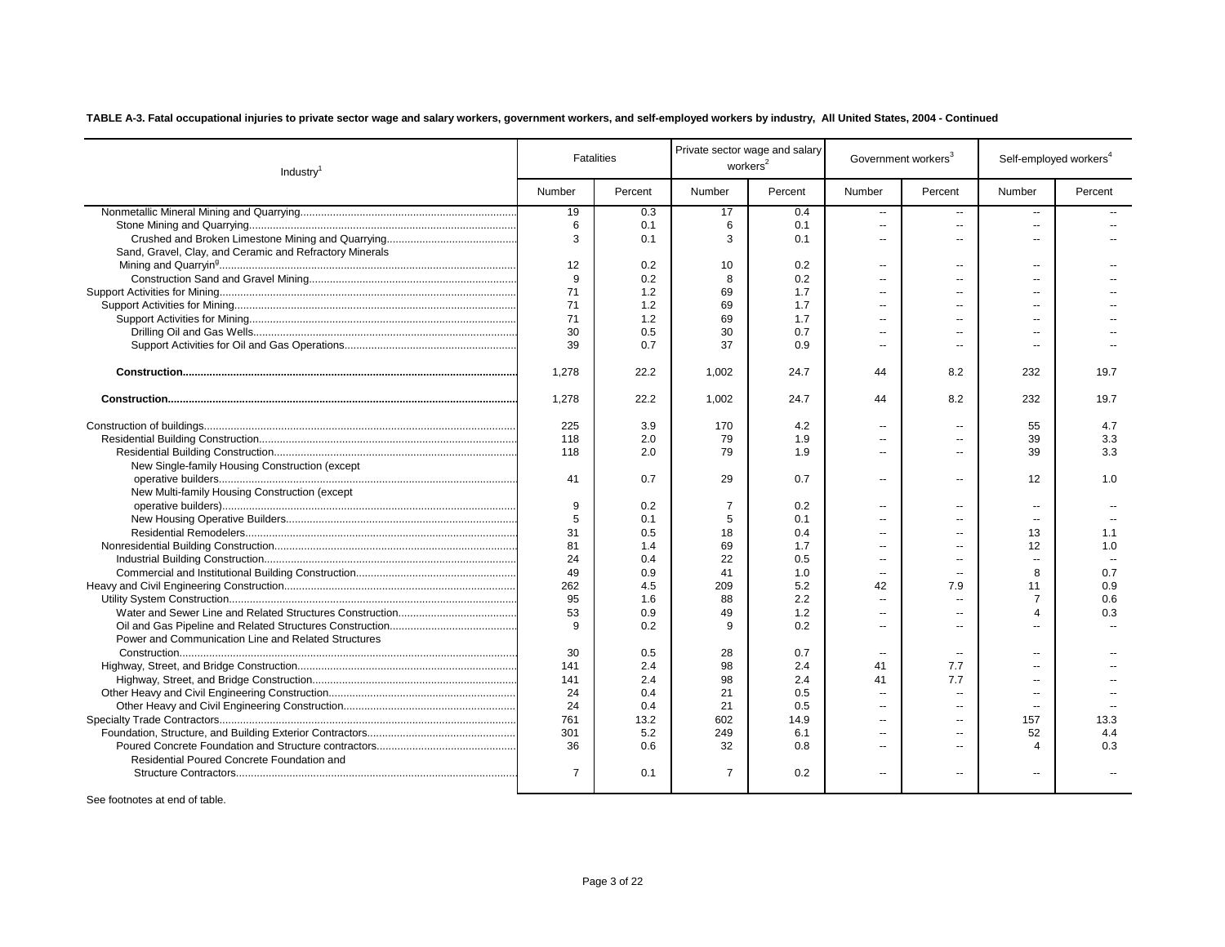| Industry <sup>1</sup>                                   |                | <b>Fatalities</b> | workers <sup>2</sup> | Private sector wage and salary | Government workers <sup>3</sup> |                          |                          | Self-employed workers <sup>4</sup> |
|---------------------------------------------------------|----------------|-------------------|----------------------|--------------------------------|---------------------------------|--------------------------|--------------------------|------------------------------------|
|                                                         | Number         | Percent           | Number               | Percent                        | Number                          | Percent                  | Number                   | Percent                            |
|                                                         | 19             | 0.3               | 17                   | 0.4                            | ш,                              | $\sim$                   | $\overline{\phantom{a}}$ |                                    |
|                                                         | 6              | 0.1               | 6                    | 0.1                            | ш,                              | $\overline{a}$           | $\mathbf{u}$             |                                    |
|                                                         | 3              | 0.1               | 3                    | 0.1                            | $\overline{a}$                  | $\sim$                   | $\overline{a}$           |                                    |
| Sand, Gravel, Clay, and Ceramic and Refractory Minerals |                |                   |                      |                                |                                 |                          |                          |                                    |
|                                                         | 12             | 0.2               | 10                   | 0.2                            | $\overline{a}$                  | $\sim$                   | $\sim$                   |                                    |
|                                                         | 9              | 0.2               | 8                    | 0.2                            | $\sim$                          | --                       | $\overline{a}$           |                                    |
|                                                         | 71             | 1.2               | 69                   | 1.7                            | $\overline{a}$                  | $-$                      | $\sim$                   |                                    |
|                                                         | 71             | 1.2               | 69                   | 1.7                            | $\overline{a}$                  | --                       | $\overline{a}$           |                                    |
|                                                         | 71             | 1.2               | 69                   | 1.7                            | $\overline{a}$                  | --                       | $\overline{a}$           |                                    |
|                                                         | 30             | 0.5               | 30                   | 0.7                            | $\overline{\phantom{a}}$        | --                       | $\overline{a}$           |                                    |
|                                                         | 39             | 0.7               | 37                   | 0.9                            | $\overline{\phantom{a}}$        | $\overline{a}$           |                          |                                    |
|                                                         | 1,278          | 22.2              | 1,002                | 24.7                           | 44                              | 8.2                      | 232                      | 19.7                               |
|                                                         | 1,278          | 22.2              | 1,002                | 24.7                           | 44                              | 8.2                      | 232                      | 19.7                               |
|                                                         | 225            | 3.9               | 170                  | 4.2                            | --                              | $\overline{\phantom{a}}$ | 55                       | 4.7                                |
|                                                         | 118            | 2.0               | 79                   | 1.9                            | $\overline{\phantom{a}}$        | --                       | 39                       | 3.3                                |
|                                                         | 118            | 2.0               | 79                   | 1.9                            | $\overline{a}$                  | --                       | 39                       | 3.3                                |
| New Single-family Housing Construction (except          |                |                   |                      |                                |                                 |                          |                          |                                    |
|                                                         | 41             | 0.7               | 29                   | 0.7                            | $\overline{a}$                  | $\overline{a}$           | 12                       | 1.0                                |
| New Multi-family Housing Construction (except           |                |                   |                      |                                |                                 |                          |                          |                                    |
|                                                         | 9              | 0.2               | $\overline{7}$       | 0.2                            | $\overline{\phantom{a}}$        | $\overline{\phantom{a}}$ | $\overline{\phantom{a}}$ |                                    |
|                                                         | 5              | 0.1               | 5                    | 0.1                            | $\overline{a}$                  | $\overline{a}$           | $\overline{\phantom{a}}$ |                                    |
|                                                         | 31             | 0.5               | 18                   | 0.4                            | $\overline{\phantom{a}}$        | --                       | 13                       | 1.1                                |
|                                                         | 81             | 1.4               | 69                   | 1.7                            | $\overline{a}$                  | $\overline{a}$           | 12                       | 1.0                                |
|                                                         | 24             | 0.4               | 22                   | 0.5                            | $\overline{a}$                  | $\overline{\phantom{a}}$ | $\sim$                   |                                    |
|                                                         | 49             | 0.9               | 41                   | 1.0                            | $\overline{a}$                  | $\overline{a}$           | 8                        | 0.7                                |
|                                                         | 262            | 4.5               | 209                  | 5.2                            | 42                              | 7.9                      | 11                       | 0.9                                |
|                                                         | 95             | 1.6               | 88                   | 2.2                            | $\overline{\phantom{a}}$        | $\sim$                   | $\overline{7}$           | 0.6                                |
|                                                         | 53             | 0.9               | 49                   | 1.2                            | $\overline{a}$                  | $-1$                     | 4                        | 0.3                                |
|                                                         | 9              | 0.2               | 9                    | 0.2                            | $\overline{a}$                  | $\overline{a}$           | $\overline{a}$           |                                    |
| Power and Communication Line and Related Structures     |                |                   |                      |                                |                                 |                          |                          |                                    |
|                                                         | 30             | 0.5               | 28                   | 0.7                            | $\overline{a}$                  | $\sim$                   | $\overline{a}$           |                                    |
|                                                         | 141            | 2.4               | 98                   | 2.4                            | 41                              | 7.7                      | $\overline{a}$           |                                    |
|                                                         | 141            | 2.4               | 98                   | 2.4                            | 41                              | 7.7                      |                          |                                    |
|                                                         | 24             | 0.4               | 21                   | 0.5                            |                                 | $\overline{a}$           |                          |                                    |
|                                                         | 24             | 0.4               | 21                   | 0.5                            |                                 | $\overline{a}$           |                          |                                    |
|                                                         | 761            | 13.2              | 602                  | 14.9                           | $\overline{\phantom{a}}$        | $\overline{a}$           | 157                      | 13.3                               |
|                                                         | 301            | 5.2               | 249                  | 6.1                            | $\overline{\phantom{a}}$        | $\overline{a}$           | 52                       | 4.4                                |
|                                                         | 36             | 0.6               | 32                   | 0.8                            | $\overline{\phantom{a}}$        | $\overline{a}$           | 4                        | 0.3                                |
| Residential Poured Concrete Foundation and              |                |                   |                      |                                |                                 |                          |                          |                                    |
|                                                         | $\overline{7}$ | 0.1               | $\overline{7}$       | 0.2                            | $\overline{a}$                  | $\overline{a}$           |                          |                                    |
| .                                                       |                |                   |                      |                                |                                 |                          |                          |                                    |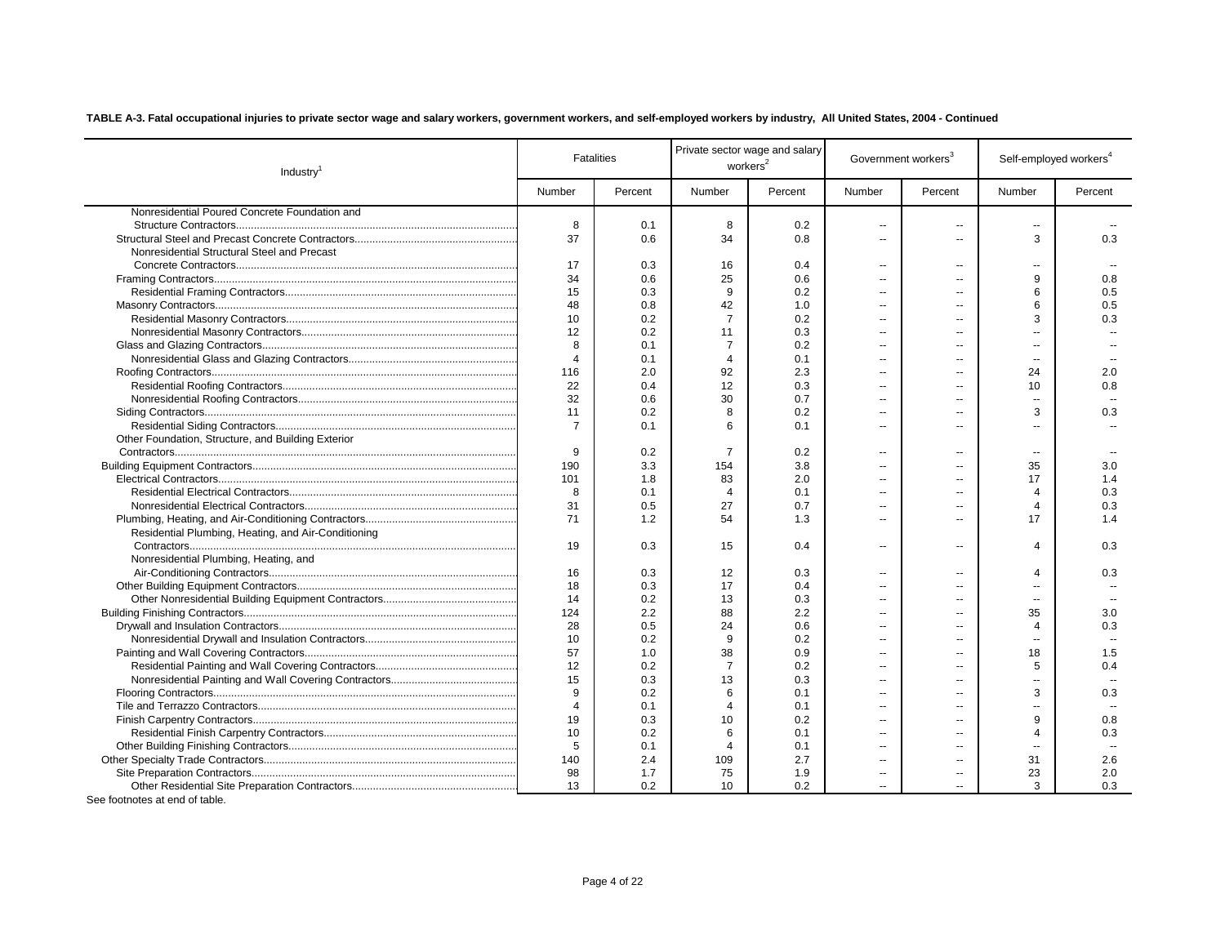| Number<br>Percent<br>Number<br>Percent<br>Number<br>Percent<br>Number<br>Percent<br>Nonresidential Poured Concrete Foundation and<br>8<br>8<br>0.1<br>0.2<br>--<br>--<br>۰.<br>37<br>34<br>0.8<br>3<br>0.3<br>0.6<br>$\overline{a}$<br>$\overline{a}$<br>Nonresidential Structural Steel and Precast<br>17<br>0.3<br>16<br>0.4<br>$\overline{a}$<br>--<br>--<br>34<br>25<br>9<br>0.6<br>0.6<br>0.8<br>$\overline{a}$<br>--<br>15<br>9<br>6<br>0.5<br>0.3<br>0.2<br>$\overline{a}$<br>$\overline{a}$<br>48<br>42<br>0.5<br>0.8<br>1.0<br>6<br>$\overline{a}$<br>$\overline{a}$<br>$\overline{7}$<br>0.3<br>10<br>0.2<br>0.2<br>3<br>$\overline{a}$<br>12<br>0.2<br>11<br>0.3<br>$-$<br>8<br>$\overline{7}$<br>0.1<br>0.2<br>ä.<br>Ξ.<br>$\overline{4}$<br>0.1<br>$\overline{4}$<br>0.1<br>ä.<br>$\overline{\phantom{a}}$<br>--<br>2.0<br>92<br>2.3<br>24<br>2.0<br>116<br>ä.<br>--<br>22<br>0.4<br>12<br>0.3<br>0.8<br>10<br>$\overline{a}$<br>$\overline{a}$<br>32<br>0.6<br>30<br>0.7<br>$\overline{a}$<br>$\overline{a}$<br>$-$<br>0.2<br>8<br>0.2<br>3<br>0.3<br>11<br>$\overline{a}$<br>--<br>$\overline{7}$<br>0.1<br>6<br>0.1<br>$\overline{a}$<br>Ξ.<br>--<br>Other Foundation, Structure, and Building Exterior<br>9<br>$\overline{7}$<br>0.2<br>0.2<br>$\overline{a}$<br>$\overline{a}$<br>--<br>35<br>190<br>3.3<br>154<br>3.8<br>3.0<br>$\sim$<br>$\overline{a}$<br>101<br>2.0<br>17<br>1.4<br>1.8<br>83<br>$\overline{\phantom{a}}$<br>--<br>8<br>0.1<br>0.1<br>0.3<br>$\overline{4}$<br>$\overline{4}$<br>$\overline{a}$<br>--<br>0.5<br>0.3<br>31<br>27<br>0.7<br>$\overline{4}$<br>$\overline{a}$<br>$\overline{a}$<br>71<br>1.2<br>54<br>1.3<br>17<br>1.4<br>$\overline{a}$<br>$\overline{a}$<br>Residential Plumbing, Heating, and Air-Conditioning<br>19<br>0.3<br>15<br>0.4<br>4<br>0.3<br>$\overline{a}$<br>$\overline{a}$<br>Nonresidential Plumbing, Heating, and<br>16<br>0.3<br>12<br>$\overline{4}$<br>0.3<br>0.3<br>$\overline{a}$<br>$\overline{a}$<br>18<br>0.3<br>17<br>0.4<br>$\overline{a}$<br>--<br>14<br>0.2<br>13<br>0.3<br>$\overline{a}$<br>$\overline{\phantom{a}}$<br>--<br>124<br>2.2<br>88<br>2.2<br>35<br>3.0<br>$\overline{a}$<br>28<br>0.5<br>0.6<br>0.3<br>24<br>$\overline{4}$<br>$\sim$<br>$\overline{a}$<br>10<br>9<br>0.2<br>0.2<br>$\sim$<br>--<br>57<br>38<br>0.9<br>1.0<br>18<br>1.5<br>$\overline{a}$<br>--<br>12<br>0.2<br>$\overline{7}$<br>0.2<br>5<br>0.4<br>$\overline{a}$<br>15<br>0.3<br>13<br>0.3<br>Ξ.<br>$-$<br>9<br>6<br>0.2<br>3<br>0.3<br>0.1<br>ä.<br>$\overline{a}$<br>$\overline{4}$<br>0.1<br>$\overline{4}$<br>0.1<br>Ξ.<br>19<br>9<br>0.3<br>10<br>0.2<br>0.8<br>ä.<br>0.3<br>10<br>0.2<br>6<br>0.1<br>$\overline{4}$<br>$\overline{a}$<br>--<br>5<br>0.1<br>$\overline{4}$<br>0.1<br>$\overline{a}$<br>$\overline{a}$<br>--<br>140<br>2.4<br>2.7<br>2.6<br>109<br>31<br>$\sim$<br>$\overline{a}$<br>98<br>23<br>2.0<br>1.7<br>75<br>1.9<br>$\overline{\phantom{a}}$<br>--<br>13<br>0.2<br>10<br>0.2<br>3<br>0.3<br>$\overline{a}$ | Industry <sup>1</sup> | <b>Fatalities</b> | workers <sup>2</sup> | Private sector wage and salary | Government workers <sup>3</sup> | Self-employed workers <sup>4</sup> |  |
|-----------------------------------------------------------------------------------------------------------------------------------------------------------------------------------------------------------------------------------------------------------------------------------------------------------------------------------------------------------------------------------------------------------------------------------------------------------------------------------------------------------------------------------------------------------------------------------------------------------------------------------------------------------------------------------------------------------------------------------------------------------------------------------------------------------------------------------------------------------------------------------------------------------------------------------------------------------------------------------------------------------------------------------------------------------------------------------------------------------------------------------------------------------------------------------------------------------------------------------------------------------------------------------------------------------------------------------------------------------------------------------------------------------------------------------------------------------------------------------------------------------------------------------------------------------------------------------------------------------------------------------------------------------------------------------------------------------------------------------------------------------------------------------------------------------------------------------------------------------------------------------------------------------------------------------------------------------------------------------------------------------------------------------------------------------------------------------------------------------------------------------------------------------------------------------------------------------------------------------------------------------------------------------------------------------------------------------------------------------------------------------------------------------------------------------------------------------------------------------------------------------------------------------------------------------------------------------------------------------------------------------------------------------------------------------------------------------------------------------------------------------------------------------------------------------------------------------------------------------------------------------------------------------------------------------------------------------------------------------------------------------|-----------------------|-------------------|----------------------|--------------------------------|---------------------------------|------------------------------------|--|
|                                                                                                                                                                                                                                                                                                                                                                                                                                                                                                                                                                                                                                                                                                                                                                                                                                                                                                                                                                                                                                                                                                                                                                                                                                                                                                                                                                                                                                                                                                                                                                                                                                                                                                                                                                                                                                                                                                                                                                                                                                                                                                                                                                                                                                                                                                                                                                                                                                                                                                                                                                                                                                                                                                                                                                                                                                                                                                                                                                                                           |                       |                   |                      |                                |                                 |                                    |  |
|                                                                                                                                                                                                                                                                                                                                                                                                                                                                                                                                                                                                                                                                                                                                                                                                                                                                                                                                                                                                                                                                                                                                                                                                                                                                                                                                                                                                                                                                                                                                                                                                                                                                                                                                                                                                                                                                                                                                                                                                                                                                                                                                                                                                                                                                                                                                                                                                                                                                                                                                                                                                                                                                                                                                                                                                                                                                                                                                                                                                           |                       |                   |                      |                                |                                 |                                    |  |
|                                                                                                                                                                                                                                                                                                                                                                                                                                                                                                                                                                                                                                                                                                                                                                                                                                                                                                                                                                                                                                                                                                                                                                                                                                                                                                                                                                                                                                                                                                                                                                                                                                                                                                                                                                                                                                                                                                                                                                                                                                                                                                                                                                                                                                                                                                                                                                                                                                                                                                                                                                                                                                                                                                                                                                                                                                                                                                                                                                                                           |                       |                   |                      |                                |                                 |                                    |  |
|                                                                                                                                                                                                                                                                                                                                                                                                                                                                                                                                                                                                                                                                                                                                                                                                                                                                                                                                                                                                                                                                                                                                                                                                                                                                                                                                                                                                                                                                                                                                                                                                                                                                                                                                                                                                                                                                                                                                                                                                                                                                                                                                                                                                                                                                                                                                                                                                                                                                                                                                                                                                                                                                                                                                                                                                                                                                                                                                                                                                           |                       |                   |                      |                                |                                 |                                    |  |
|                                                                                                                                                                                                                                                                                                                                                                                                                                                                                                                                                                                                                                                                                                                                                                                                                                                                                                                                                                                                                                                                                                                                                                                                                                                                                                                                                                                                                                                                                                                                                                                                                                                                                                                                                                                                                                                                                                                                                                                                                                                                                                                                                                                                                                                                                                                                                                                                                                                                                                                                                                                                                                                                                                                                                                                                                                                                                                                                                                                                           |                       |                   |                      |                                |                                 |                                    |  |
|                                                                                                                                                                                                                                                                                                                                                                                                                                                                                                                                                                                                                                                                                                                                                                                                                                                                                                                                                                                                                                                                                                                                                                                                                                                                                                                                                                                                                                                                                                                                                                                                                                                                                                                                                                                                                                                                                                                                                                                                                                                                                                                                                                                                                                                                                                                                                                                                                                                                                                                                                                                                                                                                                                                                                                                                                                                                                                                                                                                                           |                       |                   |                      |                                |                                 |                                    |  |
|                                                                                                                                                                                                                                                                                                                                                                                                                                                                                                                                                                                                                                                                                                                                                                                                                                                                                                                                                                                                                                                                                                                                                                                                                                                                                                                                                                                                                                                                                                                                                                                                                                                                                                                                                                                                                                                                                                                                                                                                                                                                                                                                                                                                                                                                                                                                                                                                                                                                                                                                                                                                                                                                                                                                                                                                                                                                                                                                                                                                           |                       |                   |                      |                                |                                 |                                    |  |
|                                                                                                                                                                                                                                                                                                                                                                                                                                                                                                                                                                                                                                                                                                                                                                                                                                                                                                                                                                                                                                                                                                                                                                                                                                                                                                                                                                                                                                                                                                                                                                                                                                                                                                                                                                                                                                                                                                                                                                                                                                                                                                                                                                                                                                                                                                                                                                                                                                                                                                                                                                                                                                                                                                                                                                                                                                                                                                                                                                                                           |                       |                   |                      |                                |                                 |                                    |  |
|                                                                                                                                                                                                                                                                                                                                                                                                                                                                                                                                                                                                                                                                                                                                                                                                                                                                                                                                                                                                                                                                                                                                                                                                                                                                                                                                                                                                                                                                                                                                                                                                                                                                                                                                                                                                                                                                                                                                                                                                                                                                                                                                                                                                                                                                                                                                                                                                                                                                                                                                                                                                                                                                                                                                                                                                                                                                                                                                                                                                           |                       |                   |                      |                                |                                 |                                    |  |
|                                                                                                                                                                                                                                                                                                                                                                                                                                                                                                                                                                                                                                                                                                                                                                                                                                                                                                                                                                                                                                                                                                                                                                                                                                                                                                                                                                                                                                                                                                                                                                                                                                                                                                                                                                                                                                                                                                                                                                                                                                                                                                                                                                                                                                                                                                                                                                                                                                                                                                                                                                                                                                                                                                                                                                                                                                                                                                                                                                                                           |                       |                   |                      |                                |                                 |                                    |  |
|                                                                                                                                                                                                                                                                                                                                                                                                                                                                                                                                                                                                                                                                                                                                                                                                                                                                                                                                                                                                                                                                                                                                                                                                                                                                                                                                                                                                                                                                                                                                                                                                                                                                                                                                                                                                                                                                                                                                                                                                                                                                                                                                                                                                                                                                                                                                                                                                                                                                                                                                                                                                                                                                                                                                                                                                                                                                                                                                                                                                           |                       |                   |                      |                                |                                 |                                    |  |
|                                                                                                                                                                                                                                                                                                                                                                                                                                                                                                                                                                                                                                                                                                                                                                                                                                                                                                                                                                                                                                                                                                                                                                                                                                                                                                                                                                                                                                                                                                                                                                                                                                                                                                                                                                                                                                                                                                                                                                                                                                                                                                                                                                                                                                                                                                                                                                                                                                                                                                                                                                                                                                                                                                                                                                                                                                                                                                                                                                                                           |                       |                   |                      |                                |                                 |                                    |  |
|                                                                                                                                                                                                                                                                                                                                                                                                                                                                                                                                                                                                                                                                                                                                                                                                                                                                                                                                                                                                                                                                                                                                                                                                                                                                                                                                                                                                                                                                                                                                                                                                                                                                                                                                                                                                                                                                                                                                                                                                                                                                                                                                                                                                                                                                                                                                                                                                                                                                                                                                                                                                                                                                                                                                                                                                                                                                                                                                                                                                           |                       |                   |                      |                                |                                 |                                    |  |
|                                                                                                                                                                                                                                                                                                                                                                                                                                                                                                                                                                                                                                                                                                                                                                                                                                                                                                                                                                                                                                                                                                                                                                                                                                                                                                                                                                                                                                                                                                                                                                                                                                                                                                                                                                                                                                                                                                                                                                                                                                                                                                                                                                                                                                                                                                                                                                                                                                                                                                                                                                                                                                                                                                                                                                                                                                                                                                                                                                                                           |                       |                   |                      |                                |                                 |                                    |  |
|                                                                                                                                                                                                                                                                                                                                                                                                                                                                                                                                                                                                                                                                                                                                                                                                                                                                                                                                                                                                                                                                                                                                                                                                                                                                                                                                                                                                                                                                                                                                                                                                                                                                                                                                                                                                                                                                                                                                                                                                                                                                                                                                                                                                                                                                                                                                                                                                                                                                                                                                                                                                                                                                                                                                                                                                                                                                                                                                                                                                           |                       |                   |                      |                                |                                 |                                    |  |
|                                                                                                                                                                                                                                                                                                                                                                                                                                                                                                                                                                                                                                                                                                                                                                                                                                                                                                                                                                                                                                                                                                                                                                                                                                                                                                                                                                                                                                                                                                                                                                                                                                                                                                                                                                                                                                                                                                                                                                                                                                                                                                                                                                                                                                                                                                                                                                                                                                                                                                                                                                                                                                                                                                                                                                                                                                                                                                                                                                                                           |                       |                   |                      |                                |                                 |                                    |  |
|                                                                                                                                                                                                                                                                                                                                                                                                                                                                                                                                                                                                                                                                                                                                                                                                                                                                                                                                                                                                                                                                                                                                                                                                                                                                                                                                                                                                                                                                                                                                                                                                                                                                                                                                                                                                                                                                                                                                                                                                                                                                                                                                                                                                                                                                                                                                                                                                                                                                                                                                                                                                                                                                                                                                                                                                                                                                                                                                                                                                           |                       |                   |                      |                                |                                 |                                    |  |
|                                                                                                                                                                                                                                                                                                                                                                                                                                                                                                                                                                                                                                                                                                                                                                                                                                                                                                                                                                                                                                                                                                                                                                                                                                                                                                                                                                                                                                                                                                                                                                                                                                                                                                                                                                                                                                                                                                                                                                                                                                                                                                                                                                                                                                                                                                                                                                                                                                                                                                                                                                                                                                                                                                                                                                                                                                                                                                                                                                                                           |                       |                   |                      |                                |                                 |                                    |  |
|                                                                                                                                                                                                                                                                                                                                                                                                                                                                                                                                                                                                                                                                                                                                                                                                                                                                                                                                                                                                                                                                                                                                                                                                                                                                                                                                                                                                                                                                                                                                                                                                                                                                                                                                                                                                                                                                                                                                                                                                                                                                                                                                                                                                                                                                                                                                                                                                                                                                                                                                                                                                                                                                                                                                                                                                                                                                                                                                                                                                           |                       |                   |                      |                                |                                 |                                    |  |
|                                                                                                                                                                                                                                                                                                                                                                                                                                                                                                                                                                                                                                                                                                                                                                                                                                                                                                                                                                                                                                                                                                                                                                                                                                                                                                                                                                                                                                                                                                                                                                                                                                                                                                                                                                                                                                                                                                                                                                                                                                                                                                                                                                                                                                                                                                                                                                                                                                                                                                                                                                                                                                                                                                                                                                                                                                                                                                                                                                                                           |                       |                   |                      |                                |                                 |                                    |  |
|                                                                                                                                                                                                                                                                                                                                                                                                                                                                                                                                                                                                                                                                                                                                                                                                                                                                                                                                                                                                                                                                                                                                                                                                                                                                                                                                                                                                                                                                                                                                                                                                                                                                                                                                                                                                                                                                                                                                                                                                                                                                                                                                                                                                                                                                                                                                                                                                                                                                                                                                                                                                                                                                                                                                                                                                                                                                                                                                                                                                           |                       |                   |                      |                                |                                 |                                    |  |
|                                                                                                                                                                                                                                                                                                                                                                                                                                                                                                                                                                                                                                                                                                                                                                                                                                                                                                                                                                                                                                                                                                                                                                                                                                                                                                                                                                                                                                                                                                                                                                                                                                                                                                                                                                                                                                                                                                                                                                                                                                                                                                                                                                                                                                                                                                                                                                                                                                                                                                                                                                                                                                                                                                                                                                                                                                                                                                                                                                                                           |                       |                   |                      |                                |                                 |                                    |  |
|                                                                                                                                                                                                                                                                                                                                                                                                                                                                                                                                                                                                                                                                                                                                                                                                                                                                                                                                                                                                                                                                                                                                                                                                                                                                                                                                                                                                                                                                                                                                                                                                                                                                                                                                                                                                                                                                                                                                                                                                                                                                                                                                                                                                                                                                                                                                                                                                                                                                                                                                                                                                                                                                                                                                                                                                                                                                                                                                                                                                           |                       |                   |                      |                                |                                 |                                    |  |
|                                                                                                                                                                                                                                                                                                                                                                                                                                                                                                                                                                                                                                                                                                                                                                                                                                                                                                                                                                                                                                                                                                                                                                                                                                                                                                                                                                                                                                                                                                                                                                                                                                                                                                                                                                                                                                                                                                                                                                                                                                                                                                                                                                                                                                                                                                                                                                                                                                                                                                                                                                                                                                                                                                                                                                                                                                                                                                                                                                                                           |                       |                   |                      |                                |                                 |                                    |  |
|                                                                                                                                                                                                                                                                                                                                                                                                                                                                                                                                                                                                                                                                                                                                                                                                                                                                                                                                                                                                                                                                                                                                                                                                                                                                                                                                                                                                                                                                                                                                                                                                                                                                                                                                                                                                                                                                                                                                                                                                                                                                                                                                                                                                                                                                                                                                                                                                                                                                                                                                                                                                                                                                                                                                                                                                                                                                                                                                                                                                           |                       |                   |                      |                                |                                 |                                    |  |
|                                                                                                                                                                                                                                                                                                                                                                                                                                                                                                                                                                                                                                                                                                                                                                                                                                                                                                                                                                                                                                                                                                                                                                                                                                                                                                                                                                                                                                                                                                                                                                                                                                                                                                                                                                                                                                                                                                                                                                                                                                                                                                                                                                                                                                                                                                                                                                                                                                                                                                                                                                                                                                                                                                                                                                                                                                                                                                                                                                                                           |                       |                   |                      |                                |                                 |                                    |  |
|                                                                                                                                                                                                                                                                                                                                                                                                                                                                                                                                                                                                                                                                                                                                                                                                                                                                                                                                                                                                                                                                                                                                                                                                                                                                                                                                                                                                                                                                                                                                                                                                                                                                                                                                                                                                                                                                                                                                                                                                                                                                                                                                                                                                                                                                                                                                                                                                                                                                                                                                                                                                                                                                                                                                                                                                                                                                                                                                                                                                           |                       |                   |                      |                                |                                 |                                    |  |
|                                                                                                                                                                                                                                                                                                                                                                                                                                                                                                                                                                                                                                                                                                                                                                                                                                                                                                                                                                                                                                                                                                                                                                                                                                                                                                                                                                                                                                                                                                                                                                                                                                                                                                                                                                                                                                                                                                                                                                                                                                                                                                                                                                                                                                                                                                                                                                                                                                                                                                                                                                                                                                                                                                                                                                                                                                                                                                                                                                                                           |                       |                   |                      |                                |                                 |                                    |  |
|                                                                                                                                                                                                                                                                                                                                                                                                                                                                                                                                                                                                                                                                                                                                                                                                                                                                                                                                                                                                                                                                                                                                                                                                                                                                                                                                                                                                                                                                                                                                                                                                                                                                                                                                                                                                                                                                                                                                                                                                                                                                                                                                                                                                                                                                                                                                                                                                                                                                                                                                                                                                                                                                                                                                                                                                                                                                                                                                                                                                           |                       |                   |                      |                                |                                 |                                    |  |
|                                                                                                                                                                                                                                                                                                                                                                                                                                                                                                                                                                                                                                                                                                                                                                                                                                                                                                                                                                                                                                                                                                                                                                                                                                                                                                                                                                                                                                                                                                                                                                                                                                                                                                                                                                                                                                                                                                                                                                                                                                                                                                                                                                                                                                                                                                                                                                                                                                                                                                                                                                                                                                                                                                                                                                                                                                                                                                                                                                                                           |                       |                   |                      |                                |                                 |                                    |  |
|                                                                                                                                                                                                                                                                                                                                                                                                                                                                                                                                                                                                                                                                                                                                                                                                                                                                                                                                                                                                                                                                                                                                                                                                                                                                                                                                                                                                                                                                                                                                                                                                                                                                                                                                                                                                                                                                                                                                                                                                                                                                                                                                                                                                                                                                                                                                                                                                                                                                                                                                                                                                                                                                                                                                                                                                                                                                                                                                                                                                           |                       |                   |                      |                                |                                 |                                    |  |
|                                                                                                                                                                                                                                                                                                                                                                                                                                                                                                                                                                                                                                                                                                                                                                                                                                                                                                                                                                                                                                                                                                                                                                                                                                                                                                                                                                                                                                                                                                                                                                                                                                                                                                                                                                                                                                                                                                                                                                                                                                                                                                                                                                                                                                                                                                                                                                                                                                                                                                                                                                                                                                                                                                                                                                                                                                                                                                                                                                                                           |                       |                   |                      |                                |                                 |                                    |  |
|                                                                                                                                                                                                                                                                                                                                                                                                                                                                                                                                                                                                                                                                                                                                                                                                                                                                                                                                                                                                                                                                                                                                                                                                                                                                                                                                                                                                                                                                                                                                                                                                                                                                                                                                                                                                                                                                                                                                                                                                                                                                                                                                                                                                                                                                                                                                                                                                                                                                                                                                                                                                                                                                                                                                                                                                                                                                                                                                                                                                           |                       |                   |                      |                                |                                 |                                    |  |
|                                                                                                                                                                                                                                                                                                                                                                                                                                                                                                                                                                                                                                                                                                                                                                                                                                                                                                                                                                                                                                                                                                                                                                                                                                                                                                                                                                                                                                                                                                                                                                                                                                                                                                                                                                                                                                                                                                                                                                                                                                                                                                                                                                                                                                                                                                                                                                                                                                                                                                                                                                                                                                                                                                                                                                                                                                                                                                                                                                                                           |                       |                   |                      |                                |                                 |                                    |  |
|                                                                                                                                                                                                                                                                                                                                                                                                                                                                                                                                                                                                                                                                                                                                                                                                                                                                                                                                                                                                                                                                                                                                                                                                                                                                                                                                                                                                                                                                                                                                                                                                                                                                                                                                                                                                                                                                                                                                                                                                                                                                                                                                                                                                                                                                                                                                                                                                                                                                                                                                                                                                                                                                                                                                                                                                                                                                                                                                                                                                           |                       |                   |                      |                                |                                 |                                    |  |
|                                                                                                                                                                                                                                                                                                                                                                                                                                                                                                                                                                                                                                                                                                                                                                                                                                                                                                                                                                                                                                                                                                                                                                                                                                                                                                                                                                                                                                                                                                                                                                                                                                                                                                                                                                                                                                                                                                                                                                                                                                                                                                                                                                                                                                                                                                                                                                                                                                                                                                                                                                                                                                                                                                                                                                                                                                                                                                                                                                                                           |                       |                   |                      |                                |                                 |                                    |  |
|                                                                                                                                                                                                                                                                                                                                                                                                                                                                                                                                                                                                                                                                                                                                                                                                                                                                                                                                                                                                                                                                                                                                                                                                                                                                                                                                                                                                                                                                                                                                                                                                                                                                                                                                                                                                                                                                                                                                                                                                                                                                                                                                                                                                                                                                                                                                                                                                                                                                                                                                                                                                                                                                                                                                                                                                                                                                                                                                                                                                           |                       |                   |                      |                                |                                 |                                    |  |
|                                                                                                                                                                                                                                                                                                                                                                                                                                                                                                                                                                                                                                                                                                                                                                                                                                                                                                                                                                                                                                                                                                                                                                                                                                                                                                                                                                                                                                                                                                                                                                                                                                                                                                                                                                                                                                                                                                                                                                                                                                                                                                                                                                                                                                                                                                                                                                                                                                                                                                                                                                                                                                                                                                                                                                                                                                                                                                                                                                                                           |                       |                   |                      |                                |                                 |                                    |  |
|                                                                                                                                                                                                                                                                                                                                                                                                                                                                                                                                                                                                                                                                                                                                                                                                                                                                                                                                                                                                                                                                                                                                                                                                                                                                                                                                                                                                                                                                                                                                                                                                                                                                                                                                                                                                                                                                                                                                                                                                                                                                                                                                                                                                                                                                                                                                                                                                                                                                                                                                                                                                                                                                                                                                                                                                                                                                                                                                                                                                           |                       |                   |                      |                                |                                 |                                    |  |
|                                                                                                                                                                                                                                                                                                                                                                                                                                                                                                                                                                                                                                                                                                                                                                                                                                                                                                                                                                                                                                                                                                                                                                                                                                                                                                                                                                                                                                                                                                                                                                                                                                                                                                                                                                                                                                                                                                                                                                                                                                                                                                                                                                                                                                                                                                                                                                                                                                                                                                                                                                                                                                                                                                                                                                                                                                                                                                                                                                                                           |                       |                   |                      |                                |                                 |                                    |  |
|                                                                                                                                                                                                                                                                                                                                                                                                                                                                                                                                                                                                                                                                                                                                                                                                                                                                                                                                                                                                                                                                                                                                                                                                                                                                                                                                                                                                                                                                                                                                                                                                                                                                                                                                                                                                                                                                                                                                                                                                                                                                                                                                                                                                                                                                                                                                                                                                                                                                                                                                                                                                                                                                                                                                                                                                                                                                                                                                                                                                           |                       |                   |                      |                                |                                 |                                    |  |
|                                                                                                                                                                                                                                                                                                                                                                                                                                                                                                                                                                                                                                                                                                                                                                                                                                                                                                                                                                                                                                                                                                                                                                                                                                                                                                                                                                                                                                                                                                                                                                                                                                                                                                                                                                                                                                                                                                                                                                                                                                                                                                                                                                                                                                                                                                                                                                                                                                                                                                                                                                                                                                                                                                                                                                                                                                                                                                                                                                                                           |                       |                   |                      |                                |                                 |                                    |  |
|                                                                                                                                                                                                                                                                                                                                                                                                                                                                                                                                                                                                                                                                                                                                                                                                                                                                                                                                                                                                                                                                                                                                                                                                                                                                                                                                                                                                                                                                                                                                                                                                                                                                                                                                                                                                                                                                                                                                                                                                                                                                                                                                                                                                                                                                                                                                                                                                                                                                                                                                                                                                                                                                                                                                                                                                                                                                                                                                                                                                           |                       |                   |                      |                                |                                 |                                    |  |
|                                                                                                                                                                                                                                                                                                                                                                                                                                                                                                                                                                                                                                                                                                                                                                                                                                                                                                                                                                                                                                                                                                                                                                                                                                                                                                                                                                                                                                                                                                                                                                                                                                                                                                                                                                                                                                                                                                                                                                                                                                                                                                                                                                                                                                                                                                                                                                                                                                                                                                                                                                                                                                                                                                                                                                                                                                                                                                                                                                                                           |                       |                   |                      |                                |                                 |                                    |  |
|                                                                                                                                                                                                                                                                                                                                                                                                                                                                                                                                                                                                                                                                                                                                                                                                                                                                                                                                                                                                                                                                                                                                                                                                                                                                                                                                                                                                                                                                                                                                                                                                                                                                                                                                                                                                                                                                                                                                                                                                                                                                                                                                                                                                                                                                                                                                                                                                                                                                                                                                                                                                                                                                                                                                                                                                                                                                                                                                                                                                           |                       |                   |                      |                                |                                 |                                    |  |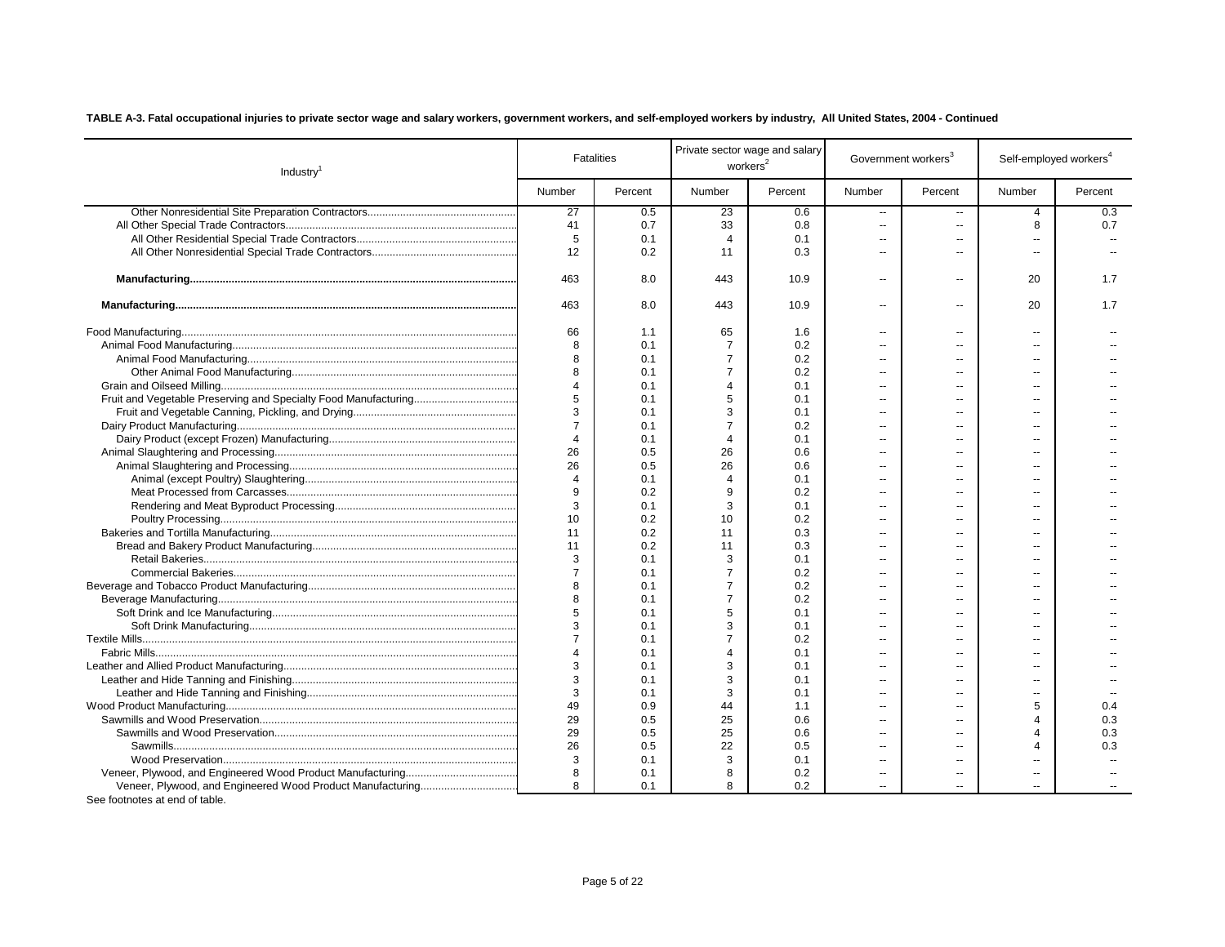| Industry <sup>1</sup> |                | <b>Fatalities</b> |                         | Private sector wage and salary<br>workers <sup>2</sup> |                          | Government workers <sup>3</sup> | Self-employed workers <sup>4</sup> |         |
|-----------------------|----------------|-------------------|-------------------------|--------------------------------------------------------|--------------------------|---------------------------------|------------------------------------|---------|
|                       | Number         | Percent           | Number                  | Percent                                                | Number                   | Percent                         | Number                             | Percent |
|                       | 27             | 0.5               | 23                      | 0.6                                                    | $\overline{\phantom{a}}$ | $\overline{a}$                  | 4                                  | 0.3     |
|                       | 41             | 0.7               | 33                      | 0.8                                                    | $\overline{\phantom{a}}$ | $\overline{a}$                  | 8                                  | 0.7     |
|                       | 5              | 0.1               | $\overline{4}$          | 0.1                                                    | $\overline{a}$           | $\overline{a}$                  | $\overline{a}$                     |         |
|                       | 12             | 0.2               | 11                      | 0.3                                                    | $\overline{a}$           | --                              | $\overline{a}$                     |         |
|                       | 463            | 8.0               | 443                     | 10.9                                                   | $\overline{a}$           | $\overline{a}$                  | 20                                 | 1.7     |
|                       | 463            | 8.0               | 443                     | 10.9                                                   | $\sim$ $\sim$            | $\overline{a}$                  | 20                                 | 1.7     |
|                       | 66             | 1.1               | 65                      | 1.6                                                    | $\sim$                   | $\overline{a}$                  | $\overline{\phantom{a}}$           |         |
|                       | 8              | 0.1               | $\overline{7}$          | 0.2                                                    | $\overline{a}$           | $\overline{a}$                  | $\overline{a}$                     |         |
|                       | 8              | 0.1               | $\overline{7}$          | 0.2                                                    | $\overline{a}$           | $\overline{a}$                  | $\overline{a}$                     |         |
|                       |                | 0.1               | $\overline{7}$          | 0.2                                                    | ц,                       |                                 |                                    |         |
|                       | $\overline{4}$ | 0.1               | $\overline{4}$          | 0.1                                                    | $\sim$                   |                                 | --                                 |         |
|                       | 5              | 0.1               | 5                       | 0.1                                                    | $\sim$                   |                                 | --                                 |         |
|                       | 3              | 0.1               | 3                       | 0.1                                                    | $\overline{a}$           | --                              | --                                 |         |
|                       | $\overline{7}$ | 0.1               | $\overline{7}$          | 0.2                                                    | $\sim$                   |                                 | --                                 |         |
|                       | $\overline{4}$ | 0.1               | $\boldsymbol{4}$        | 0.1                                                    | $\overline{a}$           | $\overline{a}$                  | --                                 |         |
|                       | 26             | 0.5               | 26                      | 0.6                                                    | $\overline{a}$           |                                 |                                    |         |
|                       | 26             | 0.5               | 26                      | 0.6                                                    | $\overline{a}$           |                                 |                                    |         |
|                       | $\overline{4}$ | 0.1               | $\overline{\mathbf{4}}$ | 0.1                                                    | ц,                       |                                 |                                    |         |
|                       | 9              | 0.2               | 9                       | 0.2                                                    | $\overline{a}$           | --                              | --                                 |         |
|                       | 3              | 0.1               | 3                       | 0.1                                                    | $\sim$                   |                                 |                                    |         |
|                       | 10             | 0.2               | 10                      | 0.2                                                    | $\sim$                   | ÷.                              |                                    |         |
|                       | 11             | 0.2               | 11                      | 0.3                                                    | Ц.                       |                                 |                                    |         |
|                       | 11             | 0.2               | 11                      | 0.3                                                    | Ξ.                       |                                 |                                    |         |
|                       | 3              | 0.1               | 3                       | 0.1                                                    |                          |                                 |                                    |         |
|                       | $\overline{7}$ | 0.1               | $\overline{7}$          | 0.2                                                    |                          | $\overline{a}$                  | --                                 |         |
|                       | 8              | 0.1               | $\overline{7}$          | 0.2                                                    | $\sim$                   | --                              | $\overline{\phantom{a}}$           |         |
|                       | 8              | 0.1               | $\overline{7}$          | 0.2                                                    | $\overline{a}$           | --                              | $\overline{\phantom{a}}$           |         |
|                       | 5              | 0.1               | 5                       | 0.1                                                    | $\overline{a}$           | $\overline{a}$                  | $\overline{a}$                     |         |
|                       | 3              | 0.1               | 3                       | 0.1                                                    |                          | $\overline{a}$                  | --                                 |         |
|                       | $\overline{7}$ | 0.1               | $\overline{7}$          | 0.2                                                    | Ξ.                       | $-$                             | --                                 |         |
|                       | $\Delta$       | 0.1               | $\Delta$                | 0.1                                                    | $\overline{a}$           | $\overline{a}$                  | --                                 |         |
|                       | 3              | 0.1               | 3                       | 0.1                                                    | $\overline{a}$           | $\overline{a}$                  | $\overline{a}$                     |         |
|                       | 3              | 0.1               | 3                       | 0.1                                                    | $\overline{a}$           | $\overline{a}$                  | $\overline{a}$                     |         |
|                       | 3              | 0.1               | 3                       | 0.1                                                    | $\sim$                   |                                 | $\overline{a}$                     |         |
|                       | 49             | 0.9               | 44                      | 1.1                                                    | $\overline{a}$           | $\overline{a}$                  | 5                                  | 0.4     |
|                       | 29             | 0.5               | 25                      | 0.6                                                    | $\overline{a}$           |                                 | $\overline{\mathbf{4}}$            | 0.3     |
|                       | 29             | 0.5               | 25                      | 0.6                                                    |                          | --                              | $\overline{\mathbf{4}}$            | 0.3     |
|                       | 26             | 0.5               | 22                      | 0.5                                                    |                          |                                 | $\overline{\mathbf{4}}$            | 0.3     |
|                       | 3              | 0.1               | 3                       | 0.1                                                    | $\overline{a}$           | $\overline{a}$                  | $\overline{a}$                     |         |
|                       | 8              | 0.1               | 8                       | 0.2                                                    | $\overline{a}$           | $\overline{a}$                  | --                                 |         |
|                       | 8              | 0.1               | 8                       | 0.2                                                    | $\sim$                   | $-$                             | $\overline{a}$                     |         |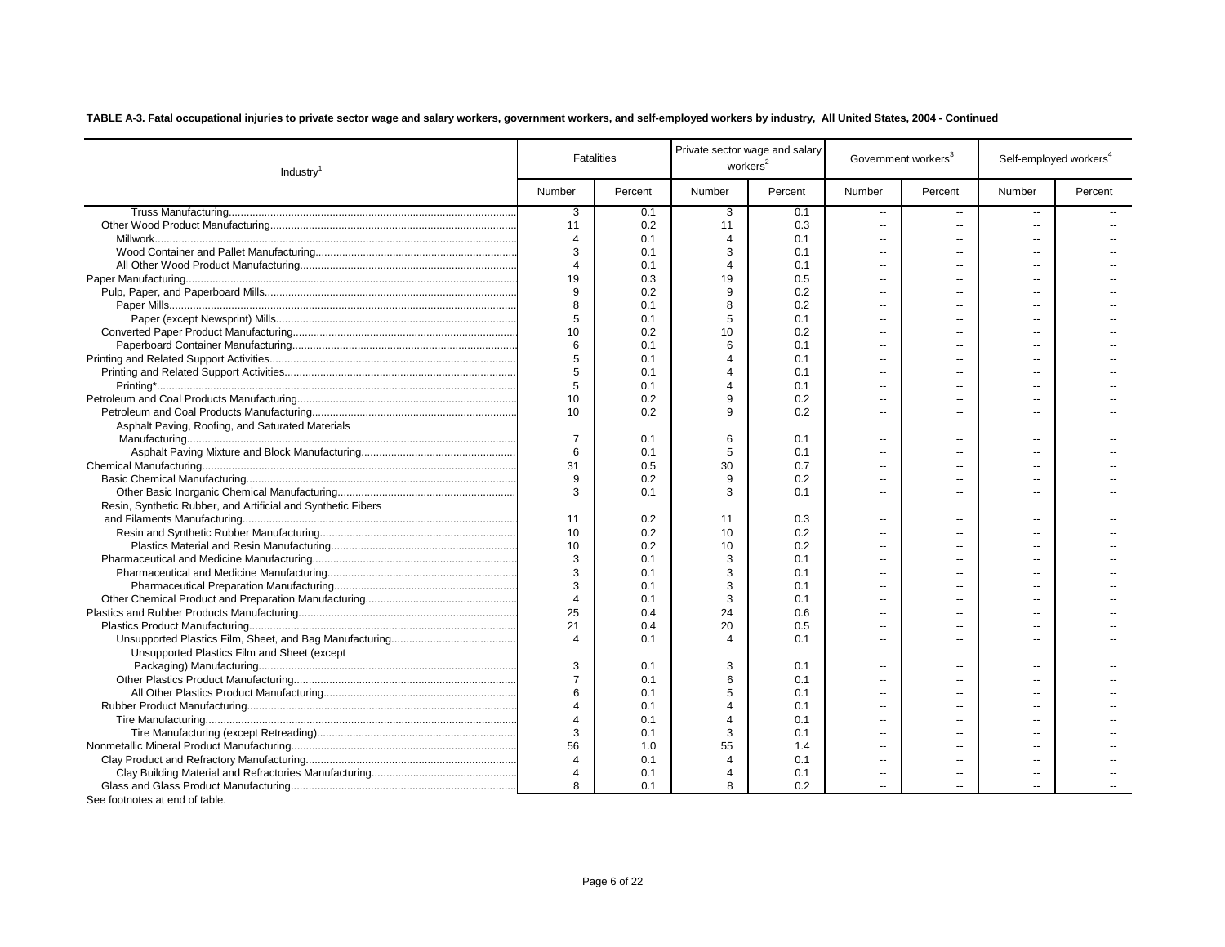| Industry                                                     |                       | <b>Fatalities</b> |                | Private sector wage and salary<br>workers <sup>2</sup> |                | Government workers <sup>3</sup> | Self-employed workers <sup>4</sup> |         |
|--------------------------------------------------------------|-----------------------|-------------------|----------------|--------------------------------------------------------|----------------|---------------------------------|------------------------------------|---------|
|                                                              | Number                | Percent           | Number         | Percent                                                | Number         | Percent                         | Number                             | Percent |
|                                                              | 3                     | 0.1               | 3              | 0.1                                                    | $\sim$         | $\sim$ $\sim$                   | $\overline{a}$                     |         |
|                                                              | 11                    | 0.2               | 11             | 0.3                                                    | $\sim$         | $\sim$                          | $\sim$                             |         |
|                                                              | $\overline{4}$        | 0.1               | $\overline{4}$ | 0.1                                                    | $\sim$         | $\sim$                          | $\overline{a}$                     |         |
|                                                              | 3                     | 0.1               | 3              | 0.1                                                    |                | $\overline{a}$                  | $\overline{a}$                     |         |
|                                                              | $\overline{4}$        | 0.1               | $\overline{4}$ | 0.1                                                    | $\sim$ $\sim$  | $\overline{a}$                  | $\overline{a}$                     |         |
|                                                              | 19                    | 0.3               | 19             | 0.5                                                    | $\overline{a}$ | $\sim$                          | $\overline{a}$                     |         |
|                                                              | 9                     | 0.2               | 9              | 0.2                                                    | $\sim$         | $\overline{a}$                  | $\sim$                             |         |
|                                                              | 8                     | 0.1               | 8              | 0.2                                                    | $\overline{a}$ | $\sim$                          | $\sim$                             |         |
|                                                              | 5                     | 0.1               | 5              | 0.1                                                    | $\overline{a}$ | $\overline{a}$                  |                                    |         |
|                                                              | 10                    | 0.2               | 10             | 0.2                                                    | $\overline{a}$ | $\sim$                          | $\overline{a}$                     |         |
|                                                              | 6                     | 0.1               | 6              | 0.1                                                    | $\overline{a}$ | --                              | $\overline{a}$                     |         |
|                                                              | 5                     | 0.1               | $\overline{4}$ | 0.1                                                    | ۰.             |                                 |                                    |         |
|                                                              | 5                     | 0.1               | $\Delta$       | 0.1                                                    |                |                                 |                                    |         |
|                                                              | 5                     | 0.1               | $\overline{4}$ | 0.1                                                    | --             | $\overline{a}$                  | $\overline{a}$                     |         |
|                                                              | 10                    | 0.2               | 9              | 0.2                                                    | $\overline{a}$ | $\overline{a}$                  | $\overline{a}$                     |         |
|                                                              | 10                    | 0.2               | q              | 0.2                                                    | $\overline{a}$ | $\overline{a}$                  | $\overline{a}$                     |         |
| Asphalt Paving, Roofing, and Saturated Materials             |                       |                   |                |                                                        |                |                                 |                                    |         |
|                                                              | $\overline{7}$        | 0.1               | 6              | 0.1                                                    |                | $\sim$ $\sim$                   |                                    |         |
|                                                              | 6                     | 0.1               | 5              | 0.1                                                    |                |                                 |                                    |         |
|                                                              | 31                    | 0.5               | 30             | 0.7                                                    | $\overline{a}$ |                                 |                                    |         |
|                                                              | 9                     | 0.2               | 9              | 0.2                                                    | $\overline{a}$ |                                 |                                    |         |
|                                                              | 3                     | 0.1               | 3              | 0.1                                                    | $\overline{a}$ |                                 |                                    |         |
| Resin, Synthetic Rubber, and Artificial and Synthetic Fibers |                       |                   |                |                                                        |                |                                 |                                    |         |
|                                                              | 11                    | 0.2               | 11             | 0.3                                                    |                | $\sim$ $\sim$                   | $\overline{a}$                     |         |
|                                                              | 10                    | 0.2               | 10             | 0.2                                                    |                |                                 |                                    |         |
|                                                              | 10                    | 0.2               | 10             | 0.2                                                    | ۰.             | $\sim$                          |                                    |         |
|                                                              | 3                     | 0.1               | 3              | 0.1                                                    |                |                                 |                                    |         |
|                                                              | 3                     | 0.1               | 3              | 0.1                                                    |                |                                 |                                    |         |
|                                                              | 3                     | 0.1               | 3              | 0.1                                                    |                |                                 |                                    |         |
|                                                              | $\overline{4}$        | 0.1               | 3              | 0.1                                                    | $\overline{a}$ | $\overline{\phantom{a}}$        |                                    |         |
|                                                              | 25                    | 0.4               | 24             | 0.6                                                    |                | $\overline{a}$                  |                                    |         |
|                                                              | 21                    | 0.4               | 20             | 0.5                                                    | ä.             | $\sim$                          |                                    |         |
|                                                              | $\overline{4}$        | 0.1               | $\overline{4}$ | 0.1                                                    |                |                                 |                                    |         |
| Unsupported Plastics Film and Sheet (except                  |                       |                   |                |                                                        |                |                                 |                                    |         |
|                                                              | 3                     | 0.1               | 3              | 0.1                                                    | $\overline{a}$ | $\overline{\phantom{a}}$        | $\overline{a}$                     |         |
|                                                              | $\overline{7}$        | 0.1               | 6              | 0.1                                                    | $\sim$         | $\sim$                          |                                    |         |
|                                                              | 6                     | 0.1               | 5              | 0.1                                                    | $\overline{a}$ | $\overline{a}$                  | $\overline{a}$                     |         |
|                                                              | $\overline{4}$        | 0.1               | $\Delta$       | 0.1                                                    | $\overline{a}$ | $\overline{\phantom{a}}$        |                                    |         |
|                                                              | $\boldsymbol{\Delta}$ | 0.1               | $\Delta$       | 0.1                                                    | $\overline{a}$ | $-$                             | $\overline{a}$                     |         |
|                                                              | 3                     | 0.1               | 3              | 0.1                                                    | $\sim$ $\sim$  | $\sim$                          | $\overline{a}$                     |         |
|                                                              | 56                    | 1.0               | 55             | 1.4                                                    | $\sim$         | $-$                             | $\sim$                             |         |
|                                                              | $\overline{4}$        | 0.1               | $\overline{4}$ | 0.1                                                    | $\overline{a}$ | $\sim$                          | $\overline{a}$                     |         |
|                                                              | $\overline{4}$        | 0.1               | 4              | 0.1                                                    | $\overline{a}$ | $\overline{a}$                  | $\overline{a}$                     |         |
|                                                              | $\mathsf{R}$          | 0.1               | 8              | 0.2                                                    | $\mathbf{u}$   | $\sim$                          | $\overline{a}$                     |         |
|                                                              |                       |                   |                |                                                        |                |                                 |                                    |         |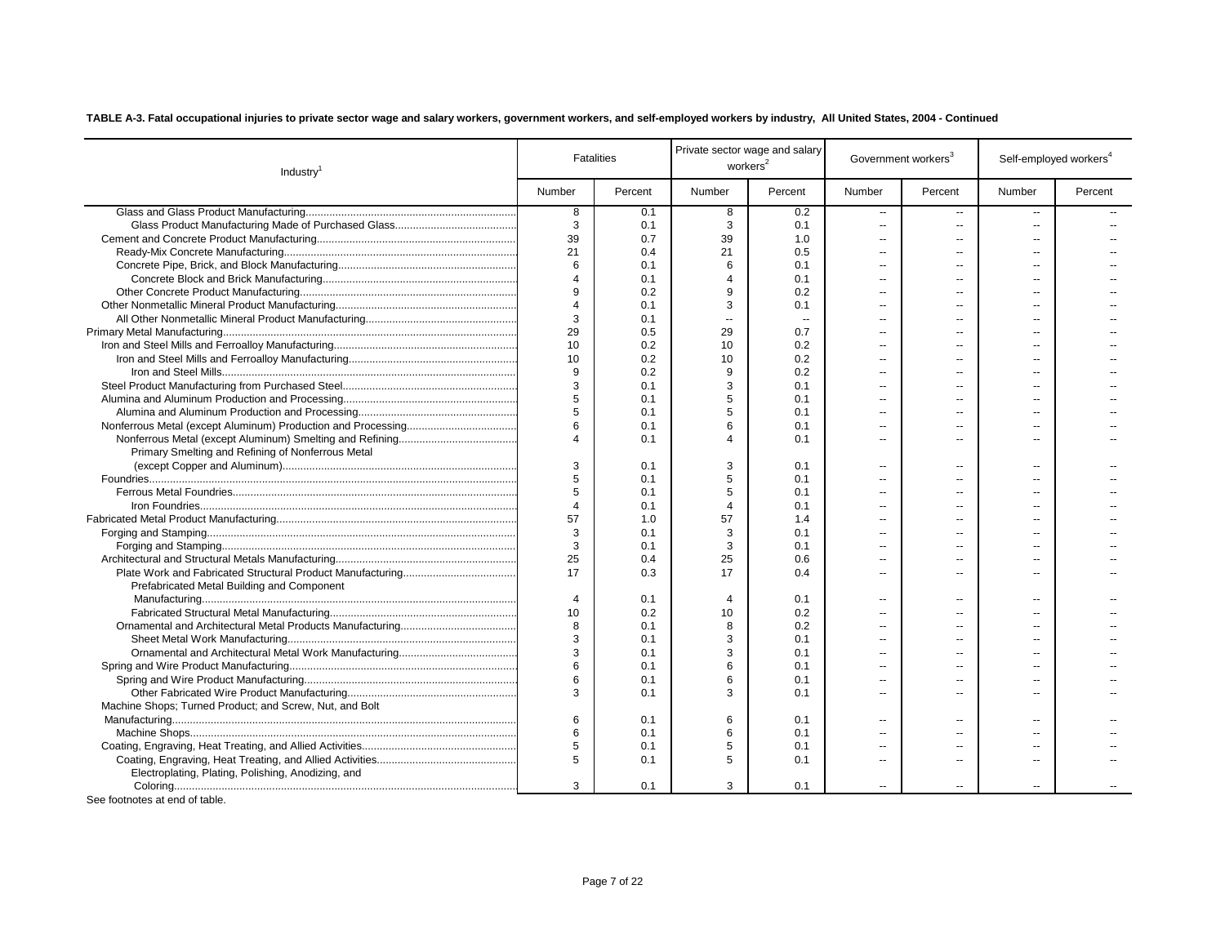| Industry <sup>1</sup>                                   |                | <b>Fatalities</b> | workers <sup>2</sup>  | Private sector wage and salary | Government workers <sup>3</sup> |                          | Self-employed workers <sup>4</sup> |         |
|---------------------------------------------------------|----------------|-------------------|-----------------------|--------------------------------|---------------------------------|--------------------------|------------------------------------|---------|
|                                                         | Number         | Percent           | Number                | Percent                        | Number                          | Percent                  | Number                             | Percent |
|                                                         | 8              | 0.1               | 8                     | 0.2                            | $\overline{\phantom{a}}$        | $\sim$                   | ш,                                 |         |
|                                                         | 3              | 0.1               | 3                     | 0.1                            | $\overline{\phantom{a}}$        | $\overline{a}$           |                                    |         |
|                                                         | 39             | 0.7               | 39                    | 1.0                            |                                 |                          |                                    |         |
|                                                         | 21             | 0.4               | 21                    | 0.5                            | $\overline{\phantom{a}}$        | $-1$                     |                                    |         |
|                                                         | 6              | 0.1               | 6                     | 0.1                            | $\overline{a}$                  | $\overline{a}$           |                                    |         |
|                                                         | $\Delta$       | 0.1               | $\overline{4}$        | 0.1                            | $\overline{a}$                  |                          | -−                                 |         |
|                                                         | 9              | 0.2               | 9                     | 0.2                            | $\overline{a}$                  | $\overline{a}$           | $\overline{a}$                     |         |
|                                                         | $\overline{4}$ | 0.1               | 3                     | 0.1                            | $\overline{a}$                  | $-$                      | $\overline{a}$                     |         |
|                                                         | 3              | 0.1               | $\mathbf{a}$          | $\sim$                         | $\overline{a}$                  | $\overline{a}$           | $\overline{a}$                     |         |
|                                                         | 29             | 0.5               | 29                    | 0.7                            | $\overline{a}$                  |                          |                                    |         |
|                                                         | 10             | 0.2               | 10                    | 0.2                            | $\overline{a}$                  | $-$                      | $\overline{a}$                     |         |
|                                                         | 10             | 0.2               | 10                    | 0.2                            | --                              | --                       | $\overline{a}$                     |         |
|                                                         | 9              | 0.2               | 9                     | 0.2                            | $\overline{\phantom{a}}$        | --                       | --                                 |         |
|                                                         | 3              | 0.1               | 3                     | 0.1                            | $\overline{\phantom{a}}$        | $\overline{a}$           | $\overline{a}$                     |         |
|                                                         | 5              | 0.1               | 5                     | 0.1                            | $\overline{a}$                  | $\overline{a}$           | $\sim$                             |         |
|                                                         | 5              | 0.1               | 5                     | 0.1                            | $\overline{a}$                  | --                       | $\sim$                             |         |
|                                                         | 6              | 0.1               | 6                     | 0.1                            | $\overline{a}$                  | --                       | $\overline{a}$                     |         |
|                                                         | 4              | 0.1               | $\boldsymbol{\Delta}$ | 0.1                            | $\overline{a}$                  | --                       | $\overline{a}$                     |         |
| Primary Smelting and Refining of Nonferrous Metal       |                |                   |                       |                                |                                 |                          |                                    |         |
|                                                         | 3              | 0.1               | 3                     | 0.1                            | $\overline{a}$                  | $\overline{a}$           | $\overline{a}$                     |         |
|                                                         | 5              | 0.1               | 5                     | 0.1                            | $\overline{a}$                  | $-$                      | $-$                                |         |
|                                                         | 5              | 0.1               | 5                     | 0.1                            | $\overline{a}$                  | $\sim$                   | $-$                                |         |
|                                                         | $\overline{4}$ | 0.1               | $\overline{4}$        | 0.1                            | $\overline{a}$                  | --                       | $\overline{a}$                     |         |
|                                                         | 57             | 1.0               | 57                    | 1.4                            | $\overline{a}$                  | --                       | $\overline{a}$                     |         |
|                                                         | 3              | 0.1               | 3                     | 0.1                            | $\overline{a}$                  | $\overline{a}$           | $\overline{a}$                     |         |
|                                                         | 3              | 0.1               | 3                     | 0.1                            | $\overline{a}$                  | --                       | $\overline{a}$                     |         |
|                                                         | 25             | 0.4               | 25                    | 0.6                            | $\overline{a}$                  | $\overline{a}$           | $\overline{a}$                     |         |
|                                                         | 17             | 0.3               | 17                    | 0.4                            |                                 | $\overline{a}$           |                                    |         |
| Prefabricated Metal Building and Component              |                |                   |                       |                                |                                 |                          |                                    |         |
|                                                         | $\overline{4}$ | 0.1               | $\overline{4}$        | 0.1                            |                                 | $-1$                     |                                    |         |
|                                                         | 10             | 0.2               | 10                    | 0.2                            | $\overline{\phantom{a}}$        | $\overline{a}$           |                                    |         |
|                                                         | 8              | 0.1               | 8                     | 0.2                            | $\overline{a}$                  | --                       |                                    |         |
|                                                         | 3              | 0.1               | 3                     | 0.1                            | $\overline{\phantom{a}}$        | $\overline{a}$           | --                                 |         |
|                                                         | 3              | 0.1               | 3                     | 0.1                            | $\overline{\phantom{a}}$        | $\overline{a}$           | $\overline{a}$                     |         |
|                                                         | 6              | 0.1               | 6                     | 0.1                            | $\overline{\phantom{a}}$        | $\overline{a}$           |                                    |         |
|                                                         | 6              | 0.1               | 6                     | 0.1                            | $\overline{\phantom{a}}$        |                          |                                    |         |
|                                                         | 3              | 0.1               | 3                     | 0.1                            | $\overline{\phantom{a}}$        | $\overline{a}$           | --                                 |         |
| Machine Shops; Turned Product; and Screw, Nut, and Bolt |                |                   |                       |                                |                                 |                          |                                    |         |
|                                                         | 6              | 0.1               | 6                     | 0.1                            | --                              | $\overline{\phantom{a}}$ | $\overline{a}$                     |         |
|                                                         | 6              | 0.1               | 6                     | 0.1                            | Ξ.                              | --                       | --                                 |         |
|                                                         | 5              | 0.1               | 5                     | 0.1                            | $\overline{a}$                  | $\overline{\phantom{a}}$ | --                                 |         |
|                                                         | 5              | 0.1               | 5                     | 0.1                            | ш,                              | $\overline{a}$           | $\overline{a}$                     |         |
| Electroplating, Plating, Polishing, Anodizing, and      |                |                   |                       |                                |                                 |                          |                                    |         |
| See footnotes at end of table.                          | 3              | 0.1               | 3                     | 0.1                            |                                 |                          |                                    |         |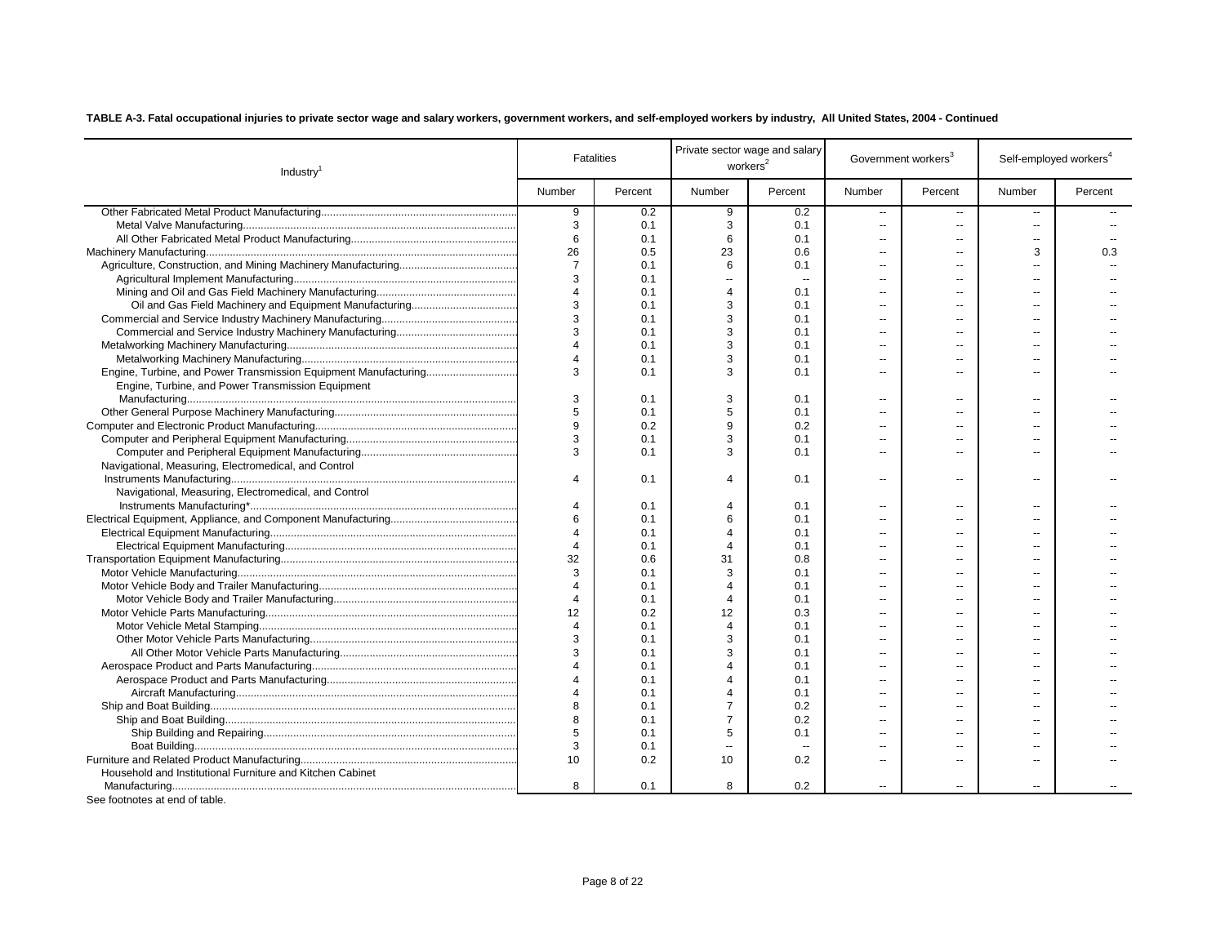| Industry <sup>1</sup>                                           |                          | <b>Fatalities</b> | workers <sup>2</sup> | Private sector wage and salary | Government workers <sup>3</sup> |                | Self-employed workers <sup>4</sup> |         |
|-----------------------------------------------------------------|--------------------------|-------------------|----------------------|--------------------------------|---------------------------------|----------------|------------------------------------|---------|
|                                                                 | Number                   | Percent           | Number               | Percent                        | Number                          | Percent        | Number                             | Percent |
|                                                                 | 9                        | 0.2               | 9                    | 0.2                            | $\sim$                          | $\sim$         | $\overline{a}$                     |         |
|                                                                 | 3                        | 0.1               | 3                    | 0.1                            | $\overline{a}$                  | $\sim$         | $\overline{a}$                     |         |
|                                                                 | 6                        | 0.1               | 6                    | 0.1                            | $\overline{a}$                  | $-$            | $\overline{a}$                     |         |
|                                                                 | 26                       | 0.5               | 23                   | 0.6                            | $\overline{a}$                  | $\overline{a}$ | 3                                  | 0.3     |
|                                                                 | $\overline{7}$           | 0.1               | 6                    | 0.1                            | $\overline{a}$                  | $-$            | $\overline{a}$                     |         |
|                                                                 | 3                        | 0.1               | ÷.                   | $\sim$                         | $\sim$                          | $-$            | $\sim$                             |         |
|                                                                 | $\boldsymbol{\Delta}$    | 0.1               | $\overline{4}$       | 0.1                            | $\sim$                          |                | $\sim$                             |         |
|                                                                 | 3                        | 0.1               | 3                    | 0.1                            | $\overline{a}$                  | $\sim$         | $\sim$                             |         |
|                                                                 | 3                        | 0.1               | 3                    | 0.1                            | $\overline{a}$                  |                | $\overline{a}$                     |         |
|                                                                 | 3                        | 0.1               | 3                    | 0.1                            | ۰.                              | $\overline{a}$ | $\overline{a}$                     |         |
|                                                                 | $\boldsymbol{\varDelta}$ | 0.1               | 3                    | 0.1                            | ۰.                              |                | $\overline{a}$                     |         |
|                                                                 | $\overline{4}$           | 0.1               | 3                    | 0.1                            | ۰.                              | $\overline{a}$ | $\overline{a}$                     |         |
| Engine, Turbine, and Power Transmission Equipment Manufacturing | 3                        | 0.1               | 3                    | 0.1                            | $\overline{a}$                  | $\overline{a}$ | $\overline{a}$                     |         |
| Engine, Turbine, and Power Transmission Equipment               |                          |                   |                      |                                |                                 |                |                                    |         |
|                                                                 | 3                        | 0.1               | 3                    | 0.1                            | ۰.                              | $\sim$         | $\overline{a}$                     |         |
|                                                                 | 5                        | 0.1               | 5                    | 0.1                            | ۰.                              | $\overline{a}$ | $\overline{a}$                     |         |
|                                                                 | 9                        | 0.2               | 9                    | 0.2                            | ۰.                              |                | $\overline{a}$                     |         |
|                                                                 | 3                        | 0.1               | 3                    | 0.1                            | ۰.                              | $\overline{a}$ | $\overline{a}$                     |         |
|                                                                 | 3                        | 0.1               | 3                    | 0.1                            | ۰.                              | $\overline{a}$ | $\overline{a}$                     |         |
| Navigational, Measuring, Electromedical, and Control            |                          |                   |                      |                                |                                 |                |                                    |         |
|                                                                 | $\overline{4}$           | 0.1               | $\overline{4}$       | 0.1                            | ۰.                              | $\sim$         | $\sim$                             |         |
| Navigational, Measuring, Electromedical, and Control            |                          |                   |                      |                                |                                 |                |                                    |         |
|                                                                 | $\overline{4}$           | 0.1               | $\overline{4}$       | 0.1                            | --                              |                | --                                 |         |
|                                                                 | 6                        | 0.1               | 6                    | 0.1                            | ۰.                              | -−             | $\overline{a}$                     |         |
|                                                                 | $\overline{4}$           | 0.1               | $\overline{4}$       | 0.1                            | ۰.                              |                | $\overline{a}$                     |         |
|                                                                 | $\overline{4}$           | 0.1               | $\overline{4}$       | 0.1                            | $\overline{a}$                  | $\overline{a}$ | $\sim$                             |         |
|                                                                 | 32                       | 0.6               | 31                   | 0.8                            | $\overline{a}$                  |                | $\sim$                             |         |
|                                                                 | 3                        | 0.1               | 3                    | 0.1                            | ۰.                              |                | $\overline{a}$                     |         |
|                                                                 | $\overline{4}$           | 0.1               | $\overline{4}$       | 0.1                            | -−                              |                |                                    |         |
|                                                                 | $\overline{4}$           | 0.1               | $\overline{4}$       | 0.1                            | -−                              | -−             | $\overline{a}$                     |         |
|                                                                 | 12                       | 0.2               | 12                   | 0.3                            | ۰.                              |                | $\overline{a}$                     |         |
|                                                                 | $\overline{4}$           | 0.1               | $\overline{4}$       | 0.1                            | ۰.                              | $\overline{a}$ | $\overline{a}$                     |         |
|                                                                 | 3                        | 0.1               | 3                    | 0.1                            | ۰.                              |                | $\overline{a}$                     |         |
|                                                                 | 3                        | 0.1               | 3                    | 0.1                            | -−                              |                | $\overline{a}$                     |         |
|                                                                 | $\overline{A}$           | 0.1               | $\Delta$             | 0.1                            | ۰.                              |                |                                    |         |
|                                                                 | $\overline{A}$           | 0.1               | $\Delta$             | 0.1                            | $\overline{a}$                  | $\overline{a}$ | $\overline{\phantom{a}}$           |         |
|                                                                 | $\overline{A}$           | 0.1               | $\Delta$             | 0.1                            | $\overline{a}$                  |                | $\overline{a}$                     |         |
|                                                                 | $\mathbf{g}$             | 0.1               | $\overline{7}$       | 0.2                            | $\overline{a}$                  | $-$            | $\overline{a}$                     |         |
|                                                                 | $\mathbf{g}$             | 0.1               | $\overline{7}$       | 0.2                            | $\overline{a}$                  |                | $\overline{a}$                     |         |
|                                                                 | 5                        | 0.1               | 5                    | 0.1                            | $\overline{a}$                  |                | $\overline{a}$                     |         |
|                                                                 | 3                        | 0.1               |                      |                                | $\overline{a}$                  |                | $\overline{a}$                     |         |
|                                                                 | 10                       | 0.2               | 10                   | 0.2                            | $\overline{\phantom{a}}$        | $\overline{a}$ | $\overline{a}$                     |         |
| Household and Institutional Furniture and Kitchen Cabinet       |                          |                   |                      |                                |                                 |                |                                    |         |
|                                                                 | 8                        | 0.1               | 8                    | 0.2                            | $\overline{a}$                  | $\sim$         | $\overline{\phantom{a}}$           |         |
| $\Gamma$ as footnates at and of table.                          |                          |                   |                      |                                |                                 |                |                                    |         |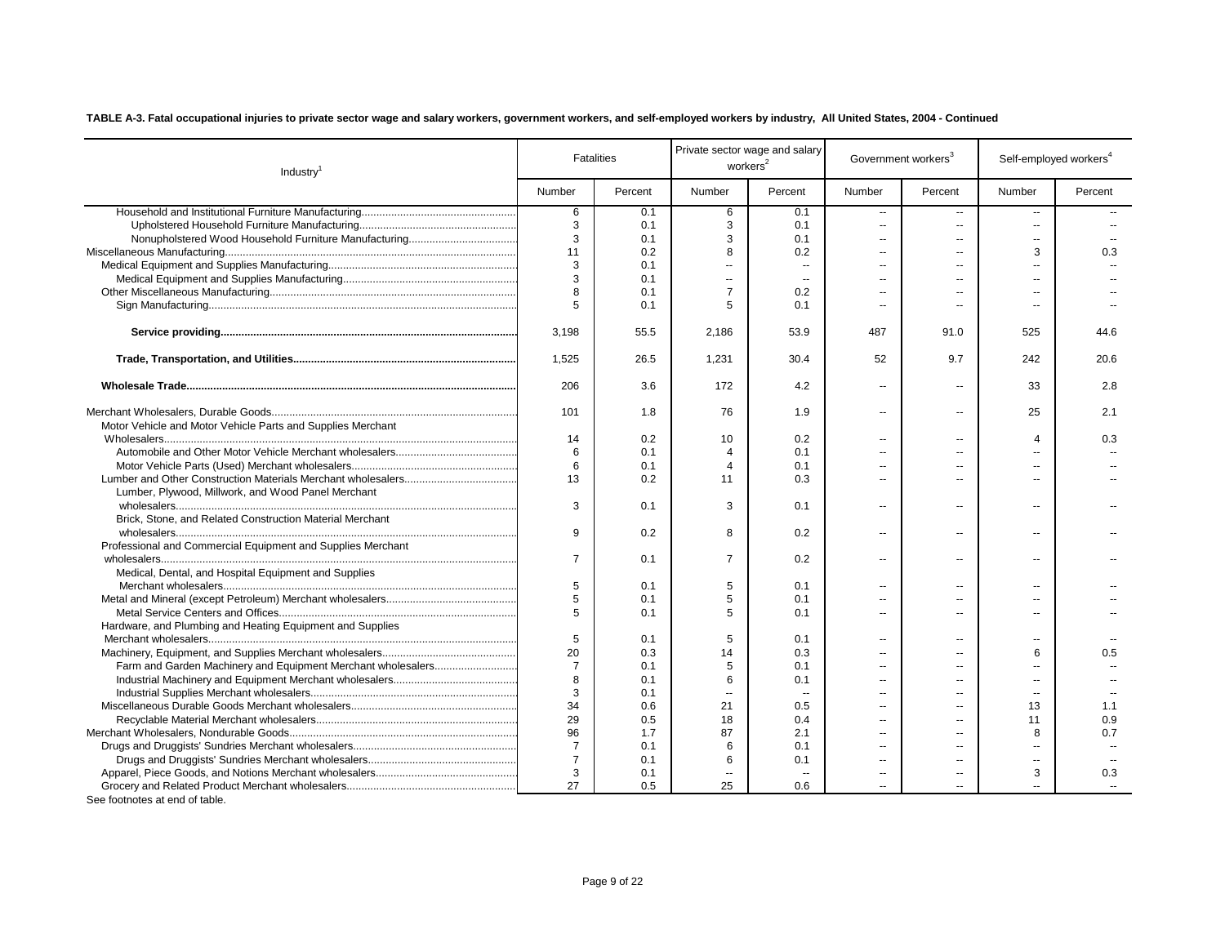| Number<br>Number<br>Percent<br>Percent<br>Number<br>Percent<br>Number<br>Percent<br>6<br>6<br>0.1<br>0.1<br>$\overline{\phantom{a}}$<br>$\overline{\phantom{a}}$<br>Ξ.<br>3<br>3<br>0.1<br>0.1<br>$\ddotsc$<br>Ξ.<br>$\overline{a}$<br>3<br>3<br>0.1<br>0.1<br>$\sim$<br>$\overline{a}$<br>$\overline{a}$<br>11<br>0.2<br>8<br>0.2<br>3<br>0.3<br>$\sim$<br>$\overline{a}$<br>3<br>0.1<br>$\sim$<br>$\sim$<br>$\overline{a}$<br>$\overline{a}$<br>3<br>0.1<br>$\mathbf{u}$<br>$\sim$<br>$\overline{a}$<br>$\overline{a}$<br>$\overline{a}$<br>$\overline{7}$<br>8<br>0.1<br>0.2<br>$\overline{a}$<br>5<br>5<br>0.1<br>0.1<br>$\sim$<br>$\overline{a}$<br>$\overline{\phantom{a}}$<br>3,198<br>55.5<br>2,186<br>53.9<br>487<br>91.0<br>525<br>44.6<br>1,525<br>26.5<br>1,231<br>30.4<br>52<br>9.7<br>242<br>20.6<br>206<br>3.6<br>172<br>4.2<br>33<br>2.8<br>$\overline{a}$<br>Ξ.<br>101<br>76<br>25<br>2.1<br>1.8<br>1.9<br>$\overline{\phantom{a}}$<br>٠.<br>Motor Vehicle and Motor Vehicle Parts and Supplies Merchant<br>0.2<br>10<br>0.2<br>0.3<br>14<br>$\Delta$<br>$\overline{a}$<br>$\overline{a}$<br>6<br>0.1<br>0.1<br>$\overline{4}$<br>$\sim$<br>$\overline{a}$<br>6<br>0.1<br>$\overline{4}$<br>0.1<br>$\sim$<br>$\overline{a}$<br>13<br>0.2<br>0.3<br>11<br>Ξ.<br>$\overline{a}$<br>Lumber, Plywood, Millwork, and Wood Panel Merchant<br>3<br>3<br>0.1<br>0.1<br>$\overline{\phantom{a}}$<br>ц,<br>۰.<br>Brick, Stone, and Related Construction Material Merchant<br>9<br>0.2<br>8<br>0.2<br>۰.<br>ц,<br>$\overline{a}$<br>Professional and Commercial Equipment and Supplies Merchant<br>$\overline{7}$<br>$\overline{7}$<br>0.1<br>0.2<br>$\overline{a}$<br>$\sim$<br>--<br>Medical, Dental, and Hospital Equipment and Supplies<br>5<br>5<br>0.1<br>0.1<br>$\sim$<br>--<br>٠.<br>5<br>5<br>0.1<br>0.1<br>Ξ.<br>۰.<br>5<br>5<br>0.1<br>0.1<br>$\overline{a}$<br>$\overline{a}$<br>Hardware, and Plumbing and Heating Equipment and Supplies<br>5<br>5<br>0.1<br>0.1<br>$\overline{a}$<br>--<br>$\overline{\phantom{a}}$<br>20<br>14<br>0.3<br>6<br>0.3<br>0.5<br>$\overline{a}$<br>$\overline{a}$<br>$\overline{7}$<br>Farm and Garden Machinery and Equipment Merchant wholesalers<br>5<br>0.1<br>0.1<br>۰.<br>÷-<br>$\overline{a}$<br>8<br>0.1<br>6<br>0.1<br>$\overline{a}$<br>$\overline{a}$<br>3<br>0.1<br>$\overline{a}$<br>$\sim$<br>$\overline{a}$<br>$\overline{a}$<br>$\overline{a}$<br>34<br>0.6<br>21<br>0.5<br>13<br>1.1<br>$\sim$<br>$\overline{a}$<br>29<br>0.5<br>18<br>0.4<br>0.9<br>11<br>$\sim$<br>96<br>87<br>1.7<br>2.1<br>0.7<br>8<br>$\sim$<br>$\overline{a}$<br>$\overline{7}$<br>6<br>0.1<br>0.1<br>--<br>$\overline{\phantom{a}}$<br>$\overline{7}$<br>0.1<br>6<br>0.1<br>$\sim$<br>$\overline{\phantom{a}}$<br>$\overline{\phantom{a}}$<br>3<br>0.3<br>0.1<br>3<br>$\sim$<br>$\overline{\phantom{a}}$<br>$\overline{a}$<br>$\overline{a}$<br>27<br>0.5<br>25<br>0.6<br>$\overline{a}$<br>$\sim$ | Industry <sup>1</sup> | <b>Fatalities</b> | Private sector wage and salary<br>workers <sup>2</sup> |  | Government workers <sup>3</sup> | Self-employed workers <sup>4</sup> |  |
|---------------------------------------------------------------------------------------------------------------------------------------------------------------------------------------------------------------------------------------------------------------------------------------------------------------------------------------------------------------------------------------------------------------------------------------------------------------------------------------------------------------------------------------------------------------------------------------------------------------------------------------------------------------------------------------------------------------------------------------------------------------------------------------------------------------------------------------------------------------------------------------------------------------------------------------------------------------------------------------------------------------------------------------------------------------------------------------------------------------------------------------------------------------------------------------------------------------------------------------------------------------------------------------------------------------------------------------------------------------------------------------------------------------------------------------------------------------------------------------------------------------------------------------------------------------------------------------------------------------------------------------------------------------------------------------------------------------------------------------------------------------------------------------------------------------------------------------------------------------------------------------------------------------------------------------------------------------------------------------------------------------------------------------------------------------------------------------------------------------------------------------------------------------------------------------------------------------------------------------------------------------------------------------------------------------------------------------------------------------------------------------------------------------------------------------------------------------------------------------------------------------------------------------------------------------------------------------------------------------------------------------------------------------------------------------------------------------------------------------------------------------------------------------------------------------------------------------------------------------------------------------------------------------------------------------------|-----------------------|-------------------|--------------------------------------------------------|--|---------------------------------|------------------------------------|--|
|                                                                                                                                                                                                                                                                                                                                                                                                                                                                                                                                                                                                                                                                                                                                                                                                                                                                                                                                                                                                                                                                                                                                                                                                                                                                                                                                                                                                                                                                                                                                                                                                                                                                                                                                                                                                                                                                                                                                                                                                                                                                                                                                                                                                                                                                                                                                                                                                                                                                                                                                                                                                                                                                                                                                                                                                                                                                                                                                             |                       |                   |                                                        |  |                                 |                                    |  |
|                                                                                                                                                                                                                                                                                                                                                                                                                                                                                                                                                                                                                                                                                                                                                                                                                                                                                                                                                                                                                                                                                                                                                                                                                                                                                                                                                                                                                                                                                                                                                                                                                                                                                                                                                                                                                                                                                                                                                                                                                                                                                                                                                                                                                                                                                                                                                                                                                                                                                                                                                                                                                                                                                                                                                                                                                                                                                                                                             |                       |                   |                                                        |  |                                 |                                    |  |
|                                                                                                                                                                                                                                                                                                                                                                                                                                                                                                                                                                                                                                                                                                                                                                                                                                                                                                                                                                                                                                                                                                                                                                                                                                                                                                                                                                                                                                                                                                                                                                                                                                                                                                                                                                                                                                                                                                                                                                                                                                                                                                                                                                                                                                                                                                                                                                                                                                                                                                                                                                                                                                                                                                                                                                                                                                                                                                                                             |                       |                   |                                                        |  |                                 |                                    |  |
|                                                                                                                                                                                                                                                                                                                                                                                                                                                                                                                                                                                                                                                                                                                                                                                                                                                                                                                                                                                                                                                                                                                                                                                                                                                                                                                                                                                                                                                                                                                                                                                                                                                                                                                                                                                                                                                                                                                                                                                                                                                                                                                                                                                                                                                                                                                                                                                                                                                                                                                                                                                                                                                                                                                                                                                                                                                                                                                                             |                       |                   |                                                        |  |                                 |                                    |  |
|                                                                                                                                                                                                                                                                                                                                                                                                                                                                                                                                                                                                                                                                                                                                                                                                                                                                                                                                                                                                                                                                                                                                                                                                                                                                                                                                                                                                                                                                                                                                                                                                                                                                                                                                                                                                                                                                                                                                                                                                                                                                                                                                                                                                                                                                                                                                                                                                                                                                                                                                                                                                                                                                                                                                                                                                                                                                                                                                             |                       |                   |                                                        |  |                                 |                                    |  |
|                                                                                                                                                                                                                                                                                                                                                                                                                                                                                                                                                                                                                                                                                                                                                                                                                                                                                                                                                                                                                                                                                                                                                                                                                                                                                                                                                                                                                                                                                                                                                                                                                                                                                                                                                                                                                                                                                                                                                                                                                                                                                                                                                                                                                                                                                                                                                                                                                                                                                                                                                                                                                                                                                                                                                                                                                                                                                                                                             |                       |                   |                                                        |  |                                 |                                    |  |
|                                                                                                                                                                                                                                                                                                                                                                                                                                                                                                                                                                                                                                                                                                                                                                                                                                                                                                                                                                                                                                                                                                                                                                                                                                                                                                                                                                                                                                                                                                                                                                                                                                                                                                                                                                                                                                                                                                                                                                                                                                                                                                                                                                                                                                                                                                                                                                                                                                                                                                                                                                                                                                                                                                                                                                                                                                                                                                                                             |                       |                   |                                                        |  |                                 |                                    |  |
|                                                                                                                                                                                                                                                                                                                                                                                                                                                                                                                                                                                                                                                                                                                                                                                                                                                                                                                                                                                                                                                                                                                                                                                                                                                                                                                                                                                                                                                                                                                                                                                                                                                                                                                                                                                                                                                                                                                                                                                                                                                                                                                                                                                                                                                                                                                                                                                                                                                                                                                                                                                                                                                                                                                                                                                                                                                                                                                                             |                       |                   |                                                        |  |                                 |                                    |  |
|                                                                                                                                                                                                                                                                                                                                                                                                                                                                                                                                                                                                                                                                                                                                                                                                                                                                                                                                                                                                                                                                                                                                                                                                                                                                                                                                                                                                                                                                                                                                                                                                                                                                                                                                                                                                                                                                                                                                                                                                                                                                                                                                                                                                                                                                                                                                                                                                                                                                                                                                                                                                                                                                                                                                                                                                                                                                                                                                             |                       |                   |                                                        |  |                                 |                                    |  |
|                                                                                                                                                                                                                                                                                                                                                                                                                                                                                                                                                                                                                                                                                                                                                                                                                                                                                                                                                                                                                                                                                                                                                                                                                                                                                                                                                                                                                                                                                                                                                                                                                                                                                                                                                                                                                                                                                                                                                                                                                                                                                                                                                                                                                                                                                                                                                                                                                                                                                                                                                                                                                                                                                                                                                                                                                                                                                                                                             |                       |                   |                                                        |  |                                 |                                    |  |
|                                                                                                                                                                                                                                                                                                                                                                                                                                                                                                                                                                                                                                                                                                                                                                                                                                                                                                                                                                                                                                                                                                                                                                                                                                                                                                                                                                                                                                                                                                                                                                                                                                                                                                                                                                                                                                                                                                                                                                                                                                                                                                                                                                                                                                                                                                                                                                                                                                                                                                                                                                                                                                                                                                                                                                                                                                                                                                                                             |                       |                   |                                                        |  |                                 |                                    |  |
|                                                                                                                                                                                                                                                                                                                                                                                                                                                                                                                                                                                                                                                                                                                                                                                                                                                                                                                                                                                                                                                                                                                                                                                                                                                                                                                                                                                                                                                                                                                                                                                                                                                                                                                                                                                                                                                                                                                                                                                                                                                                                                                                                                                                                                                                                                                                                                                                                                                                                                                                                                                                                                                                                                                                                                                                                                                                                                                                             |                       |                   |                                                        |  |                                 |                                    |  |
|                                                                                                                                                                                                                                                                                                                                                                                                                                                                                                                                                                                                                                                                                                                                                                                                                                                                                                                                                                                                                                                                                                                                                                                                                                                                                                                                                                                                                                                                                                                                                                                                                                                                                                                                                                                                                                                                                                                                                                                                                                                                                                                                                                                                                                                                                                                                                                                                                                                                                                                                                                                                                                                                                                                                                                                                                                                                                                                                             |                       |                   |                                                        |  |                                 |                                    |  |
|                                                                                                                                                                                                                                                                                                                                                                                                                                                                                                                                                                                                                                                                                                                                                                                                                                                                                                                                                                                                                                                                                                                                                                                                                                                                                                                                                                                                                                                                                                                                                                                                                                                                                                                                                                                                                                                                                                                                                                                                                                                                                                                                                                                                                                                                                                                                                                                                                                                                                                                                                                                                                                                                                                                                                                                                                                                                                                                                             |                       |                   |                                                        |  |                                 |                                    |  |
|                                                                                                                                                                                                                                                                                                                                                                                                                                                                                                                                                                                                                                                                                                                                                                                                                                                                                                                                                                                                                                                                                                                                                                                                                                                                                                                                                                                                                                                                                                                                                                                                                                                                                                                                                                                                                                                                                                                                                                                                                                                                                                                                                                                                                                                                                                                                                                                                                                                                                                                                                                                                                                                                                                                                                                                                                                                                                                                                             |                       |                   |                                                        |  |                                 |                                    |  |
|                                                                                                                                                                                                                                                                                                                                                                                                                                                                                                                                                                                                                                                                                                                                                                                                                                                                                                                                                                                                                                                                                                                                                                                                                                                                                                                                                                                                                                                                                                                                                                                                                                                                                                                                                                                                                                                                                                                                                                                                                                                                                                                                                                                                                                                                                                                                                                                                                                                                                                                                                                                                                                                                                                                                                                                                                                                                                                                                             |                       |                   |                                                        |  |                                 |                                    |  |
|                                                                                                                                                                                                                                                                                                                                                                                                                                                                                                                                                                                                                                                                                                                                                                                                                                                                                                                                                                                                                                                                                                                                                                                                                                                                                                                                                                                                                                                                                                                                                                                                                                                                                                                                                                                                                                                                                                                                                                                                                                                                                                                                                                                                                                                                                                                                                                                                                                                                                                                                                                                                                                                                                                                                                                                                                                                                                                                                             |                       |                   |                                                        |  |                                 |                                    |  |
|                                                                                                                                                                                                                                                                                                                                                                                                                                                                                                                                                                                                                                                                                                                                                                                                                                                                                                                                                                                                                                                                                                                                                                                                                                                                                                                                                                                                                                                                                                                                                                                                                                                                                                                                                                                                                                                                                                                                                                                                                                                                                                                                                                                                                                                                                                                                                                                                                                                                                                                                                                                                                                                                                                                                                                                                                                                                                                                                             |                       |                   |                                                        |  |                                 |                                    |  |
|                                                                                                                                                                                                                                                                                                                                                                                                                                                                                                                                                                                                                                                                                                                                                                                                                                                                                                                                                                                                                                                                                                                                                                                                                                                                                                                                                                                                                                                                                                                                                                                                                                                                                                                                                                                                                                                                                                                                                                                                                                                                                                                                                                                                                                                                                                                                                                                                                                                                                                                                                                                                                                                                                                                                                                                                                                                                                                                                             |                       |                   |                                                        |  |                                 |                                    |  |
|                                                                                                                                                                                                                                                                                                                                                                                                                                                                                                                                                                                                                                                                                                                                                                                                                                                                                                                                                                                                                                                                                                                                                                                                                                                                                                                                                                                                                                                                                                                                                                                                                                                                                                                                                                                                                                                                                                                                                                                                                                                                                                                                                                                                                                                                                                                                                                                                                                                                                                                                                                                                                                                                                                                                                                                                                                                                                                                                             |                       |                   |                                                        |  |                                 |                                    |  |
|                                                                                                                                                                                                                                                                                                                                                                                                                                                                                                                                                                                                                                                                                                                                                                                                                                                                                                                                                                                                                                                                                                                                                                                                                                                                                                                                                                                                                                                                                                                                                                                                                                                                                                                                                                                                                                                                                                                                                                                                                                                                                                                                                                                                                                                                                                                                                                                                                                                                                                                                                                                                                                                                                                                                                                                                                                                                                                                                             |                       |                   |                                                        |  |                                 |                                    |  |
|                                                                                                                                                                                                                                                                                                                                                                                                                                                                                                                                                                                                                                                                                                                                                                                                                                                                                                                                                                                                                                                                                                                                                                                                                                                                                                                                                                                                                                                                                                                                                                                                                                                                                                                                                                                                                                                                                                                                                                                                                                                                                                                                                                                                                                                                                                                                                                                                                                                                                                                                                                                                                                                                                                                                                                                                                                                                                                                                             |                       |                   |                                                        |  |                                 |                                    |  |
|                                                                                                                                                                                                                                                                                                                                                                                                                                                                                                                                                                                                                                                                                                                                                                                                                                                                                                                                                                                                                                                                                                                                                                                                                                                                                                                                                                                                                                                                                                                                                                                                                                                                                                                                                                                                                                                                                                                                                                                                                                                                                                                                                                                                                                                                                                                                                                                                                                                                                                                                                                                                                                                                                                                                                                                                                                                                                                                                             |                       |                   |                                                        |  |                                 |                                    |  |
|                                                                                                                                                                                                                                                                                                                                                                                                                                                                                                                                                                                                                                                                                                                                                                                                                                                                                                                                                                                                                                                                                                                                                                                                                                                                                                                                                                                                                                                                                                                                                                                                                                                                                                                                                                                                                                                                                                                                                                                                                                                                                                                                                                                                                                                                                                                                                                                                                                                                                                                                                                                                                                                                                                                                                                                                                                                                                                                                             |                       |                   |                                                        |  |                                 |                                    |  |
|                                                                                                                                                                                                                                                                                                                                                                                                                                                                                                                                                                                                                                                                                                                                                                                                                                                                                                                                                                                                                                                                                                                                                                                                                                                                                                                                                                                                                                                                                                                                                                                                                                                                                                                                                                                                                                                                                                                                                                                                                                                                                                                                                                                                                                                                                                                                                                                                                                                                                                                                                                                                                                                                                                                                                                                                                                                                                                                                             |                       |                   |                                                        |  |                                 |                                    |  |
|                                                                                                                                                                                                                                                                                                                                                                                                                                                                                                                                                                                                                                                                                                                                                                                                                                                                                                                                                                                                                                                                                                                                                                                                                                                                                                                                                                                                                                                                                                                                                                                                                                                                                                                                                                                                                                                                                                                                                                                                                                                                                                                                                                                                                                                                                                                                                                                                                                                                                                                                                                                                                                                                                                                                                                                                                                                                                                                                             |                       |                   |                                                        |  |                                 |                                    |  |
|                                                                                                                                                                                                                                                                                                                                                                                                                                                                                                                                                                                                                                                                                                                                                                                                                                                                                                                                                                                                                                                                                                                                                                                                                                                                                                                                                                                                                                                                                                                                                                                                                                                                                                                                                                                                                                                                                                                                                                                                                                                                                                                                                                                                                                                                                                                                                                                                                                                                                                                                                                                                                                                                                                                                                                                                                                                                                                                                             |                       |                   |                                                        |  |                                 |                                    |  |
|                                                                                                                                                                                                                                                                                                                                                                                                                                                                                                                                                                                                                                                                                                                                                                                                                                                                                                                                                                                                                                                                                                                                                                                                                                                                                                                                                                                                                                                                                                                                                                                                                                                                                                                                                                                                                                                                                                                                                                                                                                                                                                                                                                                                                                                                                                                                                                                                                                                                                                                                                                                                                                                                                                                                                                                                                                                                                                                                             |                       |                   |                                                        |  |                                 |                                    |  |
|                                                                                                                                                                                                                                                                                                                                                                                                                                                                                                                                                                                                                                                                                                                                                                                                                                                                                                                                                                                                                                                                                                                                                                                                                                                                                                                                                                                                                                                                                                                                                                                                                                                                                                                                                                                                                                                                                                                                                                                                                                                                                                                                                                                                                                                                                                                                                                                                                                                                                                                                                                                                                                                                                                                                                                                                                                                                                                                                             |                       |                   |                                                        |  |                                 |                                    |  |
|                                                                                                                                                                                                                                                                                                                                                                                                                                                                                                                                                                                                                                                                                                                                                                                                                                                                                                                                                                                                                                                                                                                                                                                                                                                                                                                                                                                                                                                                                                                                                                                                                                                                                                                                                                                                                                                                                                                                                                                                                                                                                                                                                                                                                                                                                                                                                                                                                                                                                                                                                                                                                                                                                                                                                                                                                                                                                                                                             |                       |                   |                                                        |  |                                 |                                    |  |
|                                                                                                                                                                                                                                                                                                                                                                                                                                                                                                                                                                                                                                                                                                                                                                                                                                                                                                                                                                                                                                                                                                                                                                                                                                                                                                                                                                                                                                                                                                                                                                                                                                                                                                                                                                                                                                                                                                                                                                                                                                                                                                                                                                                                                                                                                                                                                                                                                                                                                                                                                                                                                                                                                                                                                                                                                                                                                                                                             |                       |                   |                                                        |  |                                 |                                    |  |
|                                                                                                                                                                                                                                                                                                                                                                                                                                                                                                                                                                                                                                                                                                                                                                                                                                                                                                                                                                                                                                                                                                                                                                                                                                                                                                                                                                                                                                                                                                                                                                                                                                                                                                                                                                                                                                                                                                                                                                                                                                                                                                                                                                                                                                                                                                                                                                                                                                                                                                                                                                                                                                                                                                                                                                                                                                                                                                                                             |                       |                   |                                                        |  |                                 |                                    |  |
|                                                                                                                                                                                                                                                                                                                                                                                                                                                                                                                                                                                                                                                                                                                                                                                                                                                                                                                                                                                                                                                                                                                                                                                                                                                                                                                                                                                                                                                                                                                                                                                                                                                                                                                                                                                                                                                                                                                                                                                                                                                                                                                                                                                                                                                                                                                                                                                                                                                                                                                                                                                                                                                                                                                                                                                                                                                                                                                                             |                       |                   |                                                        |  |                                 |                                    |  |
|                                                                                                                                                                                                                                                                                                                                                                                                                                                                                                                                                                                                                                                                                                                                                                                                                                                                                                                                                                                                                                                                                                                                                                                                                                                                                                                                                                                                                                                                                                                                                                                                                                                                                                                                                                                                                                                                                                                                                                                                                                                                                                                                                                                                                                                                                                                                                                                                                                                                                                                                                                                                                                                                                                                                                                                                                                                                                                                                             |                       |                   |                                                        |  |                                 |                                    |  |
|                                                                                                                                                                                                                                                                                                                                                                                                                                                                                                                                                                                                                                                                                                                                                                                                                                                                                                                                                                                                                                                                                                                                                                                                                                                                                                                                                                                                                                                                                                                                                                                                                                                                                                                                                                                                                                                                                                                                                                                                                                                                                                                                                                                                                                                                                                                                                                                                                                                                                                                                                                                                                                                                                                                                                                                                                                                                                                                                             |                       |                   |                                                        |  |                                 |                                    |  |
|                                                                                                                                                                                                                                                                                                                                                                                                                                                                                                                                                                                                                                                                                                                                                                                                                                                                                                                                                                                                                                                                                                                                                                                                                                                                                                                                                                                                                                                                                                                                                                                                                                                                                                                                                                                                                                                                                                                                                                                                                                                                                                                                                                                                                                                                                                                                                                                                                                                                                                                                                                                                                                                                                                                                                                                                                                                                                                                                             |                       |                   |                                                        |  |                                 |                                    |  |
|                                                                                                                                                                                                                                                                                                                                                                                                                                                                                                                                                                                                                                                                                                                                                                                                                                                                                                                                                                                                                                                                                                                                                                                                                                                                                                                                                                                                                                                                                                                                                                                                                                                                                                                                                                                                                                                                                                                                                                                                                                                                                                                                                                                                                                                                                                                                                                                                                                                                                                                                                                                                                                                                                                                                                                                                                                                                                                                                             |                       |                   |                                                        |  |                                 |                                    |  |
|                                                                                                                                                                                                                                                                                                                                                                                                                                                                                                                                                                                                                                                                                                                                                                                                                                                                                                                                                                                                                                                                                                                                                                                                                                                                                                                                                                                                                                                                                                                                                                                                                                                                                                                                                                                                                                                                                                                                                                                                                                                                                                                                                                                                                                                                                                                                                                                                                                                                                                                                                                                                                                                                                                                                                                                                                                                                                                                                             |                       |                   |                                                        |  |                                 |                                    |  |
|                                                                                                                                                                                                                                                                                                                                                                                                                                                                                                                                                                                                                                                                                                                                                                                                                                                                                                                                                                                                                                                                                                                                                                                                                                                                                                                                                                                                                                                                                                                                                                                                                                                                                                                                                                                                                                                                                                                                                                                                                                                                                                                                                                                                                                                                                                                                                                                                                                                                                                                                                                                                                                                                                                                                                                                                                                                                                                                                             |                       |                   |                                                        |  |                                 |                                    |  |
|                                                                                                                                                                                                                                                                                                                                                                                                                                                                                                                                                                                                                                                                                                                                                                                                                                                                                                                                                                                                                                                                                                                                                                                                                                                                                                                                                                                                                                                                                                                                                                                                                                                                                                                                                                                                                                                                                                                                                                                                                                                                                                                                                                                                                                                                                                                                                                                                                                                                                                                                                                                                                                                                                                                                                                                                                                                                                                                                             |                       |                   |                                                        |  |                                 |                                    |  |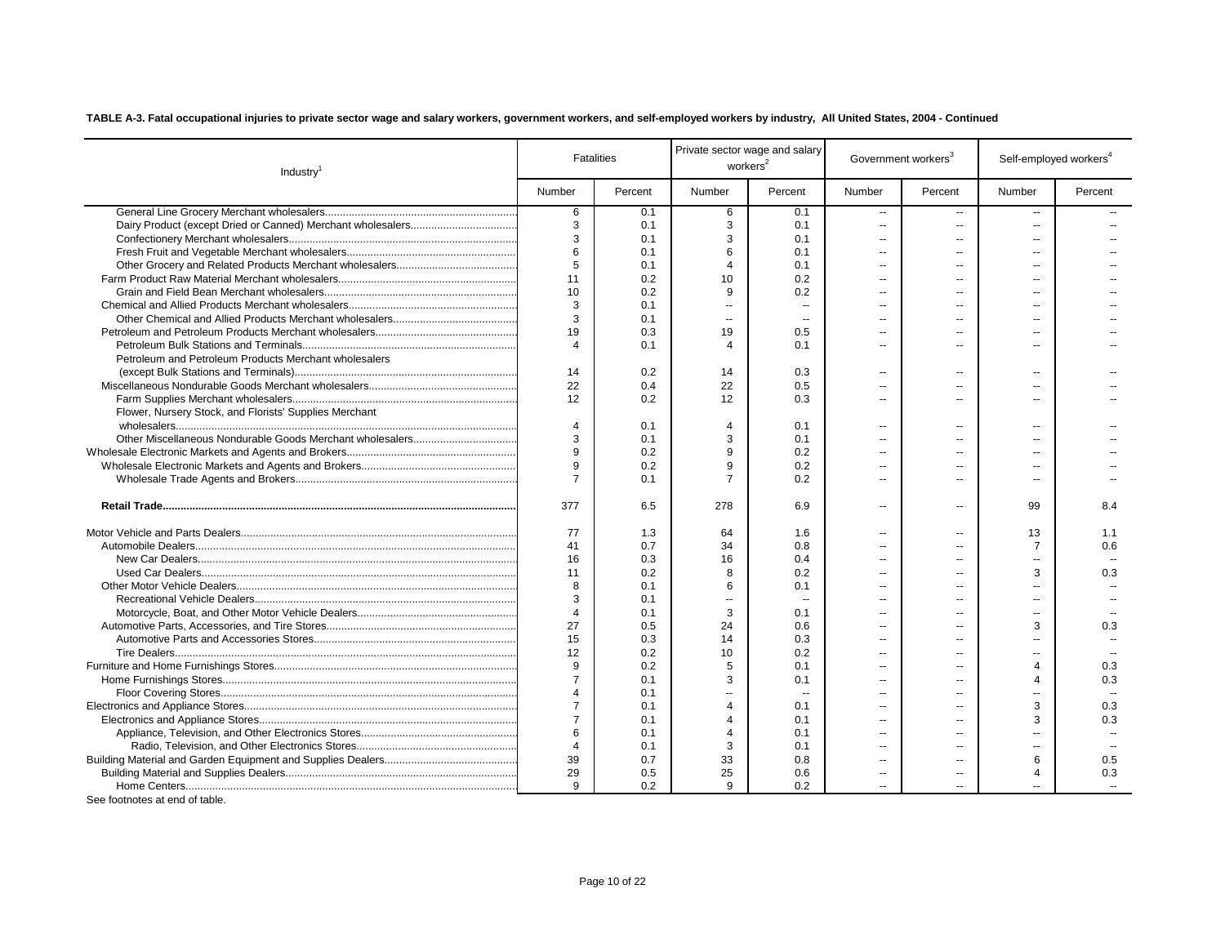| Industry <sup>1</sup>                                  |                       | <b>Fatalities</b> | Private sector wage and salary<br>workers <sup>2</sup> |                          | Government workers <sup>3</sup> |                          | Self-employed workers <sup>4</sup> |         |
|--------------------------------------------------------|-----------------------|-------------------|--------------------------------------------------------|--------------------------|---------------------------------|--------------------------|------------------------------------|---------|
|                                                        | Number                | Percent           | Number                                                 | Percent                  | Number                          | Percent                  | Number                             | Percent |
|                                                        | 6                     | 0.1               | 6                                                      | 0.1                      | $\overline{a}$                  | $\sim$                   | $\sim$                             |         |
|                                                        | 3                     | 0.1               | 3                                                      | 0.1                      | $\overline{a}$                  | --                       | $\sim$                             |         |
|                                                        | 3                     | 0.1               | 3                                                      | 0.1                      | $\overline{a}$                  | $\sim$                   |                                    |         |
|                                                        | 6                     | 0.1               | 6                                                      | 0.1                      | $\overline{a}$                  | $\overline{\phantom{a}}$ | $\overline{a}$                     |         |
|                                                        | 5                     | 0.1               | $\boldsymbol{\Delta}$                                  | 0.1                      | $\overline{a}$                  | --                       | $\sim$                             |         |
|                                                        | 11                    | 0.2               | 10                                                     | 0.2                      | $\overline{a}$                  | --                       | $\overline{a}$                     |         |
|                                                        | 10                    | 0.2               | 9                                                      | 0.2                      | ш.                              | $\sim$                   | $-$                                |         |
|                                                        | 3                     | 0.1               | $\sim$                                                 | $\overline{a}$           | $\overline{a}$                  | --                       | $\sim$                             |         |
|                                                        | 3                     | 0.1               | $\sim$                                                 |                          | $\overline{a}$                  |                          | $\overline{a}$                     |         |
|                                                        | 19                    | 0.3               | 19                                                     | 0.5                      | $\overline{a}$                  | ۵.                       | $\overline{a}$                     |         |
|                                                        | 4                     | 0.1               | $\overline{4}$                                         | 0.1                      | $\overline{a}$                  | $\overline{a}$           | --                                 |         |
| Petroleum and Petroleum Products Merchant wholesalers  |                       |                   |                                                        |                          |                                 |                          |                                    |         |
|                                                        | 14                    | 0.2               | 14                                                     | 0.3                      | $\overline{\phantom{a}}$        | $\sim$                   | --                                 |         |
|                                                        | 22                    | 0.4               | 22                                                     | 0.5                      | $\sim$                          | $\overline{a}$           | $\overline{a}$                     |         |
|                                                        | 12                    | 0.2               | 12                                                     | 0.3                      | $\overline{a}$                  | $\sim$                   | $\overline{a}$                     |         |
| Flower, Nursery Stock, and Florists' Supplies Merchant |                       |                   |                                                        |                          |                                 |                          |                                    |         |
|                                                        | $\overline{4}$        | 0.1               | $\overline{4}$                                         | 0.1                      | Ξ.                              | --                       | --                                 |         |
|                                                        | 3                     | 0.1               | 3                                                      | 0.1                      | $\overline{\phantom{a}}$        | --                       | --                                 |         |
|                                                        | 9                     | 0.2               | 9                                                      | 0.2                      | $\overline{a}$                  | --                       | $\overline{a}$                     |         |
|                                                        | 9                     | 0.2               | 9                                                      | 0.2                      | $\overline{a}$                  | $\overline{a}$           | $\overline{a}$                     |         |
|                                                        | $\overline{7}$        | 0.1               | $\overline{7}$                                         | 0.2                      | $\overline{a}$                  | --                       | $\overline{a}$                     |         |
|                                                        | 377                   | 6.5               | 278                                                    | 6.9                      | --                              | $\overline{\phantom{a}}$ | 99                                 | 8.4     |
|                                                        | 77                    | 1.3               | 64                                                     | 1.6                      | $\overline{a}$                  | Ξ.                       | 13                                 | 1.1     |
|                                                        | 41                    | 0.7               | 34                                                     | 0.8                      | $\overline{a}$                  | $\overline{a}$           | $\overline{7}$                     | 0.6     |
|                                                        | 16                    | 0.3               | 16                                                     | 0.4                      | $\overline{a}$                  | $-$                      | ш,                                 |         |
|                                                        | 11                    | 0.2               | 8                                                      | 0.2                      | $\overline{\phantom{a}}$        | $\overline{a}$           | 3                                  | 0.3     |
|                                                        | 8                     | 0.1               | 6                                                      | 0.1                      | Ξ.                              |                          |                                    |         |
|                                                        | 3                     | 0.1               | $\ddotsc$                                              | $\overline{\phantom{a}}$ | $\overline{\phantom{a}}$        | --                       | --                                 |         |
|                                                        | $\overline{4}$        | 0.1               | 3                                                      | 0.1                      | $\overline{\phantom{a}}$        | $\overline{a}$           | $\overline{a}$                     |         |
|                                                        | 27                    | 0.5               | 24                                                     | 0.6                      | $\overline{a}$                  | $\overline{a}$           | 3                                  | 0.3     |
|                                                        | 15                    | 0.3               | 14                                                     | 0.3                      | $\overline{a}$                  | $\overline{a}$           | --                                 |         |
|                                                        | 12                    | 0.2               | 10                                                     | 0.2                      | --                              | --                       | --                                 |         |
|                                                        | $\mathbf{q}$          | 0.2               | 5                                                      | 0.1                      | $\overline{\phantom{a}}$        | --                       | 4                                  | 0.3     |
|                                                        | $\overline{7}$        | 0.1               | 3                                                      | 0.1                      | $\overline{\phantom{a}}$        | --                       | 4                                  | 0.3     |
|                                                        | $\boldsymbol{\Delta}$ | 0.1               | $\overline{\phantom{a}}$                               | $\sim$                   | $\overline{\phantom{a}}$        | --                       | $\overline{a}$                     |         |
|                                                        | $\overline{7}$        | 0.1               | $\boldsymbol{\Delta}$                                  | 0.1                      | $\overline{a}$                  | --                       | 3                                  | 0.3     |
|                                                        | $\overline{7}$        | 0.1               | $\boldsymbol{\Delta}$                                  | 0.1                      | $\overline{a}$                  |                          | 3                                  | 0.3     |
|                                                        | 6                     | 0.1               | $\overline{4}$                                         | 0.1                      | $\overline{a}$                  | --                       |                                    |         |
|                                                        | $\overline{4}$        | 0.1               | 3                                                      | 0.1                      | $\overline{a}$                  |                          |                                    |         |
|                                                        | 39                    | 0.7               | 33                                                     | 0.8                      | $\overline{\phantom{a}}$        | --                       | 6                                  | 0.5     |
|                                                        | 29                    | 0.5               | 25                                                     | 0.6                      | $\overline{\phantom{a}}$        | --                       | 4                                  | 0.3     |
|                                                        | $\mathbf{q}$          | 0.2               | 9                                                      | 0.2                      | $\overline{a}$                  |                          |                                    |         |
| Can footnates at and of table                          |                       |                   |                                                        |                          |                                 |                          |                                    |         |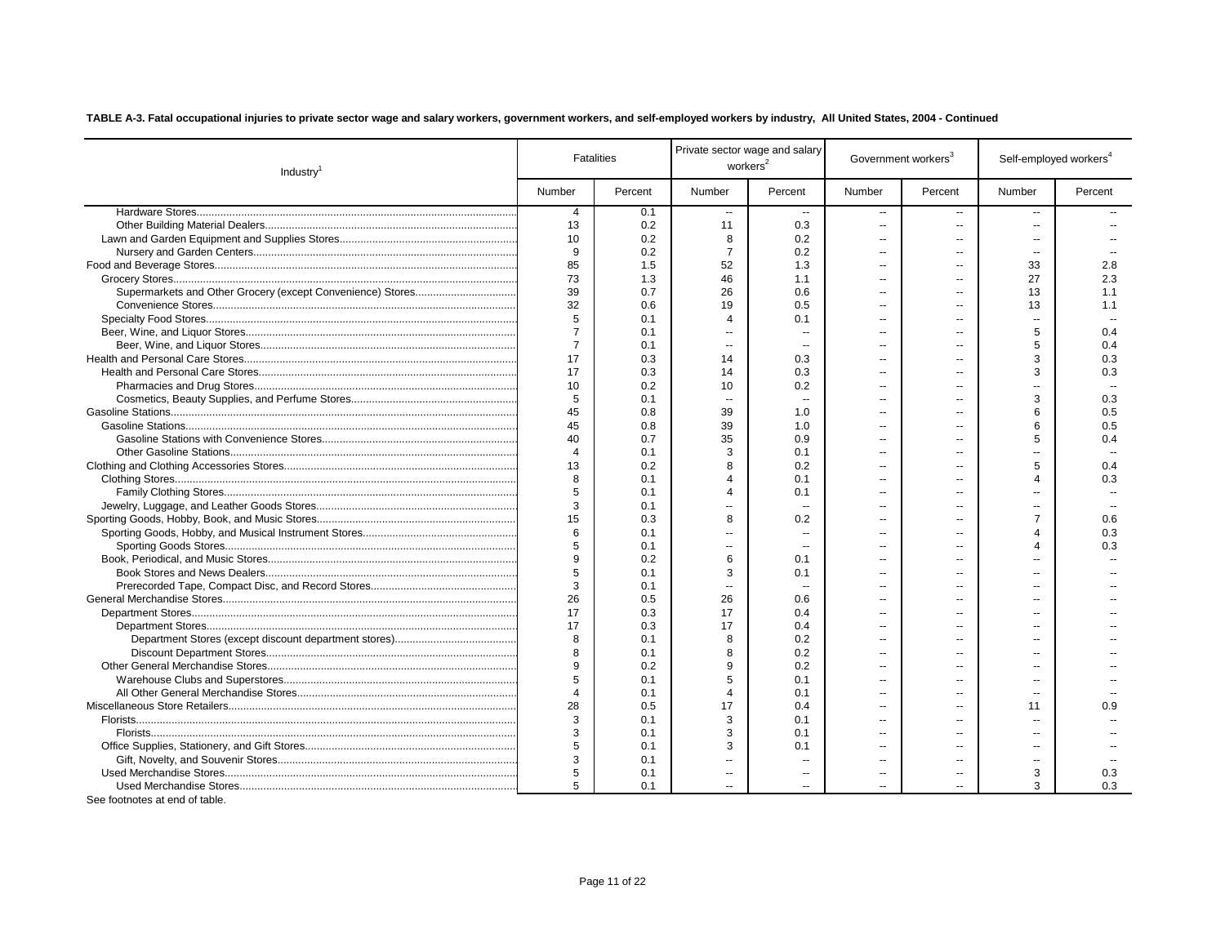| Industry <sup>1</sup> |                | <b>Fatalities</b> |                          | Private sector wage and salary<br>workers <sup>2</sup> |                | Government workers <sup>3</sup> | Self-employed workers <sup>4</sup> |         |
|-----------------------|----------------|-------------------|--------------------------|--------------------------------------------------------|----------------|---------------------------------|------------------------------------|---------|
|                       | Number         | Percent           | Number                   | Percent                                                | Number         | Percent                         | Number                             | Percent |
|                       | $\overline{4}$ | 0.1               | $\sim$                   |                                                        | $\overline{a}$ | $-$                             | $\sim$                             |         |
|                       | 13             | 0.2               | 11                       | 0.3                                                    | $\overline{a}$ | $\sim$                          | $\sim$                             |         |
|                       | 10             | 0.2               | 8                        | 0.2                                                    | $\overline{a}$ |                                 | $\sim$                             |         |
|                       | 9              | 0.2               | $\overline{7}$           | 0.2                                                    | $\overline{a}$ | $\overline{a}$                  | $\sim$                             |         |
|                       | 85             | 1.5               | 52                       | 1.3                                                    | $\overline{a}$ | $\sim$                          | 33                                 | 2.8     |
|                       | 73             | 1.3               | 46                       | 1.1                                                    | $\overline{a}$ |                                 | 27                                 | 2.3     |
|                       | 39             | 0.7               | 26                       | 0.6                                                    | $\sim$         |                                 | 13                                 | 1.1     |
|                       | 32             | 0.6               | 19                       | 0.5                                                    | $\overline{a}$ |                                 | 13                                 | 1.1     |
|                       | 5              | 0.1               | $\overline{4}$           | 0.1                                                    | $\overline{a}$ |                                 | $\overline{\phantom{a}}$           |         |
|                       | $\overline{7}$ | 0.1               | $\sim$                   | Ξ.                                                     | ۵.             |                                 | 5                                  | 0.4     |
|                       | $\overline{7}$ | 0.1               | $\overline{\phantom{a}}$ |                                                        | ۵.             |                                 | 5                                  | 0.4     |
|                       | 17             | 0.3               | 14                       | 0.3                                                    | ۵.             | ц.                              | 3                                  | 0.3     |
|                       | 17             | 0.3               | 14                       | 0.3                                                    | $\overline{a}$ |                                 | 3                                  | 0.3     |
|                       | 10             | 0.2               | 10                       | 0.2                                                    | $\overline{a}$ |                                 | $\overline{a}$                     |         |
|                       | 5              | 0.1               |                          |                                                        | ۵.             |                                 | 3                                  | 0.3     |
|                       | 45             | 0.8               | 39                       | 1.0                                                    | ۰.             |                                 | 6                                  | 0.5     |
|                       | 45             | 0.8               | 39                       | 1.0                                                    | $\overline{a}$ |                                 | 6                                  | 0.5     |
|                       | 40             | 0.7               | 35                       | 0.9                                                    | $\overline{a}$ |                                 | 5                                  | 0.4     |
|                       | $\overline{4}$ | 0.1               | 3                        | 0.1                                                    | $\overline{a}$ |                                 |                                    |         |
|                       | 13             | 0.2               | 8                        | 0.2                                                    | $\overline{a}$ |                                 | 5                                  | 0.4     |
|                       | 8              | 0.1               | $\Delta$                 | 0.1                                                    | $\overline{a}$ |                                 | 4                                  | 0.3     |
|                       | 5              | 0.1               | $\boldsymbol{\varDelta}$ | 0.1                                                    | ۰.             |                                 | $\overline{a}$                     |         |
|                       | 3              | 0.1               | $\sim$                   |                                                        | $\overline{a}$ |                                 | $\overline{a}$                     |         |
|                       | 15             | 0.3               | 8                        | 0.2                                                    | $\overline{a}$ |                                 | $\overline{7}$                     | 0.6     |
|                       | 6              | 0.1               | $\mathbf{u}$             |                                                        |                |                                 | 4                                  | 0.3     |
|                       | 5              | 0.1               | $\mathbf{u}$             |                                                        | ۵۵             |                                 | 4                                  | 0.3     |
|                       | 9              | 0.2               | 6                        | 0.1                                                    | ۰.             |                                 |                                    |         |
|                       | 5              | 0.1               | 3                        | 0.1                                                    | ä.             |                                 |                                    |         |
|                       | 3              | 0.1               |                          |                                                        |                |                                 |                                    |         |
|                       | 26             | 0.5               | 26                       | 0.6                                                    |                |                                 |                                    |         |
|                       | 17             | 0.3               | 17                       | 0.4                                                    |                |                                 |                                    |         |
|                       | 17             | 0.3               | 17                       | 0.4                                                    | ۰.             |                                 |                                    |         |
|                       | 8              | 0.1               | 8                        | 0.2                                                    | ۰.             |                                 |                                    |         |
|                       | $\mathbf{g}$   | 0.1               | $\mathbf{g}$             | 0.2                                                    | ä.             |                                 |                                    |         |
|                       | 9              | 0.2               | 9                        | 0.2                                                    | ۰.             |                                 |                                    |         |
|                       | 5              | 0.1               | 5                        | 0.1                                                    | $\overline{a}$ | $\overline{a}$                  | $\overline{a}$                     |         |
|                       | $\overline{4}$ | 0.1               | $\overline{4}$           | 0.1                                                    | $\overline{a}$ |                                 | $\overline{a}$                     |         |
|                       | 28             | 0.5               | 17                       | 0.4                                                    | $\overline{a}$ |                                 | 11                                 | 0.9     |
|                       | 3              | 0.1               | 3                        | 0.1                                                    | $\overline{a}$ |                                 | $\overline{a}$                     |         |
|                       | 3              | 0.1               | 3                        | 0.1                                                    | $\overline{a}$ | $-$                             | $\overline{a}$                     |         |
|                       | 5              | 0.1               | 3                        | 0.1                                                    | $\overline{a}$ |                                 | $\sim$                             |         |
|                       | 3              | 0.1               | $\mathbf{u}$             | $\overline{a}$                                         | $\overline{a}$ | $-$                             | $\sim$                             |         |
|                       | 5              | 0.1               | $\sim$                   | $\overline{a}$                                         | $-$            |                                 | 3                                  | 0.3     |
|                       | 5              | 0.1               | $\mathbf{u}$             | $\overline{a}$                                         | $\overline{a}$ | $\overline{a}$                  | 3                                  | 0.3     |
|                       |                |                   |                          |                                                        |                |                                 |                                    |         |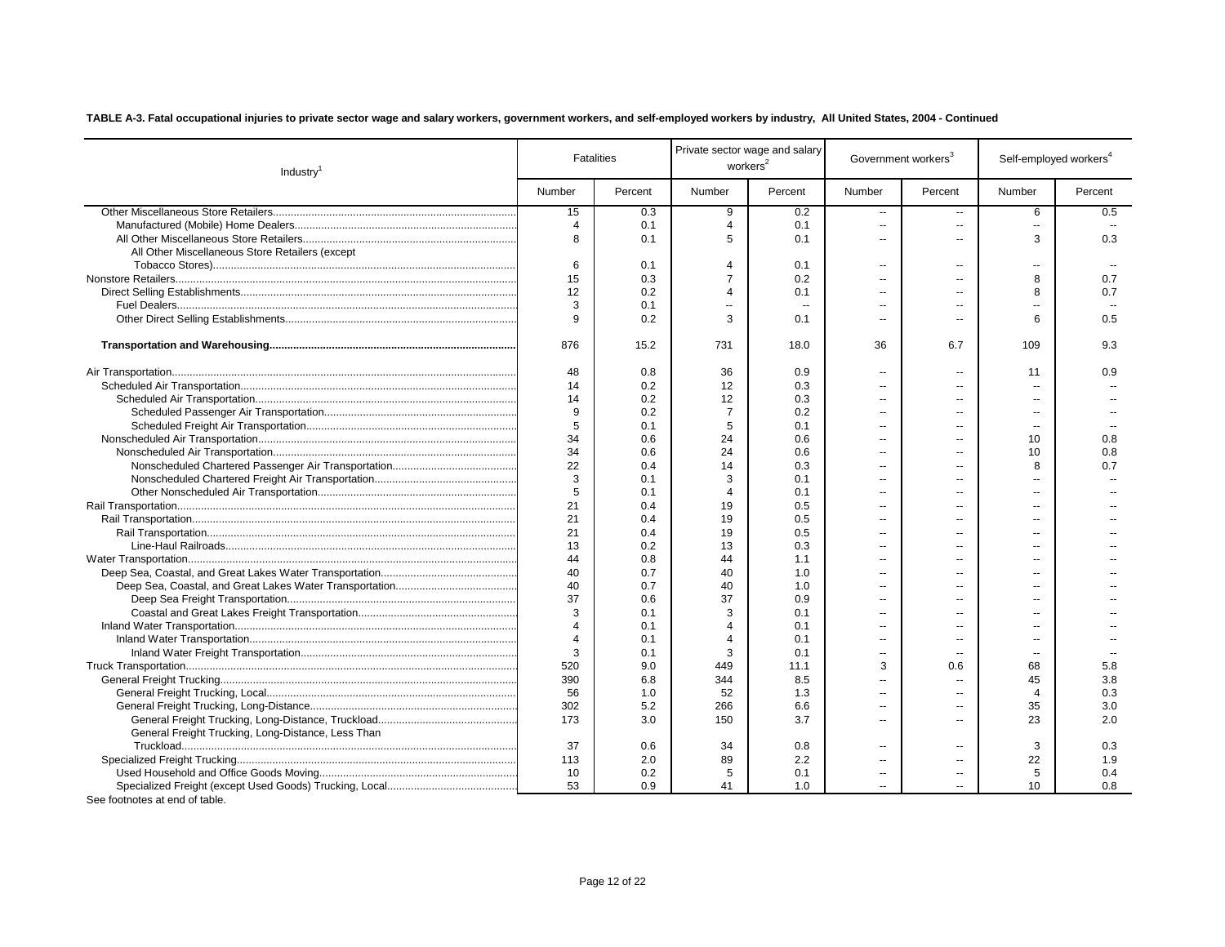| Industry <sup>1</sup>                              | <b>Fatalities</b> |         | Private sector wage and salary<br>workers <sup>2</sup> |         | Government workers <sup>3</sup> |                          | Self-employed workers <sup>4</sup> |         |
|----------------------------------------------------|-------------------|---------|--------------------------------------------------------|---------|---------------------------------|--------------------------|------------------------------------|---------|
|                                                    | Number            | Percent | Number                                                 | Percent | Number                          | Percent                  | Number                             | Percent |
|                                                    | 15                | 0.3     | 9                                                      | 0.2     | --                              | $\overline{a}$           | 6                                  | 0.5     |
|                                                    | $\overline{4}$    | 0.1     | $\overline{4}$                                         | 0.1     | --                              | $\overline{\phantom{a}}$ | $\overline{\phantom{a}}$           |         |
|                                                    | 8                 | 0.1     | 5                                                      | 0.1     | $\overline{a}$                  | $\sim$                   | 3                                  | 0.3     |
| All Other Miscellaneous Store Retailers (except    |                   |         |                                                        |         |                                 |                          |                                    |         |
|                                                    | 6                 | 0.1     | $\overline{4}$                                         | 0.1     | $\overline{a}$                  | $\sim$                   | $\mathbf{u}$                       |         |
|                                                    | 15                | 0.3     | $\overline{7}$                                         | 0.2     | Ξ.                              | $\overline{a}$           | 8                                  | 0.7     |
|                                                    | 12                | 0.2     | $\Delta$                                               | 0.1     | Ξ.                              | $\overline{a}$           | 8                                  | 0.7     |
|                                                    | 3                 | 0.1     | $\mathbf{u}$                                           | $\sim$  | Ξ.                              | $\overline{a}$           | ш,                                 | $\sim$  |
|                                                    | 9                 | 0.2     | 3                                                      | 0.1     | Ξ.                              | $\sim$                   | 6                                  | 0.5     |
|                                                    | 876               | 15.2    | 731                                                    | 18.0    | 36                              | 6.7                      | 109                                | 9.3     |
|                                                    | 48                | 0.8     | 36                                                     | 0.9     | --                              | $\overline{a}$           | 11                                 | 0.9     |
|                                                    | 14                | 0.2     | 12                                                     | 0.3     | --                              | --                       | $\overline{\phantom{a}}$           |         |
|                                                    | 14                | 0.2     | 12                                                     | 0.3     | --                              | $\overline{a}$           | $\overline{a}$                     |         |
|                                                    | 9                 | 0.2     | $\overline{7}$                                         | 0.2     | $\overline{a}$                  | $\overline{a}$           | $\sim$                             |         |
|                                                    | 5                 | 0.1     | 5                                                      | 0.1     | $\overline{a}$                  | $\overline{a}$           | $\sim$                             |         |
|                                                    | 34                | 0.6     | 24                                                     | 0.6     | $\overline{a}$                  | $\overline{a}$           | 10                                 | 0.8     |
|                                                    | 34                | 0.6     | 24                                                     | 0.6     | $\overline{a}$                  |                          | 10                                 | 0.8     |
|                                                    | 22                | 0.4     | 14                                                     | 0.3     | $\overline{a}$                  | --                       | 8                                  | 0.7     |
|                                                    | 3                 | 0.1     | 3                                                      | 0.1     | $\overline{a}$                  | $-$                      | $\overline{a}$                     |         |
|                                                    | 5                 | 0.1     | $\overline{4}$                                         | 0.1     | $\overline{a}$                  | $\overline{a}$           | $\sim$                             |         |
|                                                    | 21                | 0.4     | 19                                                     | 0.5     | $\overline{a}$                  | $-$                      | $\overline{a}$                     |         |
|                                                    | 21                | 0.4     | 19                                                     | 0.5     | --                              | --                       | $\overline{a}$                     |         |
|                                                    | 21                | 0.4     | 19                                                     | 0.5     | --                              | --                       | $\overline{a}$                     |         |
|                                                    | 13                | 0.2     | 13                                                     | 0.3     | --                              | $\overline{a}$           | $\overline{a}$                     |         |
|                                                    | 44                | 0.8     | 44                                                     | 1.1     | $\overline{a}$                  | $\sim$                   | $\sim$                             |         |
|                                                    | 40                | 0.7     | 40                                                     | 1.0     | $\overline{a}$                  | $\overline{a}$           | $\overline{a}$                     |         |
|                                                    | 40                | 0.7     | 40                                                     | 1.0     | Ξ.                              |                          | $\overline{a}$                     |         |
|                                                    | 37                | 0.6     | 37                                                     | 0.9     | Ξ.                              | --                       | $\overline{a}$                     |         |
|                                                    | 3                 | 0.1     | 3                                                      | 0.1     | Ξ.                              | $\overline{a}$           | $\overline{a}$                     |         |
|                                                    | $\overline{4}$    | 0.1     | $\overline{4}$                                         | 0.1     | $\overline{a}$                  | $\sim$                   | $\sim$                             |         |
|                                                    | $\overline{4}$    | 0.1     | $\overline{4}$                                         | 0.1     | Ξ.                              | $\overline{a}$           | $\sim$                             |         |
|                                                    | 3                 | 0.1     | 3                                                      | 0.1     | Ξ.                              | $\sim$                   | $\sim$                             |         |
|                                                    | 520               | 9.0     | 449                                                    | 11.1    | 3                               | 0.6                      | 68                                 | 5.8     |
|                                                    | 390               | 6.8     | 344                                                    | 8.5     | Ξ.                              | $\overline{\phantom{a}}$ | 45                                 | 3.8     |
|                                                    | 56                | 1.0     | 52                                                     | 1.3     | Ξ.                              | --                       | 4                                  | 0.3     |
|                                                    | 302               | 5.2     | 266                                                    | 6.6     | ٠.                              | $\overline{\phantom{a}}$ | 35                                 | 3.0     |
|                                                    | 173               | 3.0     | 150                                                    | 3.7     | Ξ.                              | $\overline{a}$           | 23                                 | 2.0     |
| General Freight Trucking, Long-Distance, Less Than |                   |         |                                                        |         |                                 |                          |                                    |         |
|                                                    | 37                | 0.6     | 34                                                     | 0.8     | $\overline{a}$                  | $-$                      | 3                                  | 0.3     |
|                                                    | 113               | 2.0     | 89                                                     | 2.2     | Ξ.                              | --                       | 22                                 | 1.9     |
|                                                    | 10 <sup>°</sup>   | 0.2     | 5                                                      | 0.1     | Ξ.                              | --                       | 5                                  | 0.4     |
|                                                    | 53                | 0.9     | 41                                                     | 1.0     | $\overline{a}$                  | $\overline{a}$           | 10                                 | 0.8     |
| مامامه كمام مع عمر عمر                             |                   |         |                                                        |         |                                 |                          |                                    |         |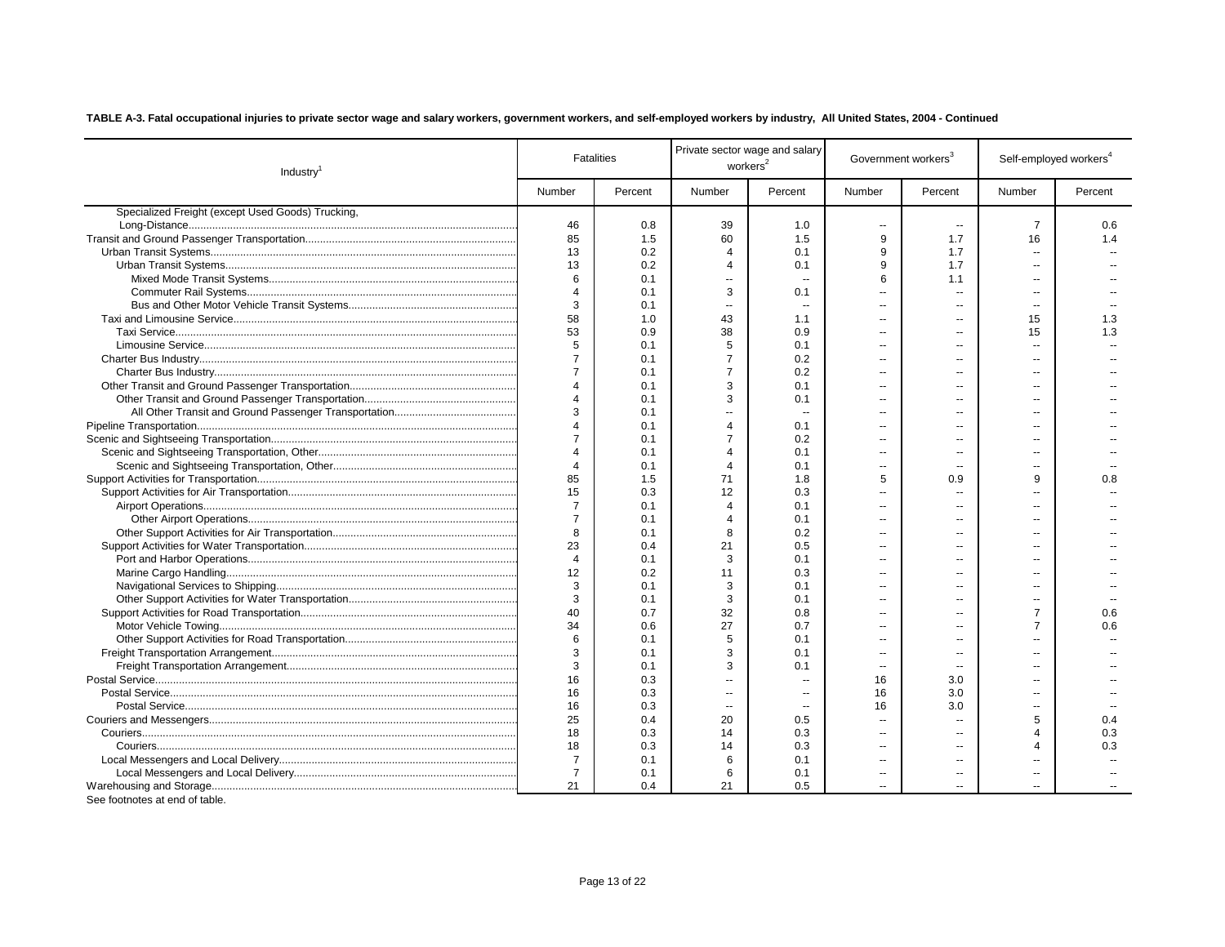| Industry <sup>1</sup>                             | <b>Fatalities</b>     |         | Private sector wage and salary<br>workers <sup>2</sup> |                          | Government workers <sup>3</sup> |                          | Self-employed workers <sup>4</sup> |         |
|---------------------------------------------------|-----------------------|---------|--------------------------------------------------------|--------------------------|---------------------------------|--------------------------|------------------------------------|---------|
|                                                   | Number                | Percent | Number                                                 | Percent                  | Number                          | Percent                  | Number                             | Percent |
| Specialized Freight (except Used Goods) Trucking, |                       |         |                                                        |                          |                                 |                          |                                    |         |
|                                                   | 46                    | 0.8     | 39                                                     | 1.0                      |                                 |                          | $\overline{7}$                     | 0.6     |
|                                                   | 85                    | 1.5     | 60                                                     | 1.5                      | 9                               | 1.7                      | 16                                 | 1.4     |
|                                                   | 13                    | 0.2     | $\overline{4}$                                         | 0.1                      | 9                               | 1.7                      | ۰.                                 |         |
|                                                   | 13                    | 0.2     | $\Delta$                                               | 0.1                      | $\mathbf{q}$                    | 1.7                      | $\overline{a}$                     |         |
|                                                   | 6                     | 0.1     | $\sim$                                                 | $\sim$                   | 6                               | 1.1                      | $\overline{a}$                     |         |
|                                                   | $\overline{4}$        | 0.1     | 3                                                      | 0.1                      | ä.                              | $\overline{\phantom{a}}$ | $\overline{a}$                     |         |
|                                                   | 3                     | 0.1     | $\sim$                                                 | $\overline{\phantom{a}}$ | $\overline{a}$                  |                          | $\overline{a}$                     |         |
|                                                   | 58                    | 1.0     | 43                                                     | 1.1                      |                                 | $\overline{a}$           | 15                                 | 1.3     |
|                                                   | 53                    | 0.9     | 38                                                     | 0.9                      | $\overline{a}$                  |                          | 15                                 | 1.3     |
|                                                   | 5                     | 0.1     | 5                                                      | 0.1                      | $\overline{a}$                  | $\overline{a}$           | ۰.                                 |         |
|                                                   | $\overline{7}$        | 0.1     | $\overline{7}$                                         | 0.2                      | ц.                              | --                       | --                                 |         |
|                                                   | $\overline{7}$        | 0.1     | $\overline{7}$                                         | 0.2                      | $\overline{a}$                  | $\overline{a}$           | $\overline{a}$                     |         |
|                                                   | $\overline{4}$        | 0.1     | 3                                                      | 0.1                      | $\overline{a}$                  | $\overline{a}$           | $\overline{a}$                     |         |
|                                                   | $\Delta$              | 0.1     | 3                                                      | 0.1                      | $\overline{a}$                  | $\overline{a}$           | $\overline{a}$                     |         |
|                                                   | 3                     | 0.1     | ä.                                                     |                          | --                              |                          | --                                 |         |
|                                                   | $\Delta$              | 0.1     | $\overline{A}$                                         | 0.1                      | $\overline{a}$                  | --                       | $\overline{a}$                     |         |
|                                                   | $\overline{7}$        | 0.1     | $\overline{7}$                                         | 0.2                      | $\overline{a}$                  | $\overline{a}$           | $\overline{a}$                     |         |
|                                                   | $\boldsymbol{\Delta}$ | 0.1     | $\overline{4}$                                         | 0.1                      | $\overline{a}$                  | $\overline{a}$           | $\overline{a}$                     |         |
|                                                   | $\overline{4}$        | 0.1     | $\overline{4}$                                         | 0.1                      | $\sim$                          | $\overline{a}$           | $\overline{a}$                     |         |
|                                                   | 85                    | 1.5     | 71                                                     | 1.8                      | 5                               | 0.9                      | 9                                  | 0.8     |
|                                                   | 15                    | 0.3     | 12                                                     | 0.3                      | $\overline{a}$                  | $\overline{a}$           | $\overline{a}$                     |         |
|                                                   | $\overline{7}$        | 0.1     | $\overline{4}$                                         | 0.1                      | ä.                              | $\overline{a}$           | ۰.                                 |         |
|                                                   | $\overline{7}$        | 0.1     | $\overline{4}$                                         | 0.1                      | ä.                              | $\overline{a}$           | $\overline{a}$                     |         |
|                                                   | 8                     | 0.1     | 8                                                      | 0.2                      | $\sim$                          | $\overline{a}$           | $\overline{a}$                     |         |
|                                                   | 23                    | 0.4     | 21                                                     | 0.5                      | $\overline{a}$                  | $\overline{a}$           | $\overline{a}$                     |         |
|                                                   | $\overline{4}$        | 0.1     | 3                                                      | 0.1                      | $\overline{a}$                  | --                       | $\overline{a}$                     |         |
|                                                   | 12                    | 0.2     | 11                                                     | 0.3                      | ä.                              | --                       | --                                 |         |
|                                                   | 3                     | 0.1     | 3                                                      | 0.1                      | ä.                              | $\overline{\phantom{a}}$ | ۰.                                 |         |
|                                                   | 3                     | 0.1     | 3                                                      | 0.1                      | ä.                              |                          |                                    |         |
|                                                   | 40                    | 0.7     | 32                                                     | 0.8                      | ÷.                              |                          | $\overline{7}$                     | 0.6     |
|                                                   | 34                    | 0.6     | 27                                                     | 0.7                      | ä.                              |                          | $\overline{7}$                     | 0.6     |
|                                                   | 6                     | 0.1     | 5                                                      | 0.1                      | $\overline{\phantom{a}}$        | $\overline{a}$           | ш,                                 |         |
|                                                   | 3                     | 0.1     | 3                                                      | 0.1                      | Ξ.                              | --                       | $\overline{a}$                     |         |
|                                                   | 3                     | 0.1     | 3                                                      | 0.1                      |                                 |                          | $\overline{a}$                     |         |
|                                                   |                       |         | Ξ.                                                     |                          | --                              | $\overline{\phantom{a}}$ |                                    |         |
|                                                   | 16                    | 0.3     |                                                        |                          | 16                              | 3.0                      |                                    |         |
|                                                   | 16                    | 0.3     | $\overline{\phantom{a}}$                               | $\sim$                   | 16                              | 3.0                      | $\overline{a}$                     |         |
|                                                   | 16                    | 0.3     | $\mathbf{u}$                                           |                          | 16                              | 3.0                      |                                    |         |
|                                                   | 25                    | 0.4     | 20                                                     | 0.5                      | ä.                              | --                       | 5                                  | 0.4     |
|                                                   | 18                    | 0.3     | 14                                                     | 0.3                      | $\overline{a}$                  |                          | $\overline{4}$                     | 0.3     |
|                                                   | 18                    | 0.3     | 14                                                     | 0.3                      | ä.                              | --                       | $\overline{4}$                     | 0.3     |
|                                                   | $\overline{7}$        | 0.1     | 6                                                      | 0.1                      | $\overline{a}$                  | $\overline{\phantom{a}}$ | ш,                                 |         |
|                                                   | $\overline{7}$        | 0.1     | 6                                                      | 0.1                      | $\overline{\phantom{a}}$        | --                       | $\overline{\phantom{a}}$           |         |
| See footnotes at end of table.                    | 21                    | 0.4     | 21                                                     | 0.5                      |                                 |                          |                                    |         |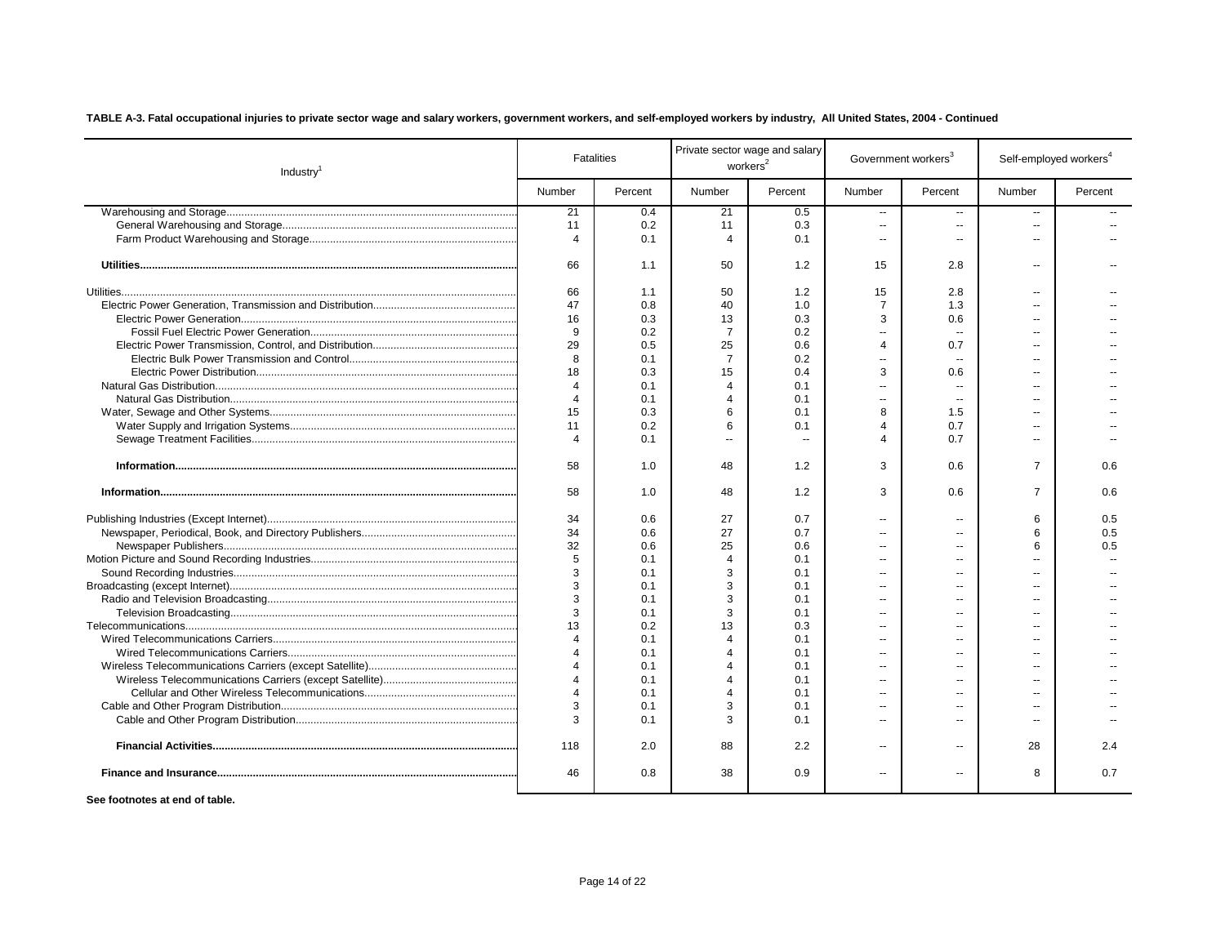| Industry <sup>1</sup> |                | <b>Fatalities</b> | workers <sup>2</sup>     | Private sector wage and salary |                       | Government workers <sup>3</sup> | Self-employed workers <sup>4</sup> |         |
|-----------------------|----------------|-------------------|--------------------------|--------------------------------|-----------------------|---------------------------------|------------------------------------|---------|
|                       | Number         | Percent           | Number                   | Percent                        | Number                | Percent                         | Number                             | Percent |
|                       | 21             | 0.4               | 21                       | 0.5                            | --                    | $\overline{a}$                  | $\sim$                             |         |
|                       | 11             | 0.2               | 11                       | 0.3                            | $\overline{a}$        | $\overline{a}$                  | $\sim$                             |         |
|                       | $\overline{4}$ | 0.1               | $\overline{4}$           | 0.1                            | $\overline{a}$        | $\overline{a}$                  | $\sim$                             |         |
|                       | 66             | 1.1               | 50                       | 1.2                            | 15                    | 2.8                             | $\sim$                             |         |
|                       | 66             | 1.1               | 50                       | 1.2                            | 15                    | 2.8                             | $\sim$                             |         |
|                       | 47             | 0.8               | 40                       | 1.0                            | $\overline{7}$        | 1.3                             | $\overline{\phantom{a}}$           |         |
|                       | 16             | 0.3               | 13                       | 0.3                            | 3                     | 0.6                             | $\sim$                             |         |
|                       | 9              | 0.2               | $\overline{7}$           | 0.2                            | ш,                    | $\sim$                          |                                    |         |
|                       | 29             | 0.5               | 25                       | 0.6                            | $\boldsymbol{\Delta}$ | 0.7                             |                                    |         |
|                       | 8              | 0.1               | $\overline{7}$           | 0.2                            | ш,                    | $\overline{\phantom{a}}$        |                                    |         |
|                       | 18             | 0.3               | 15                       | 0.4                            | 3                     | 0.6                             |                                    |         |
|                       | $\overline{4}$ | 0.1               | $\overline{4}$           | 0.1                            | ш,                    | $\overline{\phantom{a}}$        |                                    |         |
|                       | $\overline{4}$ | 0.1               | $\boldsymbol{\varDelta}$ | 0.1                            | $\overline{a}$        |                                 |                                    |         |
|                       | 15             | 0.3               | 6                        | 0.1                            | 8                     | 1.5                             |                                    |         |
|                       | 11             | 0.2               | 6                        | 0.1                            | $\Delta$              | 0.7                             |                                    |         |
|                       | $\overline{4}$ | 0.1               | $\mathbf{u}$             |                                | $\boldsymbol{\Delta}$ | 0.7                             | --                                 |         |
|                       | 58             | 1.0               | 48                       | 1.2                            | 3                     | 0.6                             | $\overline{7}$                     | 0.6     |
|                       | 58             | 1.0               | 48                       | 1.2                            | 3                     | 0.6                             | $\overline{7}$                     | 0.6     |
|                       | 34             | 0.6               | 27                       | 0.7                            | $\overline{a}$        | --                              | 6                                  | 0.5     |
|                       | 34             | 0.6               | 27                       | 0.7                            | ۰.                    |                                 | 6                                  | 0.5     |
|                       | 32             | 0.6               | 25                       | 0.6                            | $\overline{a}$        | $\overline{a}$                  | 6                                  | 0.5     |
|                       | 5              | 0.1               | $\boldsymbol{\varDelta}$ | 0.1                            | $\overline{a}$        |                                 |                                    |         |
|                       | 3              | 0.1               | 3                        | 0.1                            |                       |                                 |                                    |         |
|                       | 3              | 0.1               | 3                        | 0.1                            | $\overline{a}$        |                                 | $\overline{a}$                     |         |
|                       | 3              | 0.1               | 3                        | 0.1                            | $\overline{a}$        | $\overline{a}$                  | $\overline{a}$                     |         |
|                       | 3              | 0.1               | 3                        | 0.1                            | $\overline{a}$        |                                 | $\overline{a}$                     |         |
|                       | 13             | 0.2               | 13                       | 0.3                            | $\overline{a}$        | $\overline{a}$                  | $\overline{a}$                     |         |
|                       | $\overline{4}$ | 0.1               | $\boldsymbol{\Delta}$    | 0.1                            | $\overline{a}$        |                                 |                                    |         |
|                       | $\overline{A}$ | 0.1               | $\boldsymbol{\Delta}$    | 0.1                            | $\overline{a}$        | $\overline{a}$                  | $\overline{a}$                     |         |
|                       | $\overline{A}$ | 0.1               | $\overline{4}$           | 0.1                            | $\overline{a}$        |                                 | $\sim$ $\sim$                      |         |
|                       | $\overline{A}$ | 0.1               | $\overline{A}$           | 0.1                            | $\overline{a}$        |                                 | $\sim$ $\sim$                      |         |
|                       | $\overline{4}$ | 0.1               | $\overline{4}$           | 0.1                            | $\overline{a}$        |                                 | $\overline{a}$                     |         |
|                       | 3              | 0.1               | 3                        | 0.1                            | $\overline{a}$        | $\overline{a}$                  | $\sim$                             |         |
|                       | 3              | 0.1               | 3                        | 0.1                            | $\overline{a}$        | $\overline{a}$                  | $\sim$                             |         |
|                       | 118            | 2.0               | 88                       | 2.2                            | $\overline{a}$        | $\overline{\phantom{a}}$        | 28                                 | 2.4     |
|                       | 46             | 0.8               | 38                       | 0.9                            | $\overline{a}$        | $\overline{a}$                  | 8                                  | 0.7     |
|                       |                |                   |                          |                                |                       |                                 |                                    |         |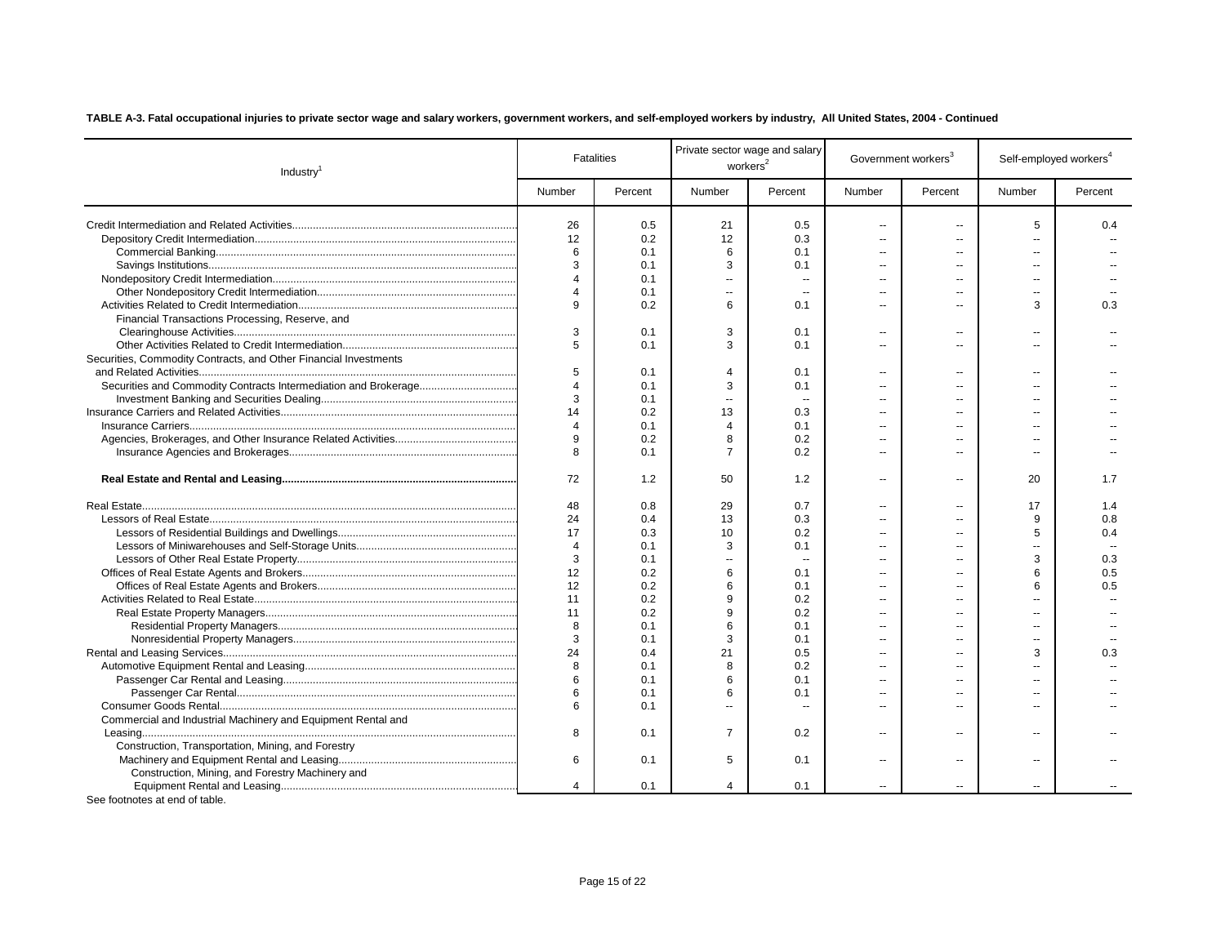| Number<br>Percent<br>Number<br>Percent<br>Number<br>Percent<br>Number<br>Percent<br>26<br>0.5<br>21<br>0.5<br>5<br>0.4<br>$\overline{\phantom{a}}$<br>$\overline{a}$<br>12<br>12<br>0.2<br>0.3<br>$\overline{a}$<br>$\overline{a}$<br>$\overline{a}$<br>6<br>6<br>0.1<br>0.1<br>$\overline{a}$<br>$\overline{a}$<br>$\sim$<br>3<br>3<br>0.1<br>0.1<br>$\overline{a}$<br>$-$<br>$\overline{\mathbf{4}}$<br>0.1<br>$\sim$<br>$\sim$<br>$\overline{a}$<br>$\overline{a}$<br>--<br>0.1<br>$\sim$<br>$\overline{a}$<br>--<br>9<br>6<br>3<br>0.2<br>0.1<br>0.3<br>$\overline{a}$<br>--<br>Financial Transactions Processing, Reserve, and<br>3<br>3<br>0.1<br>0.1<br>$\overline{a}$<br>--<br>--<br>5<br>3<br>0.1<br>0.1<br>$\overline{a}$<br>Ξ.<br>$\overline{a}$<br>Securities, Commodity Contracts, and Other Financial Investments<br>5<br>0.1<br>$\overline{4}$<br>0.1<br>$\overline{a}$<br>۵.<br>$\overline{a}$<br>3<br>$\overline{4}$<br>0.1<br>0.1<br>$\overline{a}$<br>--<br>3<br>0.1<br>$\ddotsc$<br>$\overline{\phantom{a}}$<br>13<br>14<br>0.2<br>0.3<br>$\overline{\phantom{a}}$<br>--<br>$\overline{4}$<br>0.1<br>$\overline{4}$<br>0.1<br>$\overline{\phantom{a}}$<br>$-1$<br>--<br>9<br>0.2<br>8<br>0.2<br>$\overline{a}$<br>$\overline{a}$<br>$\overline{a}$<br>8<br>$\overline{7}$<br>0.2<br>0.1<br>$\overline{a}$<br>$\overline{a}$<br>72<br>50<br>1.2<br>1.2<br>20<br>1.7<br>$\overline{a}$<br>$\overline{a}$<br>48<br>0.8<br>29<br>0.7<br>17<br>1.4<br>۵.<br>9<br>0.8<br>24<br>0.4<br>13<br>0.3<br>$\overline{a}$<br>٠.<br>17<br>0.3<br>5<br>10<br>0.2<br>0.4<br>3<br>$\overline{4}$<br>0.1<br>0.1<br>$-1$<br>3<br>3<br>0.3<br>0.1<br>Ξ.<br>$\overline{\phantom{a}}$<br>٠.<br>12<br>0.2<br>6<br>6<br>0.5<br>0.1<br>$\overline{\phantom{a}}$<br>--<br>12<br>6<br>6<br>0.5<br>0.2<br>0.1<br>$\overline{\phantom{a}}$<br>$\mathbf{q}$<br>11<br>0.2<br>0.2<br>$\mathbf{q}$<br>11<br>0.2<br>0.2<br>6<br>8<br>0.1<br>0.1<br>$\overline{a}$<br>$\overline{a}$<br>--<br>3<br>3<br>0.1<br>0.1<br>$\overline{a}$<br>$\overline{a}$<br>--<br>24<br>21<br>0.5<br>3<br>0.4<br>0.3<br>$\overline{a}$<br>--<br>8<br>8<br>0.1<br>0.2<br>$\overline{a}$<br>6<br>6<br>0.1<br>0.1<br>$\overline{a}$<br>$\overline{a}$<br>$\sim$<br>6<br>0.1<br>6<br>0.1<br>$\overline{a}$<br>$\overline{a}$<br>--<br>6<br>0.1<br>$\sim$<br>$\overline{a}$<br>$\overline{a}$<br>$\overline{a}$<br>Commercial and Industrial Machinery and Equipment Rental and<br>8<br>$\overline{7}$<br>0.1<br>0.2<br>$\overline{a}$<br>$\overline{\phantom{a}}$<br>$\overline{\phantom{a}}$<br>Construction, Transportation, Mining, and Forestry<br>6<br>5<br>0.1<br>0.1<br>$\overline{a}$<br>$\overline{a}$<br>$\overline{a}$<br>Construction, Mining, and Forestry Machinery and<br>$\overline{4}$<br>0.1<br>4<br>0.1<br>$\overline{a}$<br>$\sim$ | Industry <sup>1</sup> | <b>Fatalities</b> | Private sector wage and salary<br>workers <sup>2</sup> |  | Government workers <sup>3</sup> |  | Self-employed workers <sup>4</sup> |  |
|------------------------------------------------------------------------------------------------------------------------------------------------------------------------------------------------------------------------------------------------------------------------------------------------------------------------------------------------------------------------------------------------------------------------------------------------------------------------------------------------------------------------------------------------------------------------------------------------------------------------------------------------------------------------------------------------------------------------------------------------------------------------------------------------------------------------------------------------------------------------------------------------------------------------------------------------------------------------------------------------------------------------------------------------------------------------------------------------------------------------------------------------------------------------------------------------------------------------------------------------------------------------------------------------------------------------------------------------------------------------------------------------------------------------------------------------------------------------------------------------------------------------------------------------------------------------------------------------------------------------------------------------------------------------------------------------------------------------------------------------------------------------------------------------------------------------------------------------------------------------------------------------------------------------------------------------------------------------------------------------------------------------------------------------------------------------------------------------------------------------------------------------------------------------------------------------------------------------------------------------------------------------------------------------------------------------------------------------------------------------------------------------------------------------------------------------------------------------------------------------------------------------------------------------------------------------------------------------------------------------------------------------------------------------------------------------------------------------------------------------------------------------------------------------------------------|-----------------------|-------------------|--------------------------------------------------------|--|---------------------------------|--|------------------------------------|--|
|                                                                                                                                                                                                                                                                                                                                                                                                                                                                                                                                                                                                                                                                                                                                                                                                                                                                                                                                                                                                                                                                                                                                                                                                                                                                                                                                                                                                                                                                                                                                                                                                                                                                                                                                                                                                                                                                                                                                                                                                                                                                                                                                                                                                                                                                                                                                                                                                                                                                                                                                                                                                                                                                                                                                                                                                                  |                       |                   |                                                        |  |                                 |  |                                    |  |
|                                                                                                                                                                                                                                                                                                                                                                                                                                                                                                                                                                                                                                                                                                                                                                                                                                                                                                                                                                                                                                                                                                                                                                                                                                                                                                                                                                                                                                                                                                                                                                                                                                                                                                                                                                                                                                                                                                                                                                                                                                                                                                                                                                                                                                                                                                                                                                                                                                                                                                                                                                                                                                                                                                                                                                                                                  |                       |                   |                                                        |  |                                 |  |                                    |  |
|                                                                                                                                                                                                                                                                                                                                                                                                                                                                                                                                                                                                                                                                                                                                                                                                                                                                                                                                                                                                                                                                                                                                                                                                                                                                                                                                                                                                                                                                                                                                                                                                                                                                                                                                                                                                                                                                                                                                                                                                                                                                                                                                                                                                                                                                                                                                                                                                                                                                                                                                                                                                                                                                                                                                                                                                                  |                       |                   |                                                        |  |                                 |  |                                    |  |
|                                                                                                                                                                                                                                                                                                                                                                                                                                                                                                                                                                                                                                                                                                                                                                                                                                                                                                                                                                                                                                                                                                                                                                                                                                                                                                                                                                                                                                                                                                                                                                                                                                                                                                                                                                                                                                                                                                                                                                                                                                                                                                                                                                                                                                                                                                                                                                                                                                                                                                                                                                                                                                                                                                                                                                                                                  |                       |                   |                                                        |  |                                 |  |                                    |  |
|                                                                                                                                                                                                                                                                                                                                                                                                                                                                                                                                                                                                                                                                                                                                                                                                                                                                                                                                                                                                                                                                                                                                                                                                                                                                                                                                                                                                                                                                                                                                                                                                                                                                                                                                                                                                                                                                                                                                                                                                                                                                                                                                                                                                                                                                                                                                                                                                                                                                                                                                                                                                                                                                                                                                                                                                                  |                       |                   |                                                        |  |                                 |  |                                    |  |
|                                                                                                                                                                                                                                                                                                                                                                                                                                                                                                                                                                                                                                                                                                                                                                                                                                                                                                                                                                                                                                                                                                                                                                                                                                                                                                                                                                                                                                                                                                                                                                                                                                                                                                                                                                                                                                                                                                                                                                                                                                                                                                                                                                                                                                                                                                                                                                                                                                                                                                                                                                                                                                                                                                                                                                                                                  |                       |                   |                                                        |  |                                 |  |                                    |  |
|                                                                                                                                                                                                                                                                                                                                                                                                                                                                                                                                                                                                                                                                                                                                                                                                                                                                                                                                                                                                                                                                                                                                                                                                                                                                                                                                                                                                                                                                                                                                                                                                                                                                                                                                                                                                                                                                                                                                                                                                                                                                                                                                                                                                                                                                                                                                                                                                                                                                                                                                                                                                                                                                                                                                                                                                                  |                       |                   |                                                        |  |                                 |  |                                    |  |
|                                                                                                                                                                                                                                                                                                                                                                                                                                                                                                                                                                                                                                                                                                                                                                                                                                                                                                                                                                                                                                                                                                                                                                                                                                                                                                                                                                                                                                                                                                                                                                                                                                                                                                                                                                                                                                                                                                                                                                                                                                                                                                                                                                                                                                                                                                                                                                                                                                                                                                                                                                                                                                                                                                                                                                                                                  |                       |                   |                                                        |  |                                 |  |                                    |  |
|                                                                                                                                                                                                                                                                                                                                                                                                                                                                                                                                                                                                                                                                                                                                                                                                                                                                                                                                                                                                                                                                                                                                                                                                                                                                                                                                                                                                                                                                                                                                                                                                                                                                                                                                                                                                                                                                                                                                                                                                                                                                                                                                                                                                                                                                                                                                                                                                                                                                                                                                                                                                                                                                                                                                                                                                                  |                       |                   |                                                        |  |                                 |  |                                    |  |
|                                                                                                                                                                                                                                                                                                                                                                                                                                                                                                                                                                                                                                                                                                                                                                                                                                                                                                                                                                                                                                                                                                                                                                                                                                                                                                                                                                                                                                                                                                                                                                                                                                                                                                                                                                                                                                                                                                                                                                                                                                                                                                                                                                                                                                                                                                                                                                                                                                                                                                                                                                                                                                                                                                                                                                                                                  |                       |                   |                                                        |  |                                 |  |                                    |  |
|                                                                                                                                                                                                                                                                                                                                                                                                                                                                                                                                                                                                                                                                                                                                                                                                                                                                                                                                                                                                                                                                                                                                                                                                                                                                                                                                                                                                                                                                                                                                                                                                                                                                                                                                                                                                                                                                                                                                                                                                                                                                                                                                                                                                                                                                                                                                                                                                                                                                                                                                                                                                                                                                                                                                                                                                                  |                       |                   |                                                        |  |                                 |  |                                    |  |
|                                                                                                                                                                                                                                                                                                                                                                                                                                                                                                                                                                                                                                                                                                                                                                                                                                                                                                                                                                                                                                                                                                                                                                                                                                                                                                                                                                                                                                                                                                                                                                                                                                                                                                                                                                                                                                                                                                                                                                                                                                                                                                                                                                                                                                                                                                                                                                                                                                                                                                                                                                                                                                                                                                                                                                                                                  |                       |                   |                                                        |  |                                 |  |                                    |  |
|                                                                                                                                                                                                                                                                                                                                                                                                                                                                                                                                                                                                                                                                                                                                                                                                                                                                                                                                                                                                                                                                                                                                                                                                                                                                                                                                                                                                                                                                                                                                                                                                                                                                                                                                                                                                                                                                                                                                                                                                                                                                                                                                                                                                                                                                                                                                                                                                                                                                                                                                                                                                                                                                                                                                                                                                                  |                       |                   |                                                        |  |                                 |  |                                    |  |
|                                                                                                                                                                                                                                                                                                                                                                                                                                                                                                                                                                                                                                                                                                                                                                                                                                                                                                                                                                                                                                                                                                                                                                                                                                                                                                                                                                                                                                                                                                                                                                                                                                                                                                                                                                                                                                                                                                                                                                                                                                                                                                                                                                                                                                                                                                                                                                                                                                                                                                                                                                                                                                                                                                                                                                                                                  |                       |                   |                                                        |  |                                 |  |                                    |  |
|                                                                                                                                                                                                                                                                                                                                                                                                                                                                                                                                                                                                                                                                                                                                                                                                                                                                                                                                                                                                                                                                                                                                                                                                                                                                                                                                                                                                                                                                                                                                                                                                                                                                                                                                                                                                                                                                                                                                                                                                                                                                                                                                                                                                                                                                                                                                                                                                                                                                                                                                                                                                                                                                                                                                                                                                                  |                       |                   |                                                        |  |                                 |  |                                    |  |
|                                                                                                                                                                                                                                                                                                                                                                                                                                                                                                                                                                                                                                                                                                                                                                                                                                                                                                                                                                                                                                                                                                                                                                                                                                                                                                                                                                                                                                                                                                                                                                                                                                                                                                                                                                                                                                                                                                                                                                                                                                                                                                                                                                                                                                                                                                                                                                                                                                                                                                                                                                                                                                                                                                                                                                                                                  |                       |                   |                                                        |  |                                 |  |                                    |  |
|                                                                                                                                                                                                                                                                                                                                                                                                                                                                                                                                                                                                                                                                                                                                                                                                                                                                                                                                                                                                                                                                                                                                                                                                                                                                                                                                                                                                                                                                                                                                                                                                                                                                                                                                                                                                                                                                                                                                                                                                                                                                                                                                                                                                                                                                                                                                                                                                                                                                                                                                                                                                                                                                                                                                                                                                                  |                       |                   |                                                        |  |                                 |  |                                    |  |
|                                                                                                                                                                                                                                                                                                                                                                                                                                                                                                                                                                                                                                                                                                                                                                                                                                                                                                                                                                                                                                                                                                                                                                                                                                                                                                                                                                                                                                                                                                                                                                                                                                                                                                                                                                                                                                                                                                                                                                                                                                                                                                                                                                                                                                                                                                                                                                                                                                                                                                                                                                                                                                                                                                                                                                                                                  |                       |                   |                                                        |  |                                 |  |                                    |  |
|                                                                                                                                                                                                                                                                                                                                                                                                                                                                                                                                                                                                                                                                                                                                                                                                                                                                                                                                                                                                                                                                                                                                                                                                                                                                                                                                                                                                                                                                                                                                                                                                                                                                                                                                                                                                                                                                                                                                                                                                                                                                                                                                                                                                                                                                                                                                                                                                                                                                                                                                                                                                                                                                                                                                                                                                                  |                       |                   |                                                        |  |                                 |  |                                    |  |
|                                                                                                                                                                                                                                                                                                                                                                                                                                                                                                                                                                                                                                                                                                                                                                                                                                                                                                                                                                                                                                                                                                                                                                                                                                                                                                                                                                                                                                                                                                                                                                                                                                                                                                                                                                                                                                                                                                                                                                                                                                                                                                                                                                                                                                                                                                                                                                                                                                                                                                                                                                                                                                                                                                                                                                                                                  |                       |                   |                                                        |  |                                 |  |                                    |  |
|                                                                                                                                                                                                                                                                                                                                                                                                                                                                                                                                                                                                                                                                                                                                                                                                                                                                                                                                                                                                                                                                                                                                                                                                                                                                                                                                                                                                                                                                                                                                                                                                                                                                                                                                                                                                                                                                                                                                                                                                                                                                                                                                                                                                                                                                                                                                                                                                                                                                                                                                                                                                                                                                                                                                                                                                                  |                       |                   |                                                        |  |                                 |  |                                    |  |
|                                                                                                                                                                                                                                                                                                                                                                                                                                                                                                                                                                                                                                                                                                                                                                                                                                                                                                                                                                                                                                                                                                                                                                                                                                                                                                                                                                                                                                                                                                                                                                                                                                                                                                                                                                                                                                                                                                                                                                                                                                                                                                                                                                                                                                                                                                                                                                                                                                                                                                                                                                                                                                                                                                                                                                                                                  |                       |                   |                                                        |  |                                 |  |                                    |  |
|                                                                                                                                                                                                                                                                                                                                                                                                                                                                                                                                                                                                                                                                                                                                                                                                                                                                                                                                                                                                                                                                                                                                                                                                                                                                                                                                                                                                                                                                                                                                                                                                                                                                                                                                                                                                                                                                                                                                                                                                                                                                                                                                                                                                                                                                                                                                                                                                                                                                                                                                                                                                                                                                                                                                                                                                                  |                       |                   |                                                        |  |                                 |  |                                    |  |
|                                                                                                                                                                                                                                                                                                                                                                                                                                                                                                                                                                                                                                                                                                                                                                                                                                                                                                                                                                                                                                                                                                                                                                                                                                                                                                                                                                                                                                                                                                                                                                                                                                                                                                                                                                                                                                                                                                                                                                                                                                                                                                                                                                                                                                                                                                                                                                                                                                                                                                                                                                                                                                                                                                                                                                                                                  |                       |                   |                                                        |  |                                 |  |                                    |  |
|                                                                                                                                                                                                                                                                                                                                                                                                                                                                                                                                                                                                                                                                                                                                                                                                                                                                                                                                                                                                                                                                                                                                                                                                                                                                                                                                                                                                                                                                                                                                                                                                                                                                                                                                                                                                                                                                                                                                                                                                                                                                                                                                                                                                                                                                                                                                                                                                                                                                                                                                                                                                                                                                                                                                                                                                                  |                       |                   |                                                        |  |                                 |  |                                    |  |
|                                                                                                                                                                                                                                                                                                                                                                                                                                                                                                                                                                                                                                                                                                                                                                                                                                                                                                                                                                                                                                                                                                                                                                                                                                                                                                                                                                                                                                                                                                                                                                                                                                                                                                                                                                                                                                                                                                                                                                                                                                                                                                                                                                                                                                                                                                                                                                                                                                                                                                                                                                                                                                                                                                                                                                                                                  |                       |                   |                                                        |  |                                 |  |                                    |  |
|                                                                                                                                                                                                                                                                                                                                                                                                                                                                                                                                                                                                                                                                                                                                                                                                                                                                                                                                                                                                                                                                                                                                                                                                                                                                                                                                                                                                                                                                                                                                                                                                                                                                                                                                                                                                                                                                                                                                                                                                                                                                                                                                                                                                                                                                                                                                                                                                                                                                                                                                                                                                                                                                                                                                                                                                                  |                       |                   |                                                        |  |                                 |  |                                    |  |
|                                                                                                                                                                                                                                                                                                                                                                                                                                                                                                                                                                                                                                                                                                                                                                                                                                                                                                                                                                                                                                                                                                                                                                                                                                                                                                                                                                                                                                                                                                                                                                                                                                                                                                                                                                                                                                                                                                                                                                                                                                                                                                                                                                                                                                                                                                                                                                                                                                                                                                                                                                                                                                                                                                                                                                                                                  |                       |                   |                                                        |  |                                 |  |                                    |  |
|                                                                                                                                                                                                                                                                                                                                                                                                                                                                                                                                                                                                                                                                                                                                                                                                                                                                                                                                                                                                                                                                                                                                                                                                                                                                                                                                                                                                                                                                                                                                                                                                                                                                                                                                                                                                                                                                                                                                                                                                                                                                                                                                                                                                                                                                                                                                                                                                                                                                                                                                                                                                                                                                                                                                                                                                                  |                       |                   |                                                        |  |                                 |  |                                    |  |
|                                                                                                                                                                                                                                                                                                                                                                                                                                                                                                                                                                                                                                                                                                                                                                                                                                                                                                                                                                                                                                                                                                                                                                                                                                                                                                                                                                                                                                                                                                                                                                                                                                                                                                                                                                                                                                                                                                                                                                                                                                                                                                                                                                                                                                                                                                                                                                                                                                                                                                                                                                                                                                                                                                                                                                                                                  |                       |                   |                                                        |  |                                 |  |                                    |  |
|                                                                                                                                                                                                                                                                                                                                                                                                                                                                                                                                                                                                                                                                                                                                                                                                                                                                                                                                                                                                                                                                                                                                                                                                                                                                                                                                                                                                                                                                                                                                                                                                                                                                                                                                                                                                                                                                                                                                                                                                                                                                                                                                                                                                                                                                                                                                                                                                                                                                                                                                                                                                                                                                                                                                                                                                                  |                       |                   |                                                        |  |                                 |  |                                    |  |
|                                                                                                                                                                                                                                                                                                                                                                                                                                                                                                                                                                                                                                                                                                                                                                                                                                                                                                                                                                                                                                                                                                                                                                                                                                                                                                                                                                                                                                                                                                                                                                                                                                                                                                                                                                                                                                                                                                                                                                                                                                                                                                                                                                                                                                                                                                                                                                                                                                                                                                                                                                                                                                                                                                                                                                                                                  |                       |                   |                                                        |  |                                 |  |                                    |  |
|                                                                                                                                                                                                                                                                                                                                                                                                                                                                                                                                                                                                                                                                                                                                                                                                                                                                                                                                                                                                                                                                                                                                                                                                                                                                                                                                                                                                                                                                                                                                                                                                                                                                                                                                                                                                                                                                                                                                                                                                                                                                                                                                                                                                                                                                                                                                                                                                                                                                                                                                                                                                                                                                                                                                                                                                                  |                       |                   |                                                        |  |                                 |  |                                    |  |
|                                                                                                                                                                                                                                                                                                                                                                                                                                                                                                                                                                                                                                                                                                                                                                                                                                                                                                                                                                                                                                                                                                                                                                                                                                                                                                                                                                                                                                                                                                                                                                                                                                                                                                                                                                                                                                                                                                                                                                                                                                                                                                                                                                                                                                                                                                                                                                                                                                                                                                                                                                                                                                                                                                                                                                                                                  |                       |                   |                                                        |  |                                 |  |                                    |  |
|                                                                                                                                                                                                                                                                                                                                                                                                                                                                                                                                                                                                                                                                                                                                                                                                                                                                                                                                                                                                                                                                                                                                                                                                                                                                                                                                                                                                                                                                                                                                                                                                                                                                                                                                                                                                                                                                                                                                                                                                                                                                                                                                                                                                                                                                                                                                                                                                                                                                                                                                                                                                                                                                                                                                                                                                                  |                       |                   |                                                        |  |                                 |  |                                    |  |
|                                                                                                                                                                                                                                                                                                                                                                                                                                                                                                                                                                                                                                                                                                                                                                                                                                                                                                                                                                                                                                                                                                                                                                                                                                                                                                                                                                                                                                                                                                                                                                                                                                                                                                                                                                                                                                                                                                                                                                                                                                                                                                                                                                                                                                                                                                                                                                                                                                                                                                                                                                                                                                                                                                                                                                                                                  |                       |                   |                                                        |  |                                 |  |                                    |  |
|                                                                                                                                                                                                                                                                                                                                                                                                                                                                                                                                                                                                                                                                                                                                                                                                                                                                                                                                                                                                                                                                                                                                                                                                                                                                                                                                                                                                                                                                                                                                                                                                                                                                                                                                                                                                                                                                                                                                                                                                                                                                                                                                                                                                                                                                                                                                                                                                                                                                                                                                                                                                                                                                                                                                                                                                                  |                       |                   |                                                        |  |                                 |  |                                    |  |
|                                                                                                                                                                                                                                                                                                                                                                                                                                                                                                                                                                                                                                                                                                                                                                                                                                                                                                                                                                                                                                                                                                                                                                                                                                                                                                                                                                                                                                                                                                                                                                                                                                                                                                                                                                                                                                                                                                                                                                                                                                                                                                                                                                                                                                                                                                                                                                                                                                                                                                                                                                                                                                                                                                                                                                                                                  |                       |                   |                                                        |  |                                 |  |                                    |  |
|                                                                                                                                                                                                                                                                                                                                                                                                                                                                                                                                                                                                                                                                                                                                                                                                                                                                                                                                                                                                                                                                                                                                                                                                                                                                                                                                                                                                                                                                                                                                                                                                                                                                                                                                                                                                                                                                                                                                                                                                                                                                                                                                                                                                                                                                                                                                                                                                                                                                                                                                                                                                                                                                                                                                                                                                                  |                       |                   |                                                        |  |                                 |  |                                    |  |
|                                                                                                                                                                                                                                                                                                                                                                                                                                                                                                                                                                                                                                                                                                                                                                                                                                                                                                                                                                                                                                                                                                                                                                                                                                                                                                                                                                                                                                                                                                                                                                                                                                                                                                                                                                                                                                                                                                                                                                                                                                                                                                                                                                                                                                                                                                                                                                                                                                                                                                                                                                                                                                                                                                                                                                                                                  |                       |                   |                                                        |  |                                 |  |                                    |  |
|                                                                                                                                                                                                                                                                                                                                                                                                                                                                                                                                                                                                                                                                                                                                                                                                                                                                                                                                                                                                                                                                                                                                                                                                                                                                                                                                                                                                                                                                                                                                                                                                                                                                                                                                                                                                                                                                                                                                                                                                                                                                                                                                                                                                                                                                                                                                                                                                                                                                                                                                                                                                                                                                                                                                                                                                                  |                       |                   |                                                        |  |                                 |  |                                    |  |
|                                                                                                                                                                                                                                                                                                                                                                                                                                                                                                                                                                                                                                                                                                                                                                                                                                                                                                                                                                                                                                                                                                                                                                                                                                                                                                                                                                                                                                                                                                                                                                                                                                                                                                                                                                                                                                                                                                                                                                                                                                                                                                                                                                                                                                                                                                                                                                                                                                                                                                                                                                                                                                                                                                                                                                                                                  |                       |                   |                                                        |  |                                 |  |                                    |  |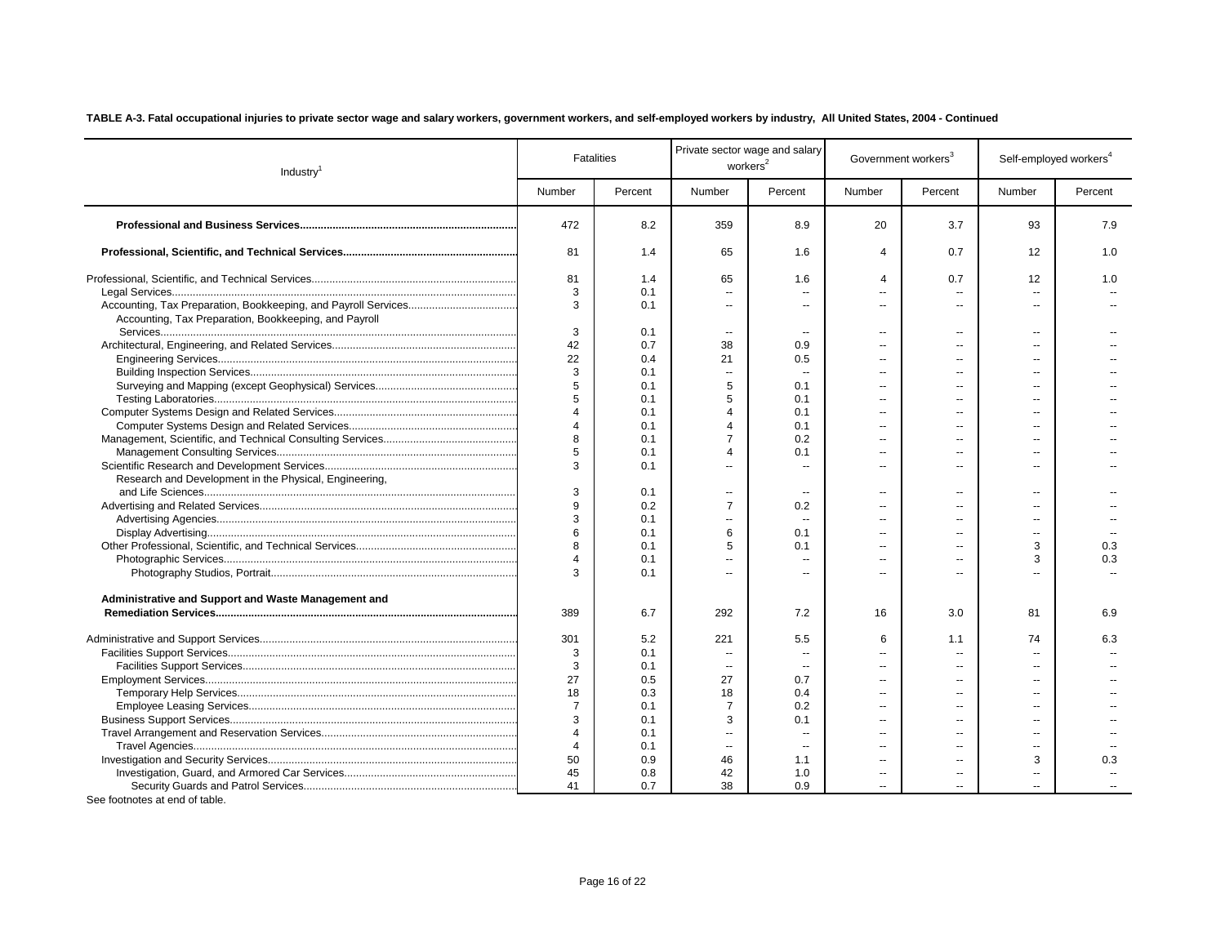| Industry <sup>1</sup>                                  |                          | <b>Fatalities</b> |                          | Private sector wage and salary<br>workers <sup>2</sup> |                  | Government workers <sup>3</sup> | Self-employed workers <sup>4</sup> |         |
|--------------------------------------------------------|--------------------------|-------------------|--------------------------|--------------------------------------------------------|------------------|---------------------------------|------------------------------------|---------|
|                                                        | Number                   | Percent           | Number                   | Percent                                                | Number           | Percent                         | Number                             | Percent |
|                                                        | 472                      | 8.2               | 359                      | 8.9                                                    | 20               | 3.7                             | 93                                 | 7.9     |
|                                                        | 81                       | 1.4               | 65                       | 1.6                                                    | $\boldsymbol{4}$ | 0.7                             | 12                                 | 1.0     |
|                                                        | 81                       | 1.4               | 65                       | 1.6                                                    | $\Delta$         | 0.7                             | 12                                 | 1.0     |
|                                                        | 3                        | 0.1               | $\overline{\phantom{a}}$ |                                                        | ۰.               | $\overline{a}$                  | н.                                 |         |
| Accounting, Tax Preparation, Bookkeeping, and Payroll  | 3                        | 0.1               | $\mathbf{u}$             | Ξ.                                                     | ä.               | $\overline{a}$                  | $\overline{a}$                     |         |
|                                                        | 3                        | 0.1               | Ξ.                       | $\overline{a}$                                         | $\overline{a}$   | $\overline{a}$                  | $\sim$                             |         |
|                                                        | 42                       | 0.7               | 38                       | 0.9                                                    | $\overline{a}$   |                                 | $\overline{a}$                     |         |
|                                                        | 22                       | 0.4               | 21                       | 0.5                                                    | $\overline{a}$   | $\overline{a}$                  |                                    |         |
|                                                        | 3                        | 0.1               | $\sim$                   | $\overline{\phantom{a}}$                               | ۰.               |                                 | $\overline{a}$                     |         |
|                                                        | 5                        | 0.1               | 5                        | 0.1                                                    | ۰.               | --                              | $\overline{a}$                     |         |
|                                                        | 5                        | 0.1               | 5                        | 0.1                                                    | $\overline{a}$   | $-$                             | $\overline{a}$                     |         |
|                                                        | $\overline{A}$           | 0.1               | $\overline{A}$           | 0.1                                                    | $\overline{a}$   | $\overline{a}$                  | $\overline{a}$                     |         |
|                                                        | $\overline{A}$           | 0.1               | $\overline{A}$           | 0.1                                                    | $\overline{a}$   |                                 |                                    |         |
|                                                        | 8                        | 0.1               | $\overline{7}$           | 0.2                                                    | $\overline{a}$   | $\overline{a}$                  | $\overline{a}$                     |         |
|                                                        | 5                        | 0.1               | $\overline{4}$           | 0.1                                                    | ۰.               | --                              | $\overline{a}$                     |         |
|                                                        | 3                        | 0.1               | $\sim$                   | ä.                                                     | $\overline{a}$   | $\overline{a}$                  | $\overline{a}$                     |         |
| Research and Development in the Physical, Engineering, | 3                        | 0.1               | $\overline{a}$           | $\overline{\phantom{a}}$                               | $\overline{a}$   | $\overline{a}$                  | $\sim$                             |         |
|                                                        | 9                        | 0.2               | $\overline{7}$           | 0.2                                                    | ۰.               | $\overline{a}$                  | $\overline{a}$                     |         |
|                                                        | 3                        | 0.1               | $\ddotsc$                | $\sim$                                                 | ۰.               | $-$                             | $\overline{\phantom{a}}$           |         |
|                                                        | 6                        | 0.1               | 6                        | 0.1                                                    | ۰.               | $-$                             | $\overline{a}$                     |         |
|                                                        | 8                        | 0.1               | 5                        | 0.1                                                    | $\overline{a}$   | $\overline{a}$                  | 3                                  | 0.3     |
|                                                        | $\Delta$                 | 0.1               | $\mathbf{u}$             |                                                        | $\overline{a}$   |                                 | 3                                  | 0.3     |
|                                                        | 3                        | 0.1               | $\mathbf{u}$             | $\overline{a}$                                         | $\overline{a}$   | $\overline{a}$                  | $\overline{a}$                     |         |
| Administrative and Support and Waste Management and    |                          |                   |                          |                                                        |                  |                                 |                                    |         |
|                                                        | 389                      | 6.7               | 292                      | 7.2                                                    | 16               | 3.0                             | 81                                 | 6.9     |
|                                                        | 301                      | 5.2               | 221                      | 5.5                                                    | 6                | 1.1                             | 74                                 | 6.3     |
|                                                        | 3                        | 0.1               | $\overline{a}$           | $\overline{a}$                                         | ۰.               | $\overline{a}$                  | $\mathbf{u}$                       |         |
|                                                        | 3                        | 0.1               | $\overline{a}$           |                                                        | $\overline{a}$   |                                 | $-$                                |         |
|                                                        | 27                       | 0.5               | 27                       | 0.7                                                    | $\overline{a}$   | $-$                             |                                    |         |
|                                                        | 18                       | 0.3               | 18                       | 0.4                                                    | $\overline{a}$   |                                 |                                    |         |
|                                                        | $\overline{7}$           | 0.1               | $\overline{7}$           | 0.2                                                    | $\overline{a}$   | $-$                             | $\sim$                             |         |
|                                                        | 3                        | 0.1               | 3                        | 0.1                                                    | $\overline{a}$   |                                 | $-$                                |         |
|                                                        | $\boldsymbol{\varDelta}$ | 0.1               | $\sim$                   | $\overline{a}$                                         | $\overline{a}$   | $-$                             | $\sim$                             |         |
|                                                        | $\overline{4}$           | 0.1               | $\overline{\phantom{a}}$ | $\overline{\phantom{a}}$                               | --               |                                 | $\overline{a}$                     |         |
|                                                        | 50                       | 0.9               | 46                       | 1.1                                                    | $\overline{a}$   | $\overline{a}$                  | 3                                  | 0.3     |
|                                                        | 45                       | 0.8               | 42                       | 1.0                                                    | $\overline{a}$   | --                              | $\overline{a}$                     |         |
|                                                        | 41                       | 0.7               | 38                       | 0.9                                                    | $\overline{a}$   | $-$                             | $\sim$                             |         |
|                                                        |                          |                   |                          |                                                        |                  |                                 |                                    |         |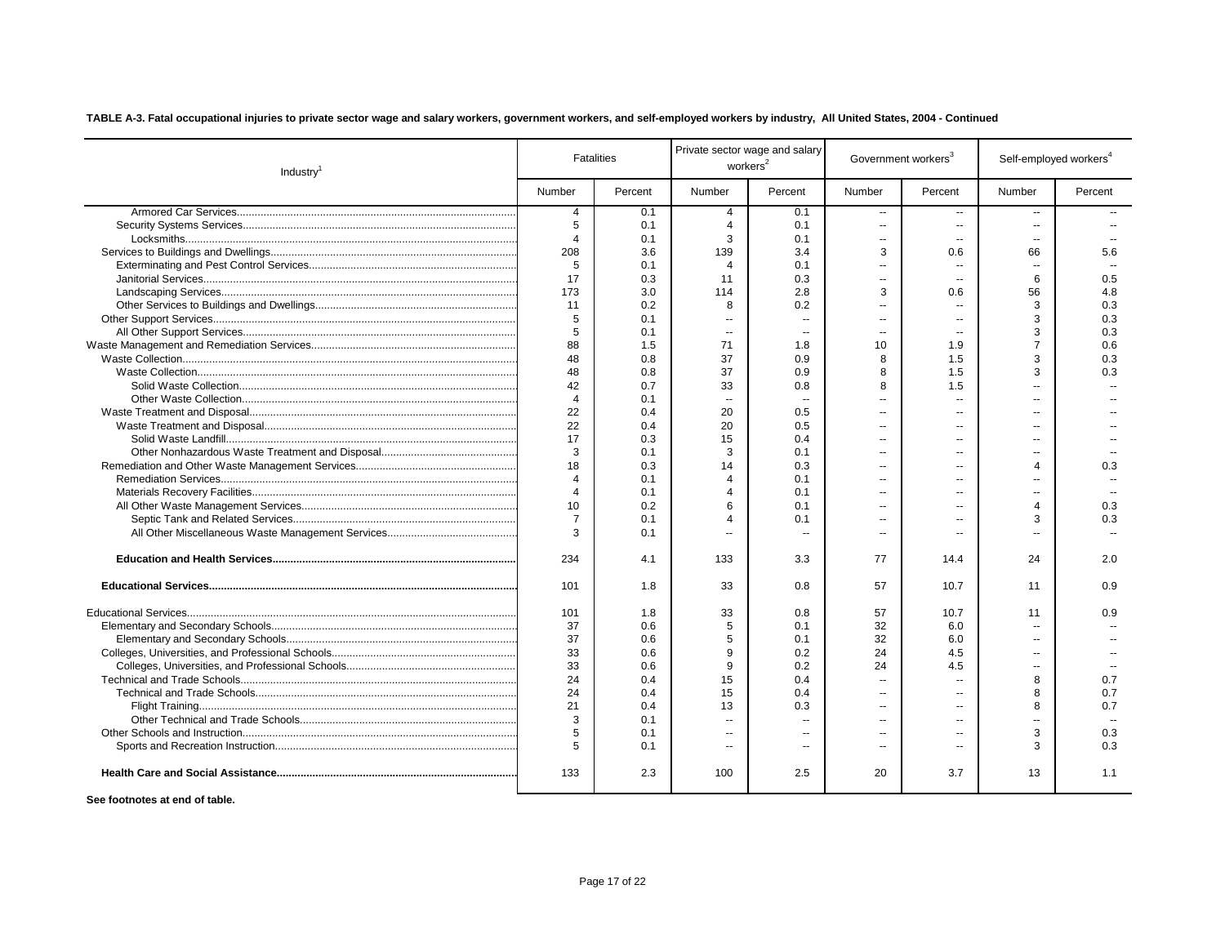| Industry <sup>1</sup> |                  | <b>Fatalities</b> |                          | Private sector wage and salary<br>workers <sup>2</sup> |                          | Government workers <sup>3</sup> | Self-employed workers <sup>4</sup> |         |
|-----------------------|------------------|-------------------|--------------------------|--------------------------------------------------------|--------------------------|---------------------------------|------------------------------------|---------|
|                       | Number           | Percent           | Number                   | Percent                                                | Number                   | Percent                         | Number                             | Percent |
|                       | 4                | 0.1               | $\overline{4}$           | 0.1                                                    | ш,                       | $\overline{a}$                  | ш,                                 |         |
|                       | 5                | 0.1               | $\overline{4}$           | 0.1                                                    | ш,                       | $\sim$                          | $\mathbf{u}$                       |         |
|                       | $\overline{4}$   | 0.1               | 3                        | 0.1                                                    | $\overline{a}$           | $\sim$                          | $\sim$                             |         |
|                       | 208              | 3.6               | 139                      | 3.4                                                    | 3                        | 0.6                             | 66                                 | 5.6     |
|                       | 5                | 0.1               | $\overline{4}$           | 0.1                                                    | $\overline{a}$           | $\sim$                          | $\sim$                             |         |
|                       | 17               | 0.3               | 11                       | 0.3                                                    | $\overline{a}$           | $\sim$                          | 6                                  | 0.5     |
|                       | 173              | 3.0               | 114                      | 2.8                                                    | 3                        | 0.6                             | 56                                 | 4.8     |
|                       | 11               | 0.2               | 8                        | 0.2                                                    | $\overline{a}$           | $\overline{a}$                  | 3                                  | 0.3     |
|                       | 5                | 0.1               | $\overline{a}$           | $\mathbf{u}$                                           | $\overline{a}$           | $\sim$                          | 3                                  | 0.3     |
|                       | 5                | 0.1               | $\overline{\phantom{a}}$ | $\overline{a}$                                         | --                       | --                              | 3                                  | 0.3     |
|                       | 88               | 1.5               | 71                       | 1.8                                                    | 10                       | 1.9                             | $\overline{7}$                     | 0.6     |
|                       | 48               | 0.8               | 37                       | 0.9                                                    | 8                        | 1.5                             | 3                                  | 0.3     |
|                       | 48               | 0.8               | 37                       | 0.9                                                    | 8                        | 1.5                             | 3                                  | 0.3     |
|                       | 42               | 0.7               | 33                       | 0.8                                                    | 8                        | 1.5                             | $\overline{a}$                     |         |
|                       | $\overline{4}$   | 0.1               | $\ddotsc$                |                                                        |                          | -−                              |                                    |         |
|                       | 22               | 0.4               | 20                       | 0.5                                                    | $\overline{\phantom{a}}$ | $\overline{\phantom{a}}$        | $\overline{\phantom{a}}$           |         |
|                       | 22               | 0.4               | 20                       | 0.5                                                    | $\overline{\phantom{a}}$ | --                              | --                                 |         |
|                       | 17               | 0.3               | 15                       | 0.4                                                    | $\overline{\phantom{a}}$ | $-1$                            | --                                 |         |
|                       | 3                | 0.1               | 3                        | 0.1                                                    | $\overline{a}$           |                                 | $\overline{a}$                     |         |
|                       | 18               | 0.3               | 14                       | 0.3                                                    | $\overline{\phantom{a}}$ | $\overline{a}$                  | 4                                  | 0.3     |
|                       | 4                | 0.1               | $\overline{4}$           | 0.1                                                    | $\overline{a}$           | --                              |                                    |         |
|                       | $\overline{4}$   | 0.1               | $\overline{4}$           | 0.1                                                    | $\overline{\phantom{a}}$ | $\overline{a}$                  | --                                 |         |
|                       | 10 <sup>10</sup> | 0.2               | 6                        | 0.1                                                    | $\overline{\phantom{a}}$ |                                 | 4                                  | 0.3     |
|                       | $\overline{7}$   | 0.1               | $\boldsymbol{\Delta}$    | 0.1                                                    | ÷.                       | ٠.                              | 3                                  | 0.3     |
|                       | 3                | 0.1               |                          |                                                        |                          |                                 |                                    |         |
|                       | 234              | 4.1               | 133                      | 3.3                                                    | 77                       | 14.4                            | 24                                 | 2.0     |
|                       | 101              | 1.8               | 33                       | 0.8                                                    | 57                       | 10.7                            | 11                                 | 0.9     |
|                       | 101              | 1.8               | 33                       | 0.8                                                    | 57                       | 10.7                            | 11                                 | 0.9     |
|                       | 37               | 0.6               | 5                        | 0.1                                                    | 32                       | 6.0                             | $\overline{a}$                     |         |
|                       | 37               | 0.6               | 5                        | 0.1                                                    | 32                       | 6.0                             | $\overline{a}$                     |         |
|                       | 33               | 0.6               | 9                        | 0.2                                                    | 24                       | 4.5                             | $\overline{a}$                     |         |
|                       | 33               | 0.6               | 9                        | 0.2                                                    | 24                       | 4.5                             | $\overline{a}$                     |         |
|                       | 24               | 0.4               | 15                       | 0.4                                                    | $\overline{a}$           | $\sim$                          | 8                                  | 0.7     |
|                       | 24               | 0.4               | 15                       | 0.4                                                    | $\overline{a}$           | $\sim$                          | 8                                  | 0.7     |
|                       | 21               | 0.4               | 13                       | 0.3                                                    | $\overline{a}$           | $\overline{a}$                  | 8                                  | 0.7     |
|                       | 3                | 0.1               | $\overline{a}$           |                                                        | $\sim$                   | --                              | $\overline{a}$                     |         |
|                       | 5                | 0.1               | $\overline{a}$           | $\overline{a}$                                         | $\overline{a}$           | $\overline{a}$                  | 3                                  | 0.3     |
|                       | 5                | 0.1               | $\overline{\phantom{a}}$ |                                                        | --                       | --                              | 3                                  | 0.3     |
|                       | 133              | 2.3               | 100                      | 2.5                                                    | 20                       | 3.7                             | 13                                 | 1.1     |
|                       |                  |                   |                          |                                                        |                          |                                 |                                    |         |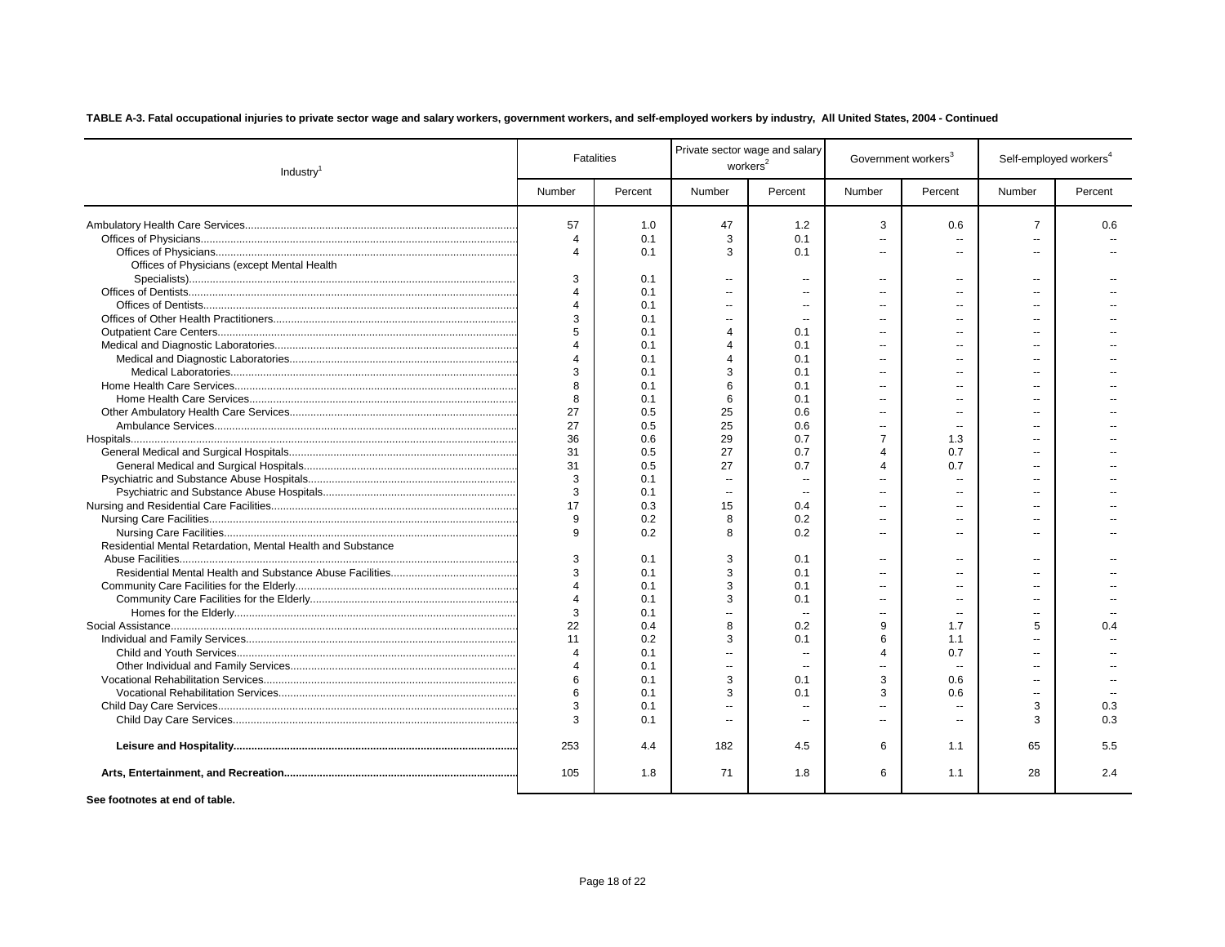| Industry <sup>1</sup>                                                                                                                                                                                                             |                       | <b>Fatalities</b> | Private sector wage and salary<br>workers <sup>2</sup> |                          |                | Government workers <sup>3</sup> | Self-employed workers <sup>4</sup> |         |
|-----------------------------------------------------------------------------------------------------------------------------------------------------------------------------------------------------------------------------------|-----------------------|-------------------|--------------------------------------------------------|--------------------------|----------------|---------------------------------|------------------------------------|---------|
|                                                                                                                                                                                                                                   | Number                | Percent           | Number                                                 | Percent                  | Number         | Percent                         | Number                             | Percent |
|                                                                                                                                                                                                                                   | 57                    | 1.0               | 47                                                     | 1.2                      | 3              | 0.6                             | $\overline{7}$                     | 0.6     |
|                                                                                                                                                                                                                                   | $\overline{4}$        | 0.1               | 3                                                      | 0.1                      | $\overline{a}$ |                                 | $\overline{a}$                     |         |
|                                                                                                                                                                                                                                   | $\overline{4}$        | 0.1               | 3                                                      | 0.1                      | $\overline{a}$ | $\overline{a}$                  | $\overline{a}$                     |         |
| Offices of Physicians (except Mental Health                                                                                                                                                                                       |                       |                   |                                                        |                          |                |                                 |                                    |         |
|                                                                                                                                                                                                                                   | 3                     | 0.1               | $\sim$                                                 | $\overline{a}$           | $\overline{a}$ | $\sim$                          | $\sim$                             |         |
|                                                                                                                                                                                                                                   | $\overline{4}$        | 0.1               | $\sim$                                                 | ш.                       | $\overline{a}$ |                                 | $\overline{a}$                     |         |
|                                                                                                                                                                                                                                   | $\overline{4}$        | 0.1               | $\sim$                                                 | $\overline{a}$           | $\overline{a}$ |                                 | --                                 |         |
|                                                                                                                                                                                                                                   | 3                     | 0.1               | $\overline{a}$                                         |                          | $\overline{a}$ |                                 | --                                 |         |
|                                                                                                                                                                                                                                   | 5                     | 0.1               | $\Delta$                                               | 0.1                      | --             |                                 |                                    |         |
|                                                                                                                                                                                                                                   | $\Delta$              | 0.1               | $\Delta$                                               | 0.1                      | --             |                                 |                                    |         |
|                                                                                                                                                                                                                                   | $\boldsymbol{\Delta}$ | 0.1               | $\Delta$                                               | 0.1                      | --             | --                              |                                    |         |
|                                                                                                                                                                                                                                   | 3                     | 0.1               | 3                                                      | 0.1                      | --             |                                 |                                    |         |
|                                                                                                                                                                                                                                   | 8                     | 0.1               | 6                                                      | 0.1                      | Ξ.             |                                 |                                    |         |
|                                                                                                                                                                                                                                   | 8                     | 0.1               | 6                                                      | 0.1                      |                |                                 |                                    |         |
|                                                                                                                                                                                                                                   | 27                    | 0.5               | 25                                                     | 0.6                      | Ξ.             | $\overline{a}$                  |                                    |         |
|                                                                                                                                                                                                                                   | 27                    | 0.5               | 25                                                     | 0.6                      | Ξ.             | $\overline{a}$                  |                                    |         |
|                                                                                                                                                                                                                                   | 36                    | 0.6               | 29                                                     | 0.7                      | $\overline{7}$ | 1.3                             |                                    |         |
|                                                                                                                                                                                                                                   | 31                    | 0.5               | 27                                                     | 0.7                      | $\overline{4}$ | 0.7                             |                                    |         |
|                                                                                                                                                                                                                                   | 31                    | 0.5               | 27                                                     | 0.7                      | $\Delta$       | 0.7                             |                                    |         |
|                                                                                                                                                                                                                                   | 3                     | 0.1               | $\overline{\phantom{a}}$                               |                          |                | --                              |                                    |         |
|                                                                                                                                                                                                                                   | 3                     | 0.1               | $\overline{\phantom{a}}$                               | $\overline{\phantom{a}}$ | Ξ.             | --                              | --                                 |         |
|                                                                                                                                                                                                                                   | 17                    | 0.3               | 15                                                     | 0.4                      | Ξ.             | --                              | --                                 |         |
|                                                                                                                                                                                                                                   | 9                     | 0.2               | 8                                                      | 0.2                      | Ξ.             | $\overline{a}$                  | --                                 |         |
|                                                                                                                                                                                                                                   | 9                     | 0.2               | 8                                                      | 0.2                      |                |                                 |                                    |         |
| Residential Mental Retardation, Mental Health and Substance                                                                                                                                                                       |                       |                   |                                                        |                          |                |                                 |                                    |         |
|                                                                                                                                                                                                                                   | 3                     | 0.1               | 3                                                      | 0.1                      | --             | --                              | $\overline{a}$                     |         |
|                                                                                                                                                                                                                                   | 3                     | 0.1               | 3                                                      | 0.1                      | $\overline{a}$ | --                              | $\overline{a}$                     |         |
|                                                                                                                                                                                                                                   | $\boldsymbol{\Delta}$ | 0.1               | 3                                                      | 0.1                      | $\overline{a}$ | --                              | $\overline{a}$                     |         |
|                                                                                                                                                                                                                                   | $\Delta$              | 0.1               | 3                                                      | 0.1                      | $\overline{a}$ | $\overline{a}$                  | $\overline{a}$                     |         |
|                                                                                                                                                                                                                                   | 3                     | 0.1               | $\sim$                                                 |                          | $\overline{a}$ | $\sim$ $\sim$                   |                                    |         |
|                                                                                                                                                                                                                                   | 22                    | 0.4               | 8                                                      | 0.2                      | 9              | 1.7                             | 5                                  | 0.4     |
|                                                                                                                                                                                                                                   | 11                    | 0.2               | 3                                                      | 0.1                      | 6              | 1.1                             | $\overline{a}$                     |         |
|                                                                                                                                                                                                                                   | $\overline{4}$        | 0.1               | $\mathbf{u}$                                           | ä.                       | $\Delta$       | 0.7                             | $\overline{a}$                     |         |
|                                                                                                                                                                                                                                   | $\overline{4}$        | 0.1               | $\overline{\phantom{a}}$                               |                          | $\overline{a}$ | $\overline{\phantom{a}}$        |                                    |         |
|                                                                                                                                                                                                                                   | 6                     | 0.1               | 3                                                      | 0.1                      | 3              | 0.6                             | $\sim$                             |         |
|                                                                                                                                                                                                                                   | 6                     | 0.1               | 3                                                      | 0.1                      | 3              | 0.6                             | $\sim$                             |         |
|                                                                                                                                                                                                                                   | 3                     | 0.1               | $\sim$                                                 | $\overline{a}$           | $\overline{a}$ | $\overline{a}$                  | 3                                  | 0.3     |
|                                                                                                                                                                                                                                   | 3                     | 0.1               | $\sim$                                                 | $\overline{a}$           | $\overline{a}$ | $\sim$                          | 3                                  | 0.3     |
|                                                                                                                                                                                                                                   | 253                   | 4.4               | 182                                                    | 4.5                      | 6              | 1.1                             | 65                                 | 5.5     |
|                                                                                                                                                                                                                                   | 105                   | 1.8               | 71                                                     | 1.8                      | 6              | 1.1                             | 28                                 | 2.4     |
| $\mathbf{F}$ . The state of the state of the state of the state of the state of the state of the state of the state of the state of the state of the state of the state of the state of the state of the state of the state of th |                       |                   |                                                        |                          |                |                                 |                                    |         |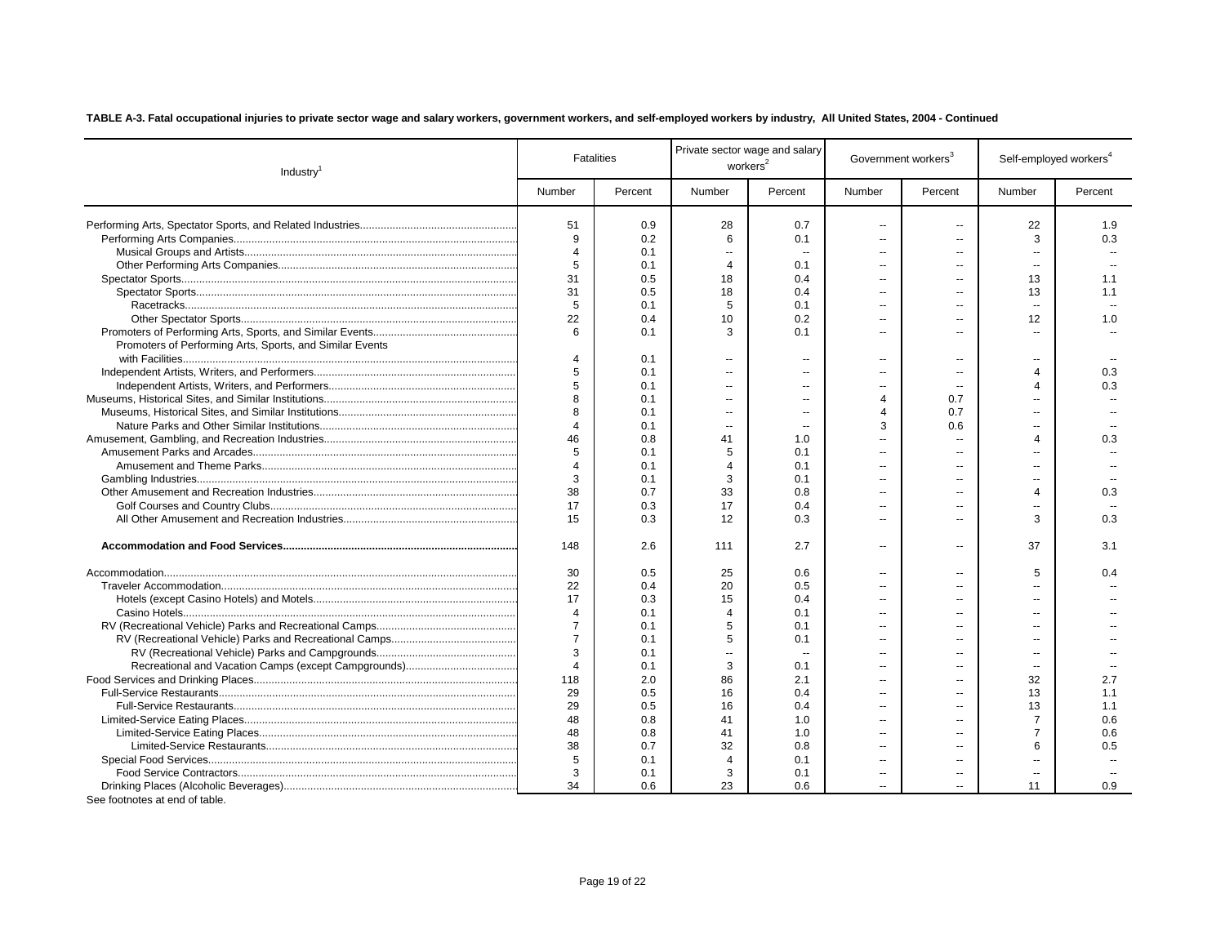| Industry <sup>1</sup>                                    |                       | <b>Fatalities</b> |                          | Private sector wage and salary<br>workers <sup>2</sup> |                          | Government workers <sup>3</sup> |                         | Self-employed workers <sup>4</sup> |
|----------------------------------------------------------|-----------------------|-------------------|--------------------------|--------------------------------------------------------|--------------------------|---------------------------------|-------------------------|------------------------------------|
|                                                          | Number                | Percent           | Number                   | Percent                                                | Number                   | Percent                         | Number                  | Percent                            |
|                                                          | 51                    | 0.9               | 28                       | 0.7                                                    | $\overline{a}$           | $\sim$                          | 22                      | 1.9                                |
|                                                          | 9                     | 0.2               | 6                        | 0.1                                                    | $\overline{a}$           | --                              | 3                       | 0.3                                |
|                                                          | $\overline{4}$        | 0.1               | $\sim$                   | $\sim$                                                 | $\overline{a}$           | --                              | $\overline{a}$          |                                    |
|                                                          | 5                     | 0.1               | $\overline{4}$           | 0.1                                                    | $\overline{a}$           | --                              | $\sim$                  |                                    |
|                                                          | 31                    | 0.5               | 18                       | 0.4                                                    | $\overline{a}$           | --                              | 13                      | 1.1                                |
|                                                          | 31                    | 0.5               | 18                       | 0.4                                                    | $\sim$                   | --                              | 13                      | 1.1                                |
|                                                          | 5                     | 0.1               | 5                        | 0.1                                                    | $\overline{a}$           | $\overline{a}$                  | $\sim$                  |                                    |
|                                                          | 22                    | 0.4               | 10                       | 0.2                                                    | $\overline{a}$           | $\overline{a}$                  | 12                      | 1.0                                |
|                                                          | 6                     | 0.1               | 3                        | 0.1                                                    | $\overline{a}$           | ٠.                              | --                      |                                    |
| Promoters of Performing Arts, Sports, and Similar Events |                       |                   |                          |                                                        |                          |                                 |                         |                                    |
|                                                          | 4                     | 0.1               | $\overline{\phantom{a}}$ | Ξ.                                                     | $\sim$                   | $\overline{\phantom{a}}$        | −−                      |                                    |
|                                                          | 5                     | 0.1               | $\sim$                   | $\sim$                                                 | $\overline{\phantom{a}}$ | ٠.                              | 4                       | 0.3                                |
|                                                          | 5                     | 0.1               | $\overline{\phantom{a}}$ | $\sim$                                                 | $\overline{a}$           | $\sim$                          | 4                       | 0.3                                |
|                                                          | 8                     | 0.1               | $\sim$                   | $\overline{a}$                                         | $\overline{4}$           | 0.7                             | $\overline{a}$          |                                    |
|                                                          | 8                     | 0.1               | $\sim$                   | $\sim$                                                 | $\overline{4}$           | 0.7                             | $\overline{a}$          |                                    |
|                                                          | $\overline{4}$        | 0.1               | $\overline{\phantom{a}}$ | Ξ.                                                     | 3                        | 0.6                             | --                      |                                    |
|                                                          | 46                    | 0.8               | 41                       | 1.0                                                    | $\sim$                   | $\overline{\phantom{a}}$        | 4                       | 0.3                                |
|                                                          | 5                     | 0.1               | 5                        | 0.1                                                    | $\overline{a}$           | ٠.                              | $\overline{a}$          |                                    |
|                                                          | $\overline{4}$        | 0.1               | $\overline{4}$           | 0.1                                                    | $\overline{a}$           | Ξ.                              | $\overline{a}$          |                                    |
|                                                          | 3                     | 0.1               | 3                        | 0.1                                                    | $\overline{a}$           | $-$                             | $\overline{a}$          |                                    |
|                                                          | 38                    | 0.7               | 33                       | 0.8                                                    | $\overline{a}$           | $\overline{a}$                  | $\overline{\mathbf{4}}$ | 0.3                                |
|                                                          | 17                    | 0.3               | 17                       | 0.4                                                    | $\overline{\phantom{a}}$ |                                 |                         |                                    |
|                                                          | 15                    | 0.3               | 12                       | 0.3                                                    | $\overline{a}$           | -−                              | 3                       | 0.3                                |
|                                                          | 148                   | 2.6               | 111                      | 2.7                                                    | $\overline{a}$           | $\overline{\phantom{a}}$        | 37                      | 3.1                                |
|                                                          | 30                    | 0.5               | 25                       | 0.6                                                    | $\overline{\phantom{a}}$ | --                              | 5                       | 0.4                                |
|                                                          | 22                    | 0.4               | 20                       | 0.5                                                    | Ξ.                       |                                 |                         |                                    |
|                                                          | 17                    | 0.3               | 15                       | 0.4                                                    | Ξ.                       | --                              | ۰.                      |                                    |
|                                                          | $\overline{4}$        | 0.1               | $\overline{4}$           | 0.1                                                    | $\overline{\phantom{a}}$ | $-1$                            | $\overline{a}$          |                                    |
|                                                          | $\overline{7}$        | 0.1               | 5                        | 0.1                                                    | $\overline{a}$           | $\overline{a}$                  | $\overline{a}$          |                                    |
|                                                          | $\overline{7}$        | 0.1               | 5                        | 0.1                                                    | $\overline{\phantom{a}}$ | $\overline{a}$                  | $\overline{a}$          |                                    |
|                                                          | 3                     | 0.1               | $\ddotsc$                | --                                                     | $\overline{a}$           | --                              | --                      |                                    |
|                                                          | $\boldsymbol{\Delta}$ | 0.1               | 3                        | 0.1                                                    | $\overline{\phantom{a}}$ | --                              |                         |                                    |
|                                                          | 118                   | 2.0               | 86                       | 2.1                                                    | $\overline{\phantom{a}}$ | --                              | 32                      | 2.7                                |
|                                                          | 29                    | 0.5               | 16                       | 0.4                                                    | $\overline{a}$           | --                              | 13                      | 1.1                                |
|                                                          | 29                    | 0.5               | 16                       | 0.4                                                    | $\overline{a}$           | $\overline{a}$                  | 13                      | 1.1                                |
|                                                          | 48                    | 0.8               | 41                       | 1.0                                                    | $\overline{a}$           | $\overline{a}$                  | $\overline{7}$          | 0.6                                |
|                                                          | 48                    | 0.8               | 41                       | 1.0                                                    | $\overline{a}$           | $\overline{a}$                  | $\overline{7}$          | 0.6                                |
|                                                          | 38                    | 0.7               | 32                       | 0.8                                                    | $\overline{a}$           | --                              | 6                       | 0.5                                |
|                                                          | $\overline{5}$        | 0.1               | $\overline{4}$           | 0.1                                                    | $\overline{\phantom{a}}$ | --                              | --                      |                                    |
|                                                          | 3                     | 0.1               | 3                        | 0.1                                                    | $\overline{\phantom{a}}$ | --                              |                         |                                    |
| Can factoring of and of toble                            | 34                    | 0.6               | 23                       | 0.6                                                    | $\overline{a}$           | $\overline{a}$                  | 11                      | 0.9                                |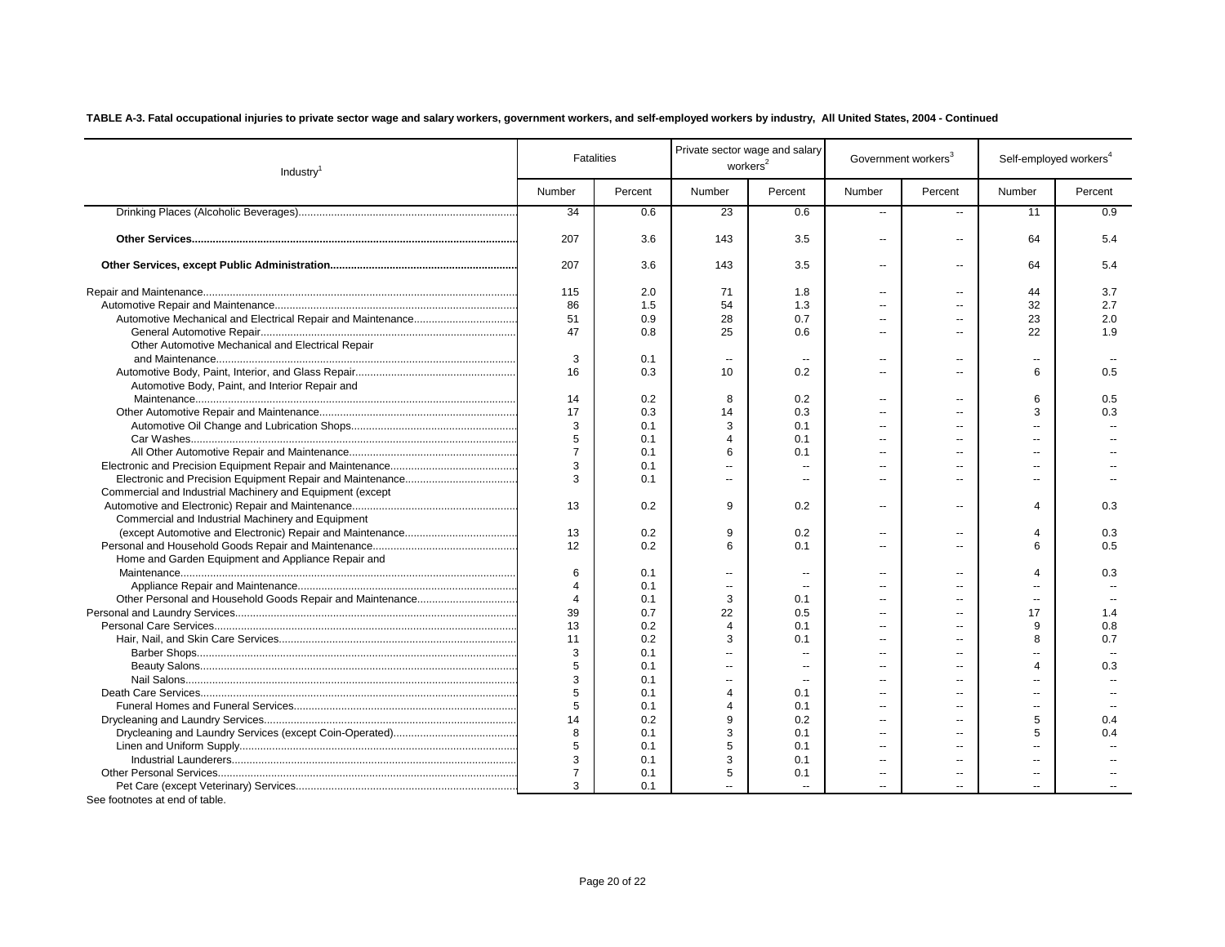| Industry <sup>1</sup>                                     |                | <b>Fatalities</b> | Private sector wage and salary<br>workers <sup>2</sup> |                          | Government workers <sup>3</sup> |                          | Self-employed workers <sup>4</sup> |         |
|-----------------------------------------------------------|----------------|-------------------|--------------------------------------------------------|--------------------------|---------------------------------|--------------------------|------------------------------------|---------|
|                                                           | Number         | Percent           | Number                                                 | Percent                  | Number                          | Percent                  | Number                             | Percent |
|                                                           | 34             | 0.6               | 23                                                     | 0.6                      | $\overline{\phantom{a}}$        | $\overline{a}$           | 11                                 | 0.9     |
|                                                           | 207            | 3.6               | 143                                                    | 3.5                      | $\overline{a}$                  | $\overline{\phantom{a}}$ | 64                                 | 5.4     |
|                                                           | 207            | 3.6               | 143                                                    | 3.5                      | $\overline{a}$                  | $\overline{a}$           | 64                                 | 5.4     |
|                                                           | 115            | 2.0               | 71                                                     | 1.8                      |                                 |                          | 44                                 | 3.7     |
|                                                           | 86             | 1.5               | 54                                                     | 1.3                      |                                 |                          | 32                                 | 2.7     |
|                                                           | 51             | 0.9               | 28                                                     | 0.7                      |                                 |                          | 23                                 | 2.0     |
|                                                           | 47             | 0.8               | 25                                                     | 0.6                      | $\sim$                          |                          | 22                                 | 1.9     |
| Other Automotive Mechanical and Electrical Repair         |                |                   |                                                        |                          |                                 |                          |                                    |         |
|                                                           | 3              | 0.1               | $\sim$                                                 |                          | $\overline{a}$                  |                          | $\overline{a}$                     |         |
|                                                           | 16             | 0.3               | 10                                                     | 0.2                      | $\overline{a}$                  |                          | 6                                  | 0.5     |
| Automotive Body, Paint, and Interior Repair and           |                |                   |                                                        |                          |                                 |                          |                                    |         |
|                                                           | 14             | 0.2               | 8                                                      | 0.2                      | $\sim$                          |                          | 6                                  | 0.5     |
|                                                           | 17             | 0.3               | 14                                                     | 0.3                      | $\overline{a}$                  |                          | 3                                  | 0.3     |
|                                                           | 3              | 0.1               | 3                                                      | 0.1                      | $\sim$                          |                          | $\overline{a}$                     |         |
|                                                           | 5              | 0.1               | 4                                                      | 0.1                      | $\overline{a}$                  |                          | $\overline{a}$                     |         |
|                                                           | $\overline{7}$ | 0.1               | 6                                                      | 0.1                      |                                 |                          | $\overline{a}$                     |         |
|                                                           | 3              | 0.1               | $\sim$                                                 | $\sim$                   | $\overline{a}$                  |                          | $\overline{a}$                     |         |
|                                                           |                | 0.1               | $\sim$                                                 | ш.                       | $\overline{a}$                  |                          | $\overline{a}$                     |         |
| Commercial and Industrial Machinery and Equipment (except |                |                   |                                                        |                          |                                 |                          |                                    |         |
|                                                           | 13             | 0.2               | 9                                                      | 0.2                      | $\overline{a}$                  | $\overline{a}$           | 4                                  | 0.3     |
| Commercial and Industrial Machinery and Equipment         |                |                   |                                                        |                          |                                 |                          |                                    |         |
|                                                           | 13             | 0.2               | 9                                                      | 0.2                      | $\overline{a}$                  |                          | $\overline{4}$                     | 0.3     |
|                                                           | 12             | 0.2               | 6                                                      | 0.1                      | $\sim$                          | $\overline{a}$           | 6                                  | 0.5     |
| Home and Garden Equipment and Appliance Repair and        |                |                   |                                                        |                          |                                 |                          |                                    |         |
|                                                           | 6              | 0.1               | $\overline{\phantom{a}}$                               | $\overline{\phantom{a}}$ |                                 |                          | $\overline{4}$                     | 0.3     |
|                                                           | Δ              | 0.1               | $\overline{\phantom{a}}$                               | --                       | $\sim$                          |                          | $\overline{a}$                     |         |
|                                                           | $\overline{4}$ | 0.1               | 3                                                      | 0.1                      | $\sim$                          |                          | --                                 |         |
|                                                           | 39             | 0.7               | 22                                                     | 0.5                      | $\sim$                          |                          | 17                                 | 1.4     |
|                                                           | 13             | 0.2               | $\overline{4}$                                         | 0.1                      | $\sim$                          |                          | 9                                  | 0.8     |
|                                                           | 11             | 0.2               | 3                                                      | 0.1                      | $\overline{a}$                  |                          | 8                                  | 0.7     |
|                                                           | 3              | 0.1               | $\overline{\phantom{a}}$                               | $\sim$                   | $\overline{a}$                  |                          | $\overline{\phantom{a}}$           |         |
|                                                           | 5              | 0.1               |                                                        |                          |                                 |                          | $\overline{4}$                     | 0.3     |
|                                                           |                | 0.1               | $\overline{a}$                                         | $\sim$                   |                                 |                          |                                    |         |
|                                                           | 5              | 0.1               | $\overline{\mathbf{4}}$                                | 0.1                      | $\overline{\phantom{a}}$        |                          | $\overline{\phantom{a}}$           |         |
|                                                           | 5              | 0.1               | $\overline{4}$                                         | 0.1                      | $\overline{\phantom{a}}$        |                          | Ξ.                                 |         |
|                                                           | 14             | 0.2               | 9                                                      | 0.2                      | $\overline{\phantom{a}}$        |                          | 5                                  | 0.4     |
|                                                           | 8              | 0.1               | 3                                                      | 0.1                      |                                 |                          | 5                                  | 0.4     |
|                                                           | 5              | 0.1               | 5                                                      | 0.1                      |                                 |                          |                                    |         |
|                                                           |                | 0.1               | 3                                                      | 0.1                      | $\overline{a}$                  |                          | $\overline{a}$                     |         |
|                                                           | $\overline{7}$ | 0.1               | 5                                                      | 0.1                      | $\overline{a}$                  |                          | $\overline{a}$                     |         |
|                                                           |                | 0.1               |                                                        | $\sim$                   |                                 |                          | $\overline{a}$                     |         |
| Can footnates at and of table                             |                |                   |                                                        |                          |                                 |                          |                                    |         |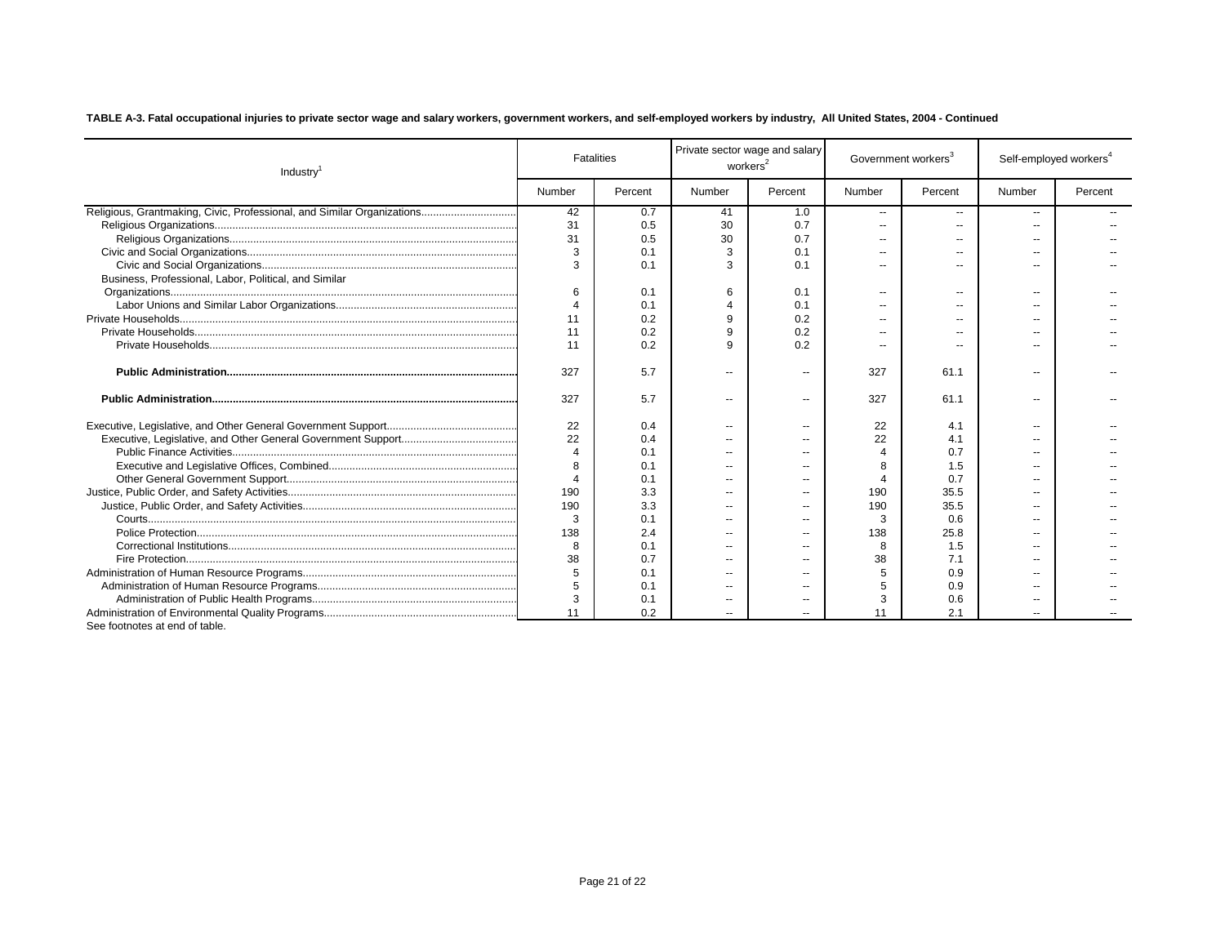| Industry                                                               | <b>Fatalities</b>     |         | Private sector wage and salary<br>workers <sup>2</sup> |                          | Government workers <sup>3</sup> |                | Self-employed workers <sup>4</sup> |         |
|------------------------------------------------------------------------|-----------------------|---------|--------------------------------------------------------|--------------------------|---------------------------------|----------------|------------------------------------|---------|
|                                                                        | Number                | Percent | Number                                                 | Percent                  | Number                          | Percent        | Number                             | Percent |
| Religious, Grantmaking, Civic, Professional, and Similar Organizations | 42                    | 0.7     | 41                                                     | 1.0                      | $\overline{\phantom{a}}$        | --             | --                                 |         |
|                                                                        | 31                    | 0.5     | 30                                                     | 0.7                      | $\overline{a}$                  | --             | --                                 |         |
|                                                                        | 31                    | 0.5     | 30                                                     | 0.7                      |                                 | --             | --                                 |         |
|                                                                        | 3                     | 0.1     | 3                                                      | 0.1                      |                                 |                | --                                 |         |
|                                                                        | 3                     | 0.1     | 3                                                      | 0.1                      |                                 |                | $\overline{a}$                     |         |
| Business, Professional, Labor, Political, and Similar                  |                       |         |                                                        |                          |                                 |                |                                    |         |
|                                                                        | 6                     | 0.1     | 6                                                      | 0.1                      |                                 | --             | --                                 |         |
|                                                                        | $\Delta$              | 0.1     | $\overline{4}$                                         | 0.1                      |                                 | $\overline{a}$ | --                                 |         |
|                                                                        | 11                    | 0.2     | 9                                                      | 0.2                      |                                 |                | --                                 |         |
|                                                                        | 11                    | 0.2     | 9                                                      | 0.2                      |                                 | --             | $\overline{\phantom{a}}$           |         |
|                                                                        | 11                    | 0.2     | 9                                                      | 0.2                      |                                 |                | $\overline{a}$                     |         |
|                                                                        | 327                   | 5.7     | $\sim$ $\sim$                                          | $\overline{\phantom{a}}$ | 327                             | 61.1           | --                                 |         |
|                                                                        | 327                   | 5.7     | $\sim$                                                 | $\overline{\phantom{a}}$ | 327                             | 61.1           | --                                 |         |
|                                                                        | 22                    | 0.4     | $\sim$                                                 | $\sim$                   | 22                              | 4.1            | --                                 |         |
|                                                                        | 22                    | 0.4     | $\overline{\phantom{a}}$                               |                          | 22                              | 4.1            | $\overline{a}$                     |         |
|                                                                        | $\boldsymbol{\Delta}$ | 0.1     | --                                                     |                          |                                 | 0.7            | --                                 |         |
|                                                                        | $\mathsf{R}$          | 0.1     | $\overline{a}$                                         |                          |                                 | 1.5            | $\overline{a}$                     |         |
|                                                                        | $\overline{4}$        | 0.1     | --                                                     |                          |                                 | 0.7            | --                                 |         |
|                                                                        | 190                   | 3.3     | $\sim$ $\sim$                                          | $\sim$                   | 190                             | 35.5           | $\overline{a}$                     |         |
|                                                                        | 190                   | 3.3     | $\sim$ $\sim$                                          | $\sim$                   | 190                             | 35.5           | $\overline{a}$                     |         |
|                                                                        | 3                     | 0.1     | $\overline{\phantom{a}}$                               | $\sim$ $\sim$            | 3                               | 0.6            | $\overline{a}$                     |         |
|                                                                        | 138                   | 2.4     | $\sim$ $\sim$                                          | --                       | 138                             | 25.8           | --                                 |         |
|                                                                        | 8                     | 0.1     | $\overline{\phantom{a}}$                               |                          | 8                               | 1.5            | $\overline{a}$                     |         |
|                                                                        | 38                    | 0.7     | $\sim$ $\sim$                                          | $\overline{a}$           | 38                              | 7.1            | --                                 |         |
|                                                                        | 5                     | 0.1     | $\sim$ $-$                                             |                          |                                 | 0.9            | $\overline{a}$                     |         |
|                                                                        |                       | 0.1     | $\sim$                                                 |                          |                                 | 0.9            | $\overline{a}$                     |         |
|                                                                        | 3                     | 0.1     | $\overline{\phantom{a}}$                               |                          | 3                               | 0.6            | --                                 |         |
|                                                                        | 11                    | 0.2     |                                                        |                          |                                 | 2.1            |                                    |         |